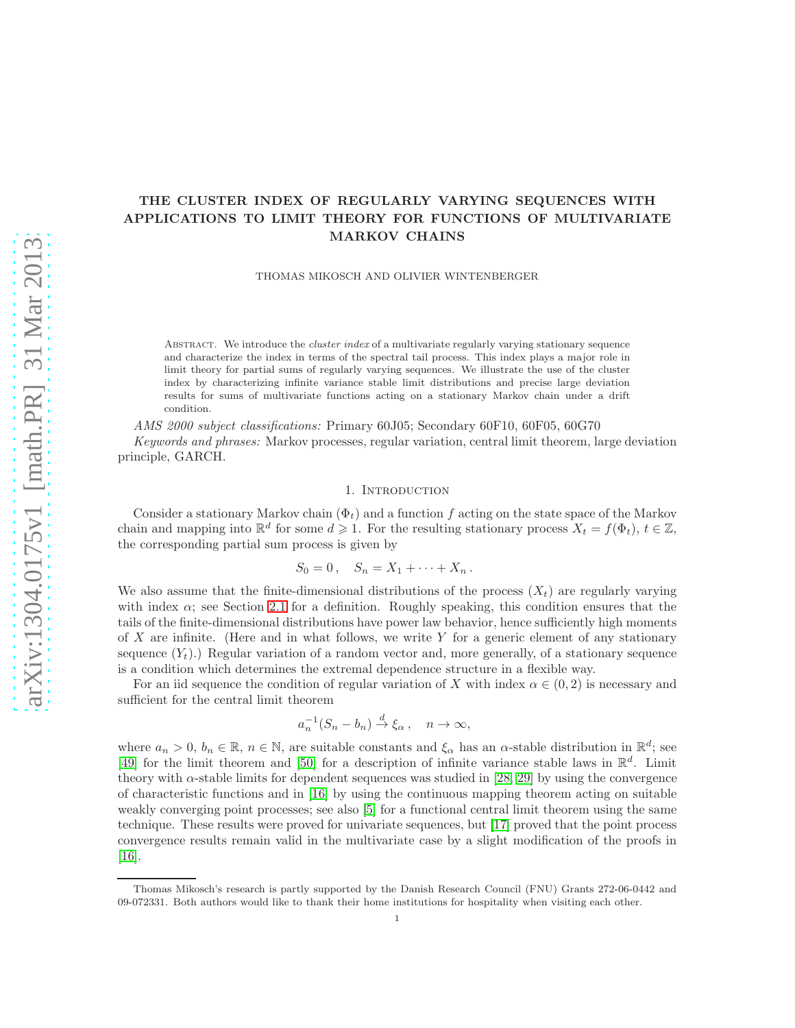# THE CLUSTER INDEX OF REGULARLY VARYING SEQUENCES WITH APPLICATIONS TO LIMIT THEORY FOR FUNCTIONS OF MULTIVARIATE MARKOV CHAINS

THOMAS MIKOSCH AND OLIVIER WINTENBERGER

ABSTRACT. We introduce the *cluster index* of a multivariate regularly varying stationary sequence and characterize the index in terms of the spectral tail process. This index plays a major role in limit theory for partial sums of regularly varying sequences. We illustrate the use of the cluster index by characterizing infinite variance stable limit distributions and precise large deviation results for sums of multivariate functions acting on a stationary Markov chain under a drift condition.

*AMS 2000 subject classifications:* Primary 60J05; Secondary 60F10, 60F05, 60G70

*Keywords and phrases:* Markov processes, regular variation, central limit theorem, large deviation principle, GARCH.

## 1. INTRODUCTION

Consider a stationary Markov chain  $(\Phi_t)$  and a function f acting on the state space of the Markov chain and mapping into  $\mathbb{R}^d$  for some  $d \geq 1$ . For the resulting stationary process  $X_t = f(\Phi_t)$ ,  $t \in \mathbb{Z}$ , the corresponding partial sum process is given by

$$
S_0=0\,,\quad S_n=X_1+\cdots+X_n\,.
$$

We also assume that the finite-dimensional distributions of the process  $(X_t)$  are regularly varying with index  $\alpha$ ; see Section [2.1](#page-2-0) for a definition. Roughly speaking, this condition ensures that the tails of the finite-dimensional distributions have power law behavior, hence sufficiently high moments of X are infinite. (Here and in what follows, we write Y for a generic element of any stationary sequence  $(Y_t)$ .) Regular variation of a random vector and, more generally, of a stationary sequence is a condition which determines the extremal dependence structure in a flexible way.

For an iid sequence the condition of regular variation of X with index  $\alpha \in (0, 2)$  is necessary and sufficient for the central limit theorem

$$
a_n^{-1}(S_n - b_n) \stackrel{d}{\to} \xi_\alpha , \quad n \to \infty,
$$

where  $a_n > 0$ ,  $b_n \in \mathbb{R}$ ,  $n \in \mathbb{N}$ , are suitable constants and  $\xi_\alpha$  has an  $\alpha$ -stable distribution in  $\mathbb{R}^d$ ; see [\[49\]](#page-29-0) for the limit theorem and [\[50\]](#page-29-1) for a description of infinite variance stable laws in  $\mathbb{R}^d$ . Limit theory with  $\alpha$ -stable limits for dependent sequences was studied in [\[28,](#page-29-2) [29\]](#page-29-3) by using the convergence of characteristic functions and in [\[16\]](#page-28-0) by using the continuous mapping theorem acting on suitable weakly converging point processes; see also [\[5\]](#page-28-1) for a functional central limit theorem using the same technique. These results were proved for univariate sequences, but [\[17\]](#page-28-2) proved that the point process convergence results remain valid in the multivariate case by a slight modification of the proofs in [\[16\]](#page-28-0).

Thomas Mikosch's research is partly supported by the Danish Research Council (FNU) Grants 272-06-0442 and 09-072331. Both authors would like to thank their home institutions for hospitality when visiting each other.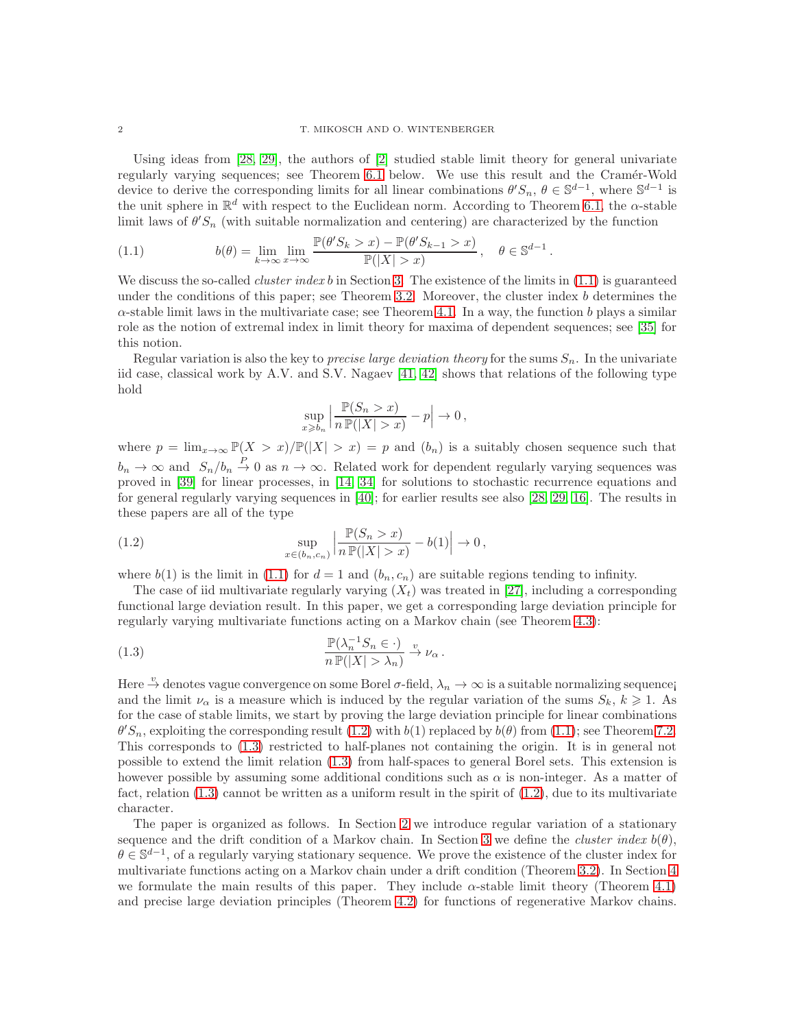Using ideas from [\[28,](#page-29-2) [29\]](#page-29-3), the authors of [\[2\]](#page-28-3) studied stable limit theory for general univariate regularly varying sequences; see Theorem [6.1](#page-19-0) below. We use this result and the Cramér-Wold device to derive the corresponding limits for all linear combinations  $\theta' S_n$ ,  $\theta \in \mathbb{S}^{d-1}$ , where  $\mathbb{S}^{d-1}$  is the unit sphere in  $\mathbb{R}^d$  with respect to the Euclidean norm. According to Theorem [6.1,](#page-19-0) the  $\alpha$ -stable limit laws of  $\theta' S_n$  (with suitable normalization and centering) are characterized by the function

<span id="page-1-0"></span>(1.1) 
$$
b(\theta) = \lim_{k \to \infty} \lim_{x \to \infty} \frac{\mathbb{P}(\theta'S_k > x) - \mathbb{P}(\theta'S_{k-1} > x)}{\mathbb{P}(|X| > x)}, \quad \theta \in \mathbb{S}^{d-1}.
$$

We discuss the so-called *cluster index* b in Section [3.](#page-4-0) The existence of the limits in  $(1.1)$  is guaranteed under the conditions of this paper; see Theorem [3.2.](#page-6-0) Moreover, the cluster index  $b$  determines the  $\alpha$ -stable limit laws in the multivariate case; see Theorem [4.1.](#page-8-0) In a way, the function b plays a similar role as the notion of extremal index in limit theory for maxima of dependent sequences; see [\[35\]](#page-29-4) for this notion.

Regular variation is also the key to *precise large deviation theory* for the sums  $S_n$ . In the univariate iid case, classical work by A.V. and S.V. Nagaev [\[41,](#page-29-5) [42\]](#page-29-6) shows that relations of the following type hold

<span id="page-1-1"></span>
$$
\sup_{x \ge b_n} \left| \frac{\mathbb{P}(S_n > x)}{n \mathbb{P}(|X| > x)} - p \right| \to 0,
$$

where  $p = \lim_{x\to\infty} \mathbb{P}(X > x)/\mathbb{P}(|X| > x) = p$  and  $(b_n)$  is a suitably chosen sequence such that  $b_n \to \infty$  and  $S_n/b_n \stackrel{P}{\to} 0$  as  $n \to \infty$ . Related work for dependent regularly varying sequences was proved in [\[39\]](#page-29-7) for linear processes, in [\[14,](#page-28-4) [34\]](#page-29-8) for solutions to stochastic recurrence equations and for general regularly varying sequences in [\[40\]](#page-29-9); for earlier results see also [\[28,](#page-29-2) [29,](#page-29-3) [16\]](#page-28-0). The results in these papers are all of the type

(1.2) 
$$
\sup_{x \in (b_n, c_n)} \left| \frac{\mathbb{P}(S_n > x)}{n \mathbb{P}(|X| > x)} - b(1) \right| \to 0,
$$

where  $b(1)$  is the limit in [\(1.1\)](#page-1-0) for  $d = 1$  and  $(b_n, c_n)$  are suitable regions tending to infinity.

The case of iid multivariate regularly varying  $(X_t)$  was treated in [\[27\]](#page-29-10), including a corresponding functional large deviation result. In this paper, we get a corresponding large deviation principle for regularly varying multivariate functions acting on a Markov chain (see Theorem [4.3\)](#page-11-0):

<span id="page-1-2"></span>(1.3) 
$$
\frac{\mathbb{P}(\lambda_n^{-1} S_n \in \cdot)}{n \mathbb{P}(|X| > \lambda_n)} \xrightarrow{v} \nu_\alpha.
$$

Here  $\stackrel{v}{\rightarrow}$  denotes vague convergence on some Borel  $\sigma$ -field,  $\lambda_n \to \infty$  is a suitable normalizing sequence and the limit  $\nu_{\alpha}$  is a measure which is induced by the regular variation of the sums  $S_k$ ,  $k \geq 1$ . As for the case of stable limits, we start by proving the large deviation principle for linear combinations  $\theta' S_n$ , exploiting the corresponding result [\(1.2\)](#page-1-1) with  $b(1)$  replaced by  $b(\theta)$  from [\(1.1\)](#page-1-0); see Theorem [7.2.](#page-26-0) This corresponds to [\(1.3\)](#page-1-2) restricted to half-planes not containing the origin. It is in general not possible to extend the limit relation [\(1.3\)](#page-1-2) from half-spaces to general Borel sets. This extension is however possible by assuming some additional conditions such as  $\alpha$  is non-integer. As a matter of fact, relation [\(1.3\)](#page-1-2) cannot be written as a uniform result in the spirit of [\(1.2\)](#page-1-1), due to its multivariate character.

The paper is organized as follows. In Section [2](#page-2-1) we introduce regular variation of a stationary sequence and the drift condition of a Markov chain. In Section [3](#page-4-0) we define the *cluster index*  $b(\theta)$ ,  $\theta \in \mathbb{S}^{d-1}$ , of a regularly varying stationary sequence. We prove the existence of the cluster index for multivariate functions acting on a Markov chain under a drift condition (Theorem [3.2\)](#page-6-0). In Section [4](#page-8-1) we formulate the main results of this paper. They include  $\alpha$ -stable limit theory (Theorem [4.1\)](#page-8-0) and precise large deviation principles (Theorem [4.2\)](#page-11-1) for functions of regenerative Markov chains.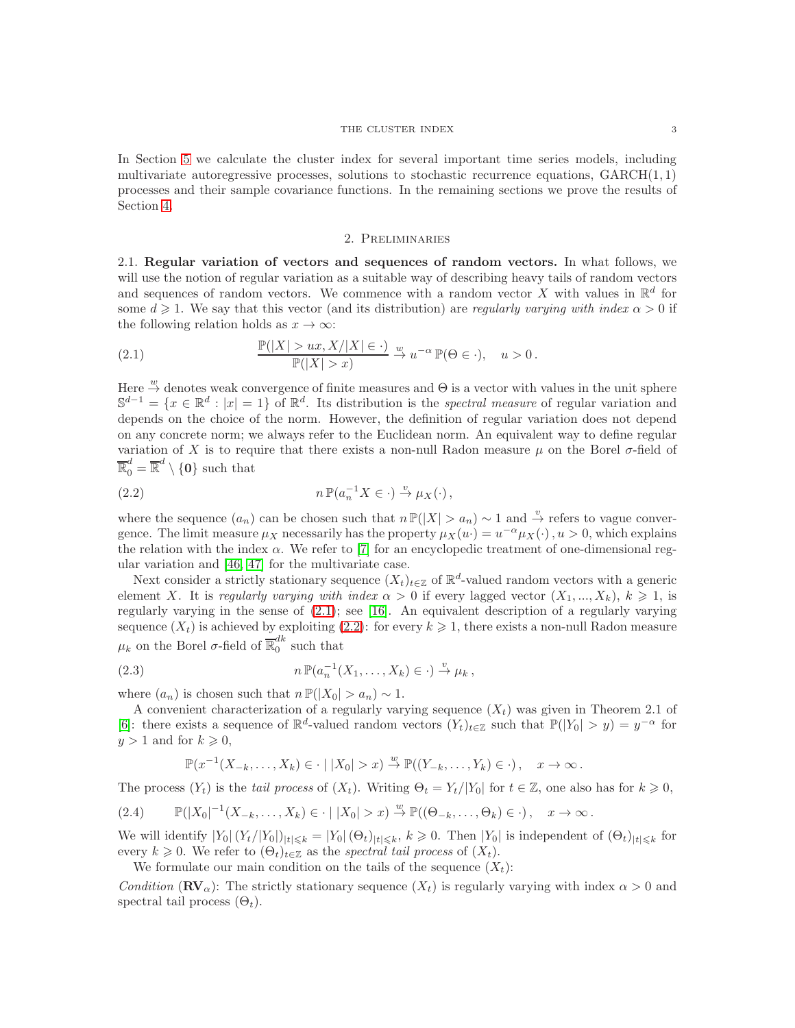#### THE CLUSTER INDEX 3

In Section [5](#page-12-0) we calculate the cluster index for several important time series models, including multivariate autoregressive processes, solutions to stochastic recurrence equations,  $GARCH(1, 1)$ processes and their sample covariance functions. In the remaining sections we prove the results of Section [4.](#page-8-1)

#### 2. Preliminaries

<span id="page-2-1"></span><span id="page-2-0"></span>2.1. Regular variation of vectors and sequences of random vectors. In what follows, we will use the notion of regular variation as a suitable way of describing heavy tails of random vectors and sequences of random vectors. We commence with a random vector X with values in  $\mathbb{R}^d$  for some  $d \geq 1$ . We say that this vector (and its distribution) are *regularly varying with index*  $\alpha > 0$  if the following relation holds as  $x \to \infty$ :

<span id="page-2-2"></span>(2.1) 
$$
\frac{\mathbb{P}(|X| > ux, X/|X| \in \cdot)}{\mathbb{P}(|X| > x)} \xrightarrow{w} u^{-\alpha} \mathbb{P}(\Theta \in \cdot), \quad u > 0.
$$

Here  $\stackrel{w}{\rightarrow}$  denotes weak convergence of finite measures and  $\Theta$  is a vector with values in the unit sphere  $\mathbb{S}^{d-1} = \{x \in \mathbb{R}^d : |x| = 1\}$  of  $\mathbb{R}^d$ . Its distribution is the *spectral measure* of regular variation and depends on the choice of the norm. However, the definition of regular variation does not depend on any concrete norm; we always refer to the Euclidean norm. An equivalent way to define regular variation of X is to require that there exists a non-null Radon measure  $\mu$  on the Borel  $\sigma$ -field of  $\overline{\mathbb{R}}_0^d = \overline{\mathbb{R}}^d \setminus \{0\}$  such that

<span id="page-2-3"></span>(2.2) 
$$
n \mathbb{P}(a_n^{-1} X \in \cdot) \xrightarrow{v} \mu_X(\cdot),
$$

where the sequence  $(a_n)$  can be chosen such that  $n \mathbb{P}(|X| > a_n) \sim 1$  and  $\stackrel{\nu}{\to}$  refers to vague convergence. The limit measure  $\mu_X$  necessarily has the property  $\mu_X(u) = u^{-\alpha} \mu_X(\cdot)$ ,  $u > 0$ , which explains the relation with the index  $\alpha$ . We refer to [\[7\]](#page-28-5) for an encyclopedic treatment of one-dimensional regular variation and [\[46,](#page-29-11) [47\]](#page-29-12) for the multivariate case.

Next consider a strictly stationary sequence  $(X_t)_{t\in\mathbb{Z}}$  of  $\mathbb{R}^d$ -valued random vectors with a generic element X. It is *regularly varying with index*  $\alpha > 0$  if every lagged vector  $(X_1, ..., X_k)$ ,  $k \geq 1$ , is regularly varying in the sense of [\(2.1\)](#page-2-2); see [\[16\]](#page-28-0). An equivalent description of a regularly varying sequence  $(X_t)$  is achieved by exploiting [\(2.2\)](#page-2-3): for every  $k \geq 1$ , there exists a non-null Radon measure  $\mu_k$  on the Borel  $\sigma$ -field of  $\overline{\mathbb{R}}_0^{dk}$  $\frac{a}{0}$  such that

(2.3) 
$$
n \mathbb{P}(a_n^{-1}(X_1,\ldots,X_k) \in \cdot) \stackrel{v}{\to} \mu_k,
$$

where  $(a_n)$  is chosen such that  $n \mathbb{P}(|X_0| > a_n) \sim 1$ .

A convenient characterization of a regularly varying sequence  $(X_t)$  was given in Theorem 2.1 of [\[6\]](#page-28-6): there exists a sequence of  $\mathbb{R}^d$ -valued random vectors  $(Y_t)_{t\in\mathbb{Z}}$  such that  $\mathbb{P}(|Y_0| > y) = y^{-\alpha}$  for  $y > 1$  and for  $k \geq 0$ ,

<span id="page-2-5"></span><span id="page-2-4"></span>
$$
\mathbb{P}(x^{-1}(X_{-k},\ldots,X_k)\in\cdot\mid |X_0|>x)\stackrel{w}{\to}\mathbb{P}((Y_{-k},\ldots,Y_k)\in\cdot),\quad x\to\infty.
$$

The process  $(Y_t)$  is the *tail process* of  $(X_t)$ . Writing  $\Theta_t = Y_t/|Y_0|$  for  $t \in \mathbb{Z}$ , one also has for  $k \geq 0$ ,

$$
(2.4) \qquad \mathbb{P}(|X_0|^{-1}(X_{-k},\ldots,X_k)\in\cdot\mid |X_0|>x)\stackrel{w}{\to}\mathbb{P}((\Theta_{-k},\ldots,\Theta_k)\in\cdot),\quad x\to\infty\,.
$$

We will identify  $|Y_0|(Y_t/|Y_0|)_{|t|\leq k} = |Y_0|(G_t)_{|t|\leq k}, k \geq 0$ . Then  $|Y_0|$  is independent of  $(\Theta_t)_{|t|\leq k}$  for every  $k \geq 0$ . We refer to  $(\Theta_t)_{t \in \mathbb{Z}}$  as the *spectral tail process* of  $(X_t)$ .

We formulate our main condition on the tails of the sequence  $(X_t)$ :

*Condition* ( $\mathbf{RV}_{\alpha}$ ): The strictly stationary sequence  $(X_t)$  is regularly varying with index  $\alpha > 0$  and spectral tail process  $(\Theta_t)$ .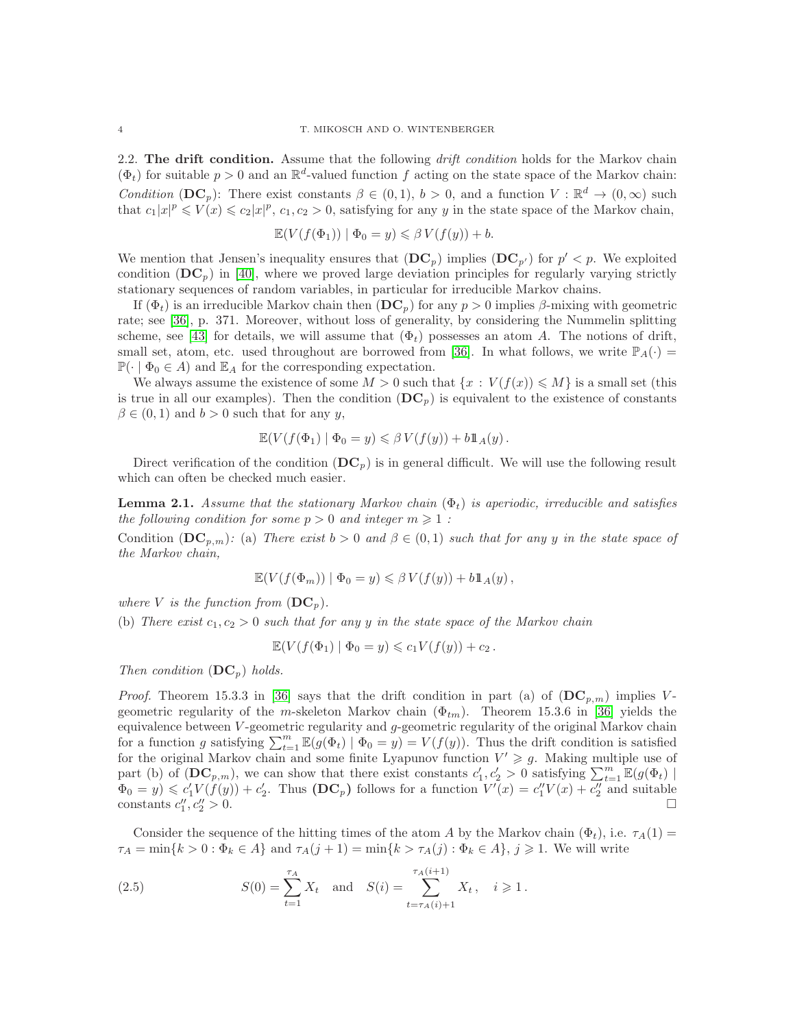<span id="page-3-2"></span>2.2. The drift condition. Assume that the following *drift condition* holds for the Markov chain  $(\Phi_t)$  for suitable  $p > 0$  and an  $\mathbb{R}^d$ -valued function f acting on the state space of the Markov chain: *Condition* (DC<sub>p</sub>): There exist constants  $\beta \in (0,1)$ ,  $b > 0$ , and a function  $V : \mathbb{R}^d \to (0,\infty)$  such that  $c_1|x|^p \leq V(x) \leq c_2|x|^p$ ,  $c_1, c_2 > 0$ , satisfying for any y in the state space of the Markov chain,

$$
\mathbb{E}(V(f(\Phi_1)) | \Phi_0 = y) \leq \beta V(f(y)) + b.
$$

We mention that Jensen's inequality ensures that  $(DC_p)$  implies  $(DC_{p'})$  for  $p' < p$ . We exploited condition  $(DC_p)$  in [\[40\]](#page-29-9), where we proved large deviation principles for regularly varying strictly stationary sequences of random variables, in particular for irreducible Markov chains.

If  $(\Phi_t)$  is an irreducible Markov chain then  $(D\mathbf{C}_p)$  for any  $p > 0$  implies  $\beta$ -mixing with geometric rate; see [\[36\]](#page-29-13), p. 371. Moreover, without loss of generality, by considering the Nummelin splitting scheme, see [\[43\]](#page-29-14) for details, we will assume that  $(\Phi_t)$  possesses an atom A. The notions of drift, small set, atom, etc. used throughout are borrowed from [\[36\]](#page-29-13). In what follows, we write  $\mathbb{P}_A(\cdot)$  =  $\mathbb{P}(\cdot \mid \Phi_0 \in A)$  and  $\mathbb{E}_A$  for the corresponding expectation.

We always assume the existence of some  $M > 0$  such that  $\{x : V(f(x)) \leq M\}$  is a small set (this is true in all our examples). Then the condition  $(DC_p)$  is equivalent to the existence of constants  $\beta \in (0, 1)$  and  $b > 0$  such that for any y,

$$
\mathbb{E}(V(f(\Phi_1) \mid \Phi_0 = y) \leq \beta V(f(y)) + b1\mathbb{1}_A(y).
$$

Direct verification of the condition  $(DC_p)$  is in general difficult. We will use the following result which can often be checked much easier.

<span id="page-3-1"></span>**Lemma 2.1.** Assume that the stationary Markov chain  $(\Phi_t)$  is aperiodic, irreducible and satisfies *the following condition for some*  $p > 0$  *and integer*  $m \geq 1$ :

Condition  $(DC_{p,m})$ : (a) *There exist*  $b > 0$  *and*  $\beta \in (0,1)$  *such that for any* y *in the state space of the Markov chain,*

$$
\mathbb{E}(V(f(\Phi_m)) | \Phi_0 = y) \leq \beta V(f(y)) + b \mathbb{1}_A(y),
$$

*where V is the function from*  $(DC_p)$ *.* 

(b) There exist  $c_1, c_2 > 0$  such that for any y in the state space of the Markov chain

$$
\mathbb{E}(V(f(\Phi_1) \mid \Phi_0 = y) \leqslant c_1 V(f(y)) + c_2.
$$

*Then condition*  $(DC_p)$  *holds.* 

*Proof.* Theorem 15.3.3 in [\[36\]](#page-29-13) says that the drift condition in part (a) of  $(DC_{p,m})$  implies Vgeometric regularity of the m-skeleton Markov chain  $(\Phi_{tm})$ . Theorem 15.3.6 in [\[36\]](#page-29-13) yields the equivalence between  $V$ -geometric regularity and  $g$ -geometric regularity of the original Markov chain for a function g satisfying  $\sum_{t=1}^m \mathbb{E}(g(\Phi_t) | \Phi_0 = y) = V(f(y))$ . Thus the drift condition is satisfied for the original Markov chain and some finite Lyapunov function  $V' \geq g$ . Making multiple use of part (b) of  $(DC_{p,m})$ , we can show that there exist constants  $c'_1, c'_2 > 0$  satisfying  $\sum_{t=1}^{m} \mathbb{E}(g(\Phi_t))$  $\Phi_0 = y$   $\leq c_1 V(f(y)) + c_2'$ . Thus  $(DC_p)$  follows for a function  $V'(x) = c_1'V(x) + c_2''$  and suitable constants  $c''_1, c''_2$  $\frac{n}{2} > 0.$ 

Consider the sequence of the hitting times of the atom A by the Markov chain  $(\Phi_t)$ , i.e.  $\tau_A(1)$  $\tau_A = \min\{k > 0 : \Phi_k \in A\}$  and  $\tau_A(j+1) = \min\{k > \tau_A(j) : \Phi_k \in A\}, \ j \geq 1$ . We will write

<span id="page-3-0"></span>(2.5) 
$$
S(0) = \sum_{t=1}^{\tau_A} X_t \text{ and } S(i) = \sum_{t=\tau_A(i)+1}^{\tau_A(i+1)} X_t, \quad i \geq 1.
$$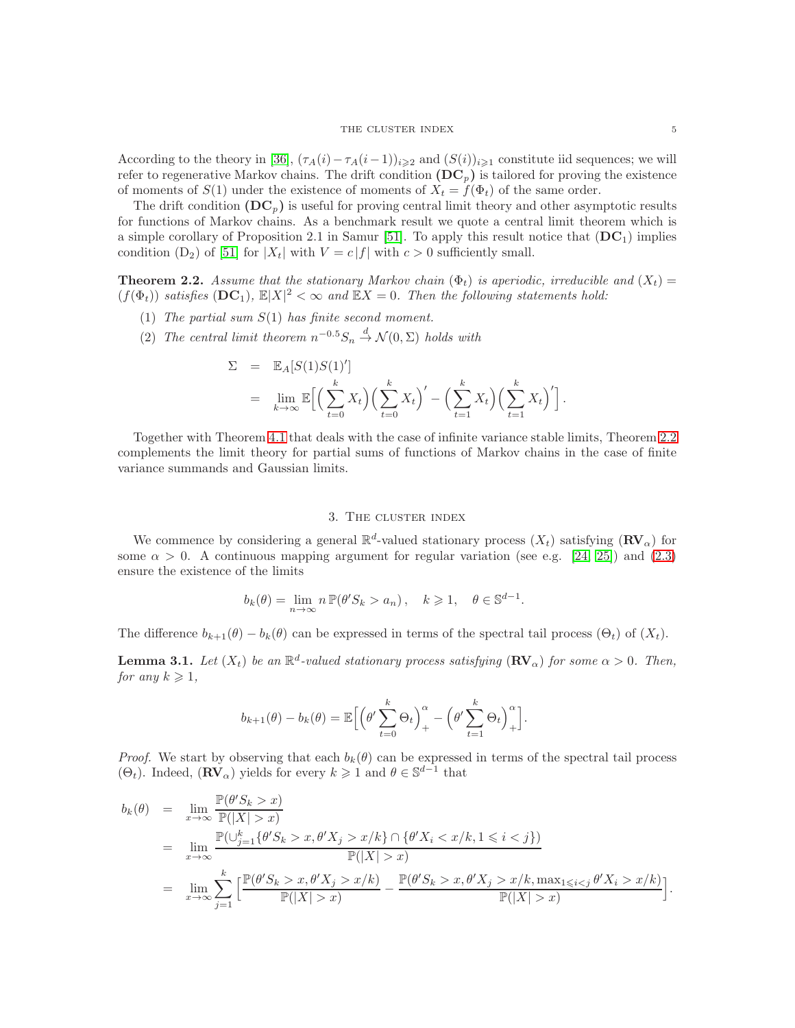According to the theory in [\[36\]](#page-29-13),  $(\tau_A(i)-\tau_A(i-1))_{i\geqslant2}$  and  $(S(i))_{i\geqslant1}$  constitute iid sequences; we will refer to regenerative Markov chains. The drift condition  $(DC_p)$  is tailored for proving the existence of moments of  $S(1)$  under the existence of moments of  $X_t = f(\Phi_t)$  of the same order.

The drift condition  $(DC_p)$  is useful for proving central limit theory and other asymptotic results for functions of Markov chains. As a benchmark result we quote a central limit theorem which is a simple corollary of Proposition 2.1 in Samur [\[51\]](#page-29-15). To apply this result notice that  $(DC_1)$  implies condition  $(D_2)$  of [\[51\]](#page-29-15) for  $|X_t|$  with  $V = c |f|$  with  $c > 0$  sufficiently small.

<span id="page-4-1"></span>**Theorem 2.2.** Assume that the stationary Markov chain  $(\Phi_t)$  is aperiodic, irreducible and  $(X_t)$  $(f(\Phi_t))$  satisfies  $(DC_1)$ ,  $\mathbb{E}|X|^2 < \infty$  and  $\mathbb{E}X = 0$ . Then the following statements hold:

- (1) *The partial sum* S(1) *has finite second moment.*
- (2) *The central limit theorem*  $n^{-0.5}S_n \stackrel{d}{\rightarrow} \mathcal{N}(0, \Sigma)$  *holds with*

$$
\Sigma = \mathbb{E}_A[S(1)S(1)']
$$
  
= 
$$
\lim_{k \to \infty} \mathbb{E}\Big[\Big(\sum_{t=0}^k X_t\Big)\Big(\sum_{t=0}^k X_t\Big)' - \Big(\sum_{t=1}^k X_t\Big)\Big(\sum_{t=1}^k X_t\Big)'\Big].
$$

Together with Theorem [4.1](#page-8-0) that deals with the case of infinite variance stable limits, Theorem [2.2](#page-4-1) complements the limit theory for partial sums of functions of Markov chains in the case of finite variance summands and Gaussian limits.

### 3. The cluster index

<span id="page-4-0"></span>We commence by considering a general  $\mathbb{R}^d$ -valued stationary process  $(X_t)$  satisfying  $(\mathbf{RV}_\alpha)$  for some  $\alpha > 0$ . A continuous mapping argument for regular variation (see e.g. [\[24,](#page-29-16) [25\]](#page-29-17)) and [\(2.3\)](#page-2-4) ensure the existence of the limits

$$
b_k(\theta) = \lim_{n \to \infty} n \, \mathbb{P}(\theta' S_k > a_n), \quad k \geqslant 1, \quad \theta \in \mathbb{S}^{d-1}.
$$

The difference  $b_{k+1}(\theta) - b_k(\theta)$  can be expressed in terms of the spectral tail process  $(\Theta_t)$  of  $(X_t)$ .

**Lemma 3.1.** Let  $(X_t)$  be an  $\mathbb{R}^d$ -valued stationary process satisfying  $(\mathbb{RV}_\alpha)$  for some  $\alpha > 0$ . Then, *for any*  $k \geq 1$ *,* 

$$
b_{k+1}(\theta) - b_k(\theta) = \mathbb{E}\Big[\Big(\theta' \sum_{t=0}^k \Theta_t\Big)_+^{\alpha} - \Big(\theta' \sum_{t=1}^k \Theta_t\Big)_+^{\alpha}\Big].
$$

*Proof.* We start by observing that each  $b_k(\theta)$  can be expressed in terms of the spectral tail process  $(\Theta_t)$ . Indeed,  $(\mathbf{RV}_\alpha)$  yields for every  $k \geq 1$  and  $\theta \in \mathbb{S}^{d-1}$  that

$$
b_k(\theta) = \lim_{x \to \infty} \frac{\mathbb{P}(\theta' S_k > x)}{\mathbb{P}(|X| > x)}
$$
  
= 
$$
\lim_{x \to \infty} \frac{\mathbb{P}(\cup_{j=1}^k {\theta' S_k > x, \theta' X_j > x/k} \cap {\theta' X_i < x/k, 1 \leq i < j})}{\mathbb{P}(|X| > x)}
$$
  
= 
$$
\lim_{x \to \infty} \sum_{j=1}^k \left[ \frac{\mathbb{P}(\theta' S_k > x, \theta' X_j > x/k)}{\mathbb{P}(|X| > x)} - \frac{\mathbb{P}(\theta' S_k > x, \theta' X_j > x/k, \max_{1 \leq i < j} \theta' X_i > x/k)}{\mathbb{P}(|X| > x)} \right].
$$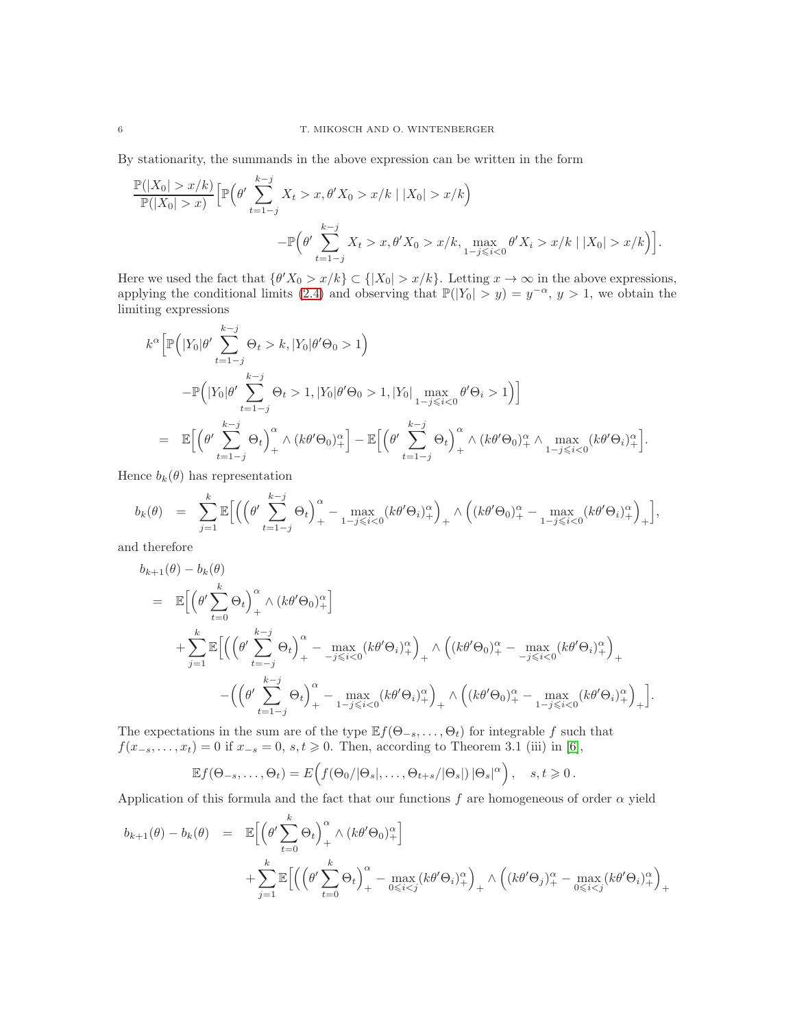By stationarity, the summands in the above expression can be written in the form

$$
\frac{\mathbb{P}(|X_0| > x/k)}{\mathbb{P}(|X_0| > x)} \Big[ \mathbb{P}\Big(\theta' \sum_{t=1-j}^{k-j} X_t > x, \theta' X_0 > x/k \mid |X_0| > x/k\Big) - \mathbb{P}\Big(\theta' \sum_{t=1-j}^{k-j} X_t > x, \theta' X_0 > x/k, \max_{1-j \leq i < 0} \theta' X_i > x/k \mid |X_0| > x/k\Big)\Big].
$$

Here we used the fact that  $\{\theta'X_0 > x/k\} \subset \{|X_0| > x/k\}$ . Letting  $x \to \infty$  in the above expressions, applying the conditional limits [\(2.4\)](#page-2-5) and observing that  $\mathbb{P}(|Y_0| > y) = y^{-\alpha}, y > 1$ , we obtain the limiting expressions

$$
k^{\alpha} \Big[ \mathbb{P} \Big( |Y_0| \theta' \sum_{t=1-j}^{k-j} \Theta_t > k, |Y_0| \theta' \Theta_0 > 1 \Big)
$$
  

$$
- \mathbb{P} \Big( |Y_0| \theta' \sum_{t=1-j}^{k-j} \Theta_t > 1, |Y_0| \theta' \Theta_0 > 1, |Y_0| \max_{1-j \leq i < 0} \theta' \Theta_i > 1 \Big) \Big]
$$
  

$$
= \mathbb{E} \Big[ \Big( \theta' \sum_{t=1-j}^{k-j} \Theta_t \Big)_{+}^{\alpha} \wedge \big( k \theta' \Theta_0 \big)_{+}^{\alpha} \Big] - \mathbb{E} \Big[ \Big( \theta' \sum_{t=1-j}^{k-j} \Theta_t \Big)_{+}^{\alpha} \wedge \big( k \theta' \Theta_0 \big)_{+}^{\alpha} \wedge \max_{1-j \leq i < 0} \big( k \theta' \Theta_i \big)_{+}^{\alpha} \Big].
$$

Hence  $b_k(\theta)$  has representation

$$
b_k(\theta) = \sum_{j=1}^k \mathbb{E}\Big[\Big(\Big(\theta' \sum_{t=1-j}^{k-j} \Theta_t\Big)_+^{\alpha} - \max_{1-j \leq i < 0} (k\theta' \Theta_i)_+^{\alpha}\Big)_+ \wedge \Big((k\theta' \Theta_0)_+^{\alpha} - \max_{1-j \leq i < 0} (k\theta' \Theta_i)_+^{\alpha}\Big)_+\Big],
$$

and therefore

$$
b_{k+1}(\theta) - b_k(\theta)
$$
  
\n
$$
= \mathbb{E}\Big[\Big(\theta' \sum_{t=0}^k \Theta_t\Big)_+^{\alpha} \wedge (k\theta' \Theta_0)_+^{\alpha}\Big] + \sum_{j=1}^k \mathbb{E}\Big[\Big(\Big(\theta' \sum_{t=-j}^{k-j} \Theta_t\Big)_+^{\alpha} - \max_{-j \leq i < 0} (k\theta' \Theta_i)_+^{\alpha}\Big)_+ \wedge \Big((k\theta' \Theta_0)_+^{\alpha} - \max_{-j \leq i < 0} (k\theta' \Theta_i)_+^{\alpha}\Big)_+ - \Big(\Big(\theta' \sum_{t=1-j}^{k-j} \Theta_t\Big)_+^{\alpha} - \max_{1-j \leq i < 0} (k\theta' \Theta_i)_+^{\alpha}\Big)_+ \wedge \Big((k\theta' \Theta_0)_+^{\alpha} - \max_{1-j \leq i < 0} (k\theta' \Theta_i)_+^{\alpha}\Big)_+ \Big].
$$

The expectations in the sum are of the type  $\mathbb{E} f(\Theta_{-s}, \ldots, \Theta_t)$  for integrable f such that  $f(x_{-s},...,x_t) = 0$  if  $x_{-s} = 0$ ,  $s,t \ge 0$ . Then, according to Theorem 3.1 (iii) in [\[6\]](#page-28-6),

$$
\mathbb{E}f(\Theta_{-s},\ldots,\Theta_t)=E\Big(f(\Theta_0/|\Theta_s|,\ldots,\Theta_{t+s}/|\Theta_s|)\,|\Theta_s|^\alpha\Big),\quad s,t\geqslant 0\,.
$$

Application of this formula and the fact that our functions f are homogeneous of order  $\alpha$  yield

$$
b_{k+1}(\theta) - b_k(\theta) = \mathbb{E}\Big[\Big(\theta' \sum_{t=0}^k \Theta_t\Big)_{+}^{\alpha} \wedge (k\theta' \Theta_0)_{+}^{\alpha}\Big] + \sum_{j=1}^k \mathbb{E}\Big[\Big(\Big(\theta' \sum_{t=0}^k \Theta_t\Big)_{+}^{\alpha} - \max_{0 \leq i < j} (k\theta' \Theta_i)_{+}^{\alpha}\Big)_{+} \wedge \Big((k\theta' \Theta_j)_{+}^{\alpha} - \max_{0 \leq i < j} (k\theta' \Theta_i)_{+}^{\alpha}\Big)_{+}
$$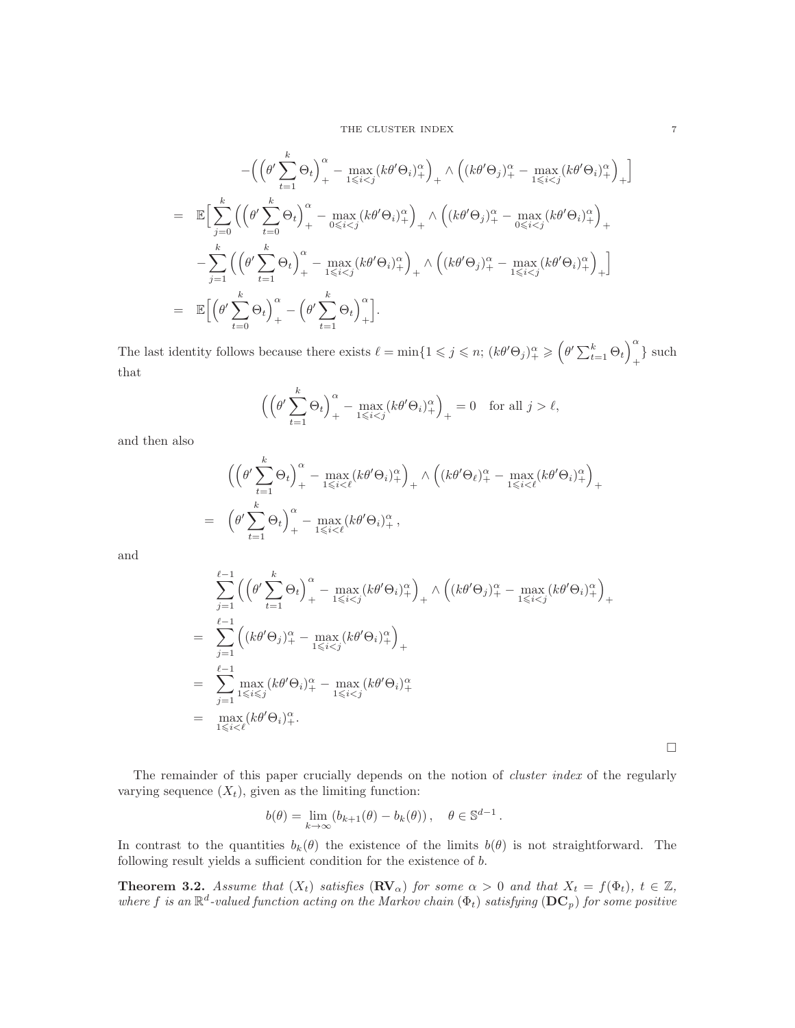#### THE CLUSTER INDEX 7

$$
-\left(\left(\theta'\sum_{t=1}^{k}\Theta_{t}\right)_{+}^{\alpha}-\max_{1\leqslant i\n
$$
=\mathbb{E}\Big[\sum_{j=0}^{k}\left(\left(\theta'\sum_{t=0}^{k}\Theta_{t}\right)_{+}^{\alpha}-\max_{0\leqslant i\n
$$
-\sum_{j=1}^{k}\left(\left(\theta'\sum_{t=1}^{k}\Theta_{t}\right)_{+}^{\alpha}-\max_{1\leqslant i\n
$$
=\mathbb{E}\Big[\left(\theta'\sum_{t=0}^{k}\Theta_{t}\right)_{+}^{\alpha}-\left(\theta'\sum_{t=1}^{k}\Theta_{t}\right)_{+}^{\alpha}\Big].
$$
$$
$$
$$

The last identity follows because there exists  $\ell = \min\{1 \leq \tilde{j} \leq n; (k\theta'\Theta_j)_{+}^{\alpha} \geq (\theta' \sum_{t=1}^{k} \Theta_t)_{+}^{\alpha} \}$  $_{+}$ } such that

$$
\left( \left( \theta' \sum_{t=1}^k \Theta_t \right)_+^{\alpha} - \max_{1 \leqslant i < j} \left( k \theta' \Theta_i \right)_+^{\alpha} \right)_+ = 0 \quad \text{for all } j > \ell,
$$

and then also

$$
\begin{split}\n&\left(\left(\theta'\sum_{t=1}^{k}\Theta_{t}\right)_{+}^{\alpha}-\max_{1\leqslant i<\ell}(k\theta'\Theta_{i})_{+}^{\alpha}\right)_{+}\wedge\left((k\theta'\Theta_{\ell})_{+}^{\alpha}-\max_{1\leqslant i<\ell}(k\theta'\Theta_{i})_{+}^{\alpha}\right)_{+} \\
&=\left(\theta'\sum_{t=1}^{k}\Theta_{t}\right)_{+}^{\alpha}-\max_{1\leqslant i<\ell}(k\theta'\Theta_{i})_{+}^{\alpha},\n\end{split}
$$

and

$$
\sum_{j=1}^{\ell-1} \left( \left( \theta' \sum_{t=1}^k \Theta_t \right)_+^{\alpha} - \max_{1 \leq i < j} (k \theta' \Theta_i)_+^{\alpha} \right)_+ \wedge \left( (k \theta' \Theta_j)_+^{\alpha} - \max_{1 \leq i < j} (k \theta' \Theta_i)_+^{\alpha} \right)_+
$$
\n
$$
= \sum_{j=1}^{\ell-1} \left( (k \theta' \Theta_j)_+^{\alpha} - \max_{1 \leq i < j} (k \theta' \Theta_i)_+^{\alpha} \right)_+
$$
\n
$$
= \sum_{j=1}^{\ell-1} \max_{1 \leq i \leq j} (k \theta' \Theta_i)_+^{\alpha} - \max_{1 \leq i < j} (k \theta' \Theta_i)_+^{\alpha}
$$
\n
$$
= \max_{1 \leq i < \ell} (k \theta' \Theta_i)_+^{\alpha}.
$$

 $\Box$ 

The remainder of this paper crucially depends on the notion of *cluster index* of the regularly varying sequence  $(X_t)$ , given as the limiting function:

$$
b(\theta) = \lim_{k \to \infty} (b_{k+1}(\theta) - b_k(\theta)), \quad \theta \in \mathbb{S}^{d-1}.
$$

In contrast to the quantities  $b_k(\theta)$  the existence of the limits  $b(\theta)$  is not straightforward. The following result yields a sufficient condition for the existence of b.

<span id="page-6-0"></span>**Theorem 3.2.** Assume that  $(X_t)$  satisfies  $(\mathbf{R}\mathbf{V}_{\alpha})$  for some  $\alpha > 0$  and that  $X_t = f(\Phi_t)$ ,  $t \in \mathbb{Z}$ , where f is an  $\mathbb{R}^d$ -valued function acting on the Markov chain  $(\Phi_t)$  satisfying  $(D\mathbf{C}_p)$  for some positive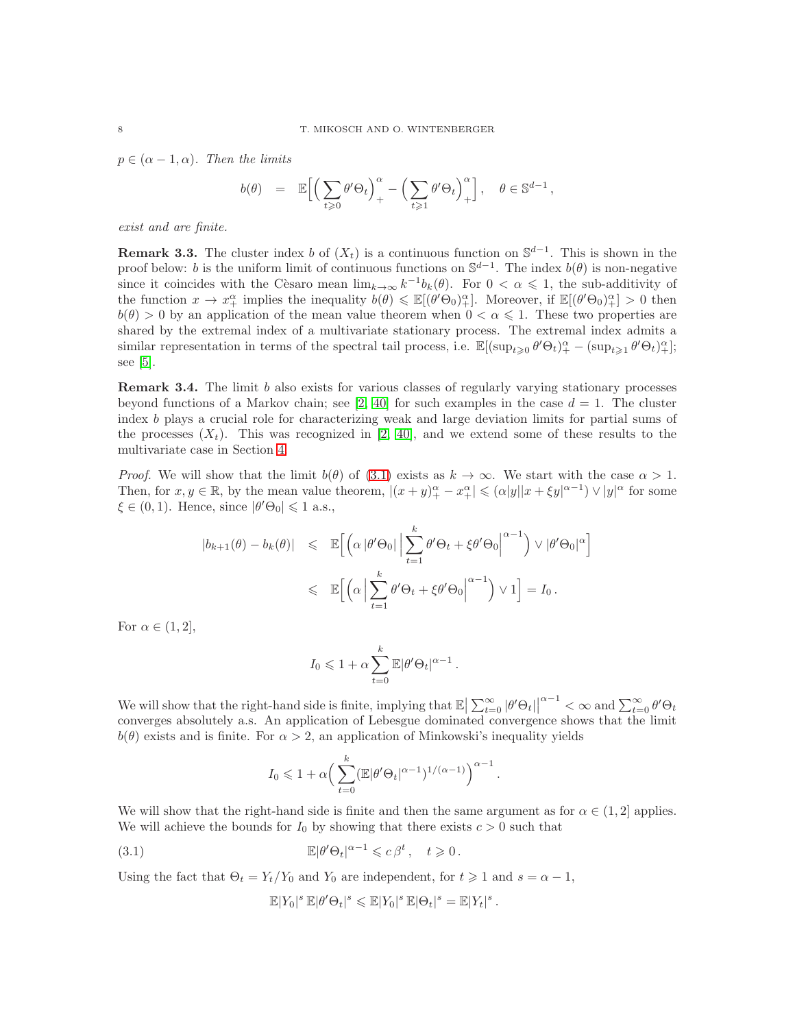$p \in (\alpha - 1, \alpha)$ *. Then the limits* 

$$
b(\theta) = \mathbb{E}\Big[\Big(\sum_{t\geqslant 0}\theta'\Theta_t\Big)_+^\alpha - \Big(\sum_{t\geqslant 1}\theta'\Theta_t\Big)_+^\alpha\Big], \quad \theta\in\mathbb{S}^{d-1}\,,
$$

*exist and are finite.*

**Remark 3.3.** The cluster index b of  $(X_t)$  is a continuous function on  $\mathbb{S}^{d-1}$ . This is shown in the proof below: b is the uniform limit of continuous functions on  $\mathbb{S}^{d-1}$ . The index  $b(\theta)$  is non-negative since it coincides with the Cesaro mean  $\lim_{k\to\infty} k^{-1}b_k(\theta)$ . For  $0 < \alpha \leq 1$ , the sub-additivity of the function  $x \to x_+^{\alpha}$  implies the inequality  $b(\theta) \leq \mathbb{E}[(\theta' \Theta_0)_+^{\alpha}]$ . Moreover, if  $\mathbb{E}[(\theta' \Theta_0)_+^{\alpha}] > 0$  then  $b(\theta) > 0$  by an application of the mean value theorem when  $0 < \alpha \leq 1$ . These two properties are shared by the extremal index of a multivariate stationary process. The extremal index admits a similar representation in terms of the spectral tail process, i.e.  $\mathbb{E}[(\sup_{t\geqslant0}\theta'\Theta_t)_+^{\alpha} - (\sup_{t\geqslant1}\theta'\Theta_t)_+^{\alpha}];$ see [\[5\]](#page-28-1).

**Remark 3.4.** The limit b also exists for various classes of regularly varying stationary processes beyond functions of a Markov chain; see [\[2,](#page-28-3) [40\]](#page-29-9) for such examples in the case  $d = 1$ . The cluster index b plays a crucial role for characterizing weak and large deviation limits for partial sums of the processes  $(X_t)$ . This was recognized in [\[2,](#page-28-3) [40\]](#page-29-9), and we extend some of these results to the multivariate case in Section [4.](#page-8-1)

*Proof.* We will show that the limit  $b(\theta)$  of (3.1) exists as  $k \to \infty$ . We start with the case  $\alpha > 1$ . Then, for  $x, y \in \mathbb{R}$ , by the mean value theorem,  $|(x + y)_{+}^{\alpha} - x_{+}^{\alpha}| \leqslant (\alpha |y||x + \xi y|^{\alpha-1}) \vee |y|^{\alpha}$  for some  $\xi \in (0,1)$ . Hence, since  $|\theta' \Theta_0| \leq 1$  a.s.,

$$
\begin{array}{rcl} |b_{k+1}(\theta)-b_k(\theta)| & \leqslant & \mathbb{E}\Big[\Big(\alpha\,|\theta'\Theta_0|\,\Big|\sum_{t=1}^k\theta'\Theta_t+\xi\theta'\Theta_0\Big|^{\alpha-1}\Big) \vee |\theta'\Theta_0|^{\alpha}\Big] \\ \\ & \leqslant & \mathbb{E}\Big[\Big(\alpha\,\Big|\sum_{t=1}^k\theta'\Theta_t+\xi\theta'\Theta_0\Big|^{\alpha-1}\Big) \vee 1\Big]=I_0 \, .\end{array}
$$

For  $\alpha \in (1,2],$ 

$$
I_0 \leq 1 + \alpha \sum_{t=0}^k \mathbb{E} |\theta' \Theta_t|^{\alpha - 1}.
$$

We will show that the right-hand side is finite, implying that  $\mathbb{E} \left| \sum_{t=0}^{\infty} |\theta' \Theta_t| \right|^{\alpha-1} < \infty$  and  $\sum_{t=0}^{\infty} \theta' \Theta_t$ converges absolutely a.s. An application of Lebesgue dominated convergence shows that the limit  $b(\theta)$  exists and is finite. For  $\alpha > 2$ , an application of Minkowski's inequality yields

$$
I_0 \leqslant 1 + \alpha \Big( \sum_{t=0}^k (\mathbb{E}|\theta' \Theta_t|^{\alpha-1})^{1/(\alpha-1)} \Big)^{\alpha-1} \, .
$$

We will show that the right-hand side is finite and then the same argument as for  $\alpha \in (1, 2]$  applies. We will achieve the bounds for  $I_0$  by showing that there exists  $c > 0$  such that

(3.1) 
$$
\mathbb{E}|\theta'\Theta_t|^{\alpha-1}\leqslant c\,\beta^t\,,\quad t\geqslant 0\,.
$$

Using the fact that  $\Theta_t = Y_t/Y_0$  and  $Y_0$  are independent, for  $t \geq 1$  and  $s = \alpha - 1$ ,

<span id="page-7-0"></span>
$$
\mathbb{E}|Y_0|^s \mathbb{E}|\theta'\Theta_t|^s \leqslant \mathbb{E}|Y_0|^s \mathbb{E}|\Theta_t|^s = \mathbb{E}|Y_t|^s.
$$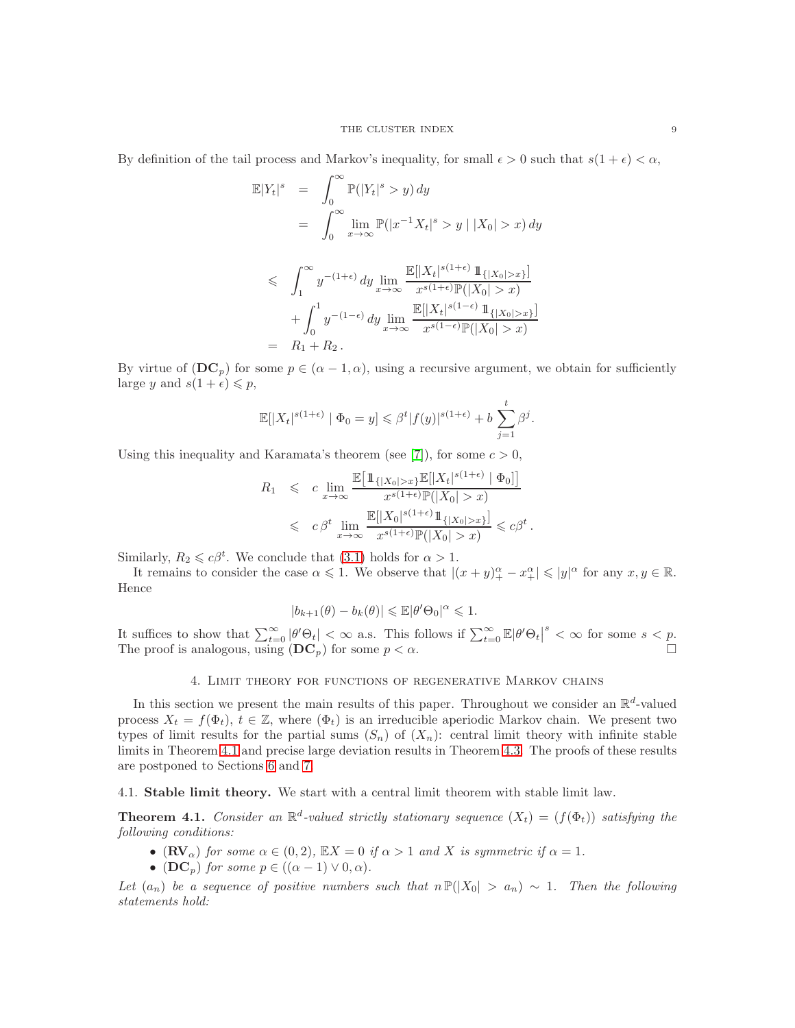By definition of the tail process and Markov's inequality, for small  $\epsilon > 0$  such that  $s(1 + \epsilon) < \alpha$ ,

$$
\mathbb{E}|Y_t|^s = \int_0^\infty \mathbb{P}(|Y_t|^s > y) dy
$$
  
\n
$$
= \int_0^\infty \lim_{x \to \infty} \mathbb{P}(|x^{-1}X_t|^s > y | |X_0| > x) dy
$$
  
\n
$$
\leq \int_1^\infty y^{-(1+\epsilon)} dy \lim_{x \to \infty} \frac{\mathbb{E}[|X_t|^{s(1+\epsilon)} 1\!\!1_{\{|X_0| > x\}}]}{x^{s(1+\epsilon)} \mathbb{P}(|X_0| > x)}
$$
  
\n
$$
+ \int_0^1 y^{-(1-\epsilon)} dy \lim_{x \to \infty} \frac{\mathbb{E}[|X_t|^{s(1-\epsilon)} 1\!\!1_{\{|X_0| > x\}}]}{x^{s(1-\epsilon)} \mathbb{P}(|X_0| > x)}
$$
  
\n
$$
= R_1 + R_2.
$$

By virtue of  $(DC_p)$  for some  $p \in (\alpha - 1, \alpha)$ , using a recursive argument, we obtain for sufficiently large y and  $s(1+\epsilon) \leq p$ ,

$$
\mathbb{E}[|X_t|^{s(1+\epsilon)} \mid \Phi_0 = y] \leq \beta^t |f(y)|^{s(1+\epsilon)} + b \sum_{j=1}^t \beta^j.
$$

Using this inequality and Karamata's theorem (see [\[7\]](#page-28-5)), for some  $c > 0$ ,

$$
\begin{array}{lcl} R_1 & \leqslant & c \lim\limits_{x \rightarrow \infty} \frac{\mathbb{E}\big[\mathbbm{1}_{\{|X_0|>x\}}\mathbb{E}[|X_t|^{s(1+\epsilon)}\mid\Phi_0]\big]}{x^{s(1+\epsilon)}\mathbb{P}(|X_0|>x)} \\ & \leqslant & c\,\beta^t \lim\limits_{x \rightarrow \infty} \frac{\mathbb{E}[|X_0|^{s(1+\epsilon)}\mathbbm{1}_{\{|X_0|>x\}}]}{x^{s(1+\epsilon)}\mathbb{P}(|X_0|>x)} \leqslant c\beta^t \, . \end{array}
$$

Similarly,  $R_2 \leq c\beta^t$ . We conclude that [\(3.1\)](#page-7-0) holds for  $\alpha > 1$ .

It remains to consider the case  $\alpha \leqslant 1$ . We observe that  $|(x + y)_{+}^{\alpha} - x_{+}^{\alpha}| \leqslant |y|^{\alpha}$  for any  $x, y \in \mathbb{R}$ . Hence

$$
|b_{k+1}(\theta) - b_k(\theta)| \leq \mathbb{E} |\theta' \Theta_0|^{\alpha} \leq 1.
$$

It suffices to show that  $\sum_{t=0}^{\infty} |\theta' \Theta_t| < \infty$  a.s. This follows if  $\sum_{t=0}^{\infty} \mathbb{E} |\theta' \Theta_t|^s < \infty$  for some  $s < p$ . The proof is analogous, using  $(DC_p)$  for some  $p < \alpha$ .

## 4. Limit theory for functions of regenerative Markov chains

<span id="page-8-1"></span>In this section we present the main results of this paper. Throughout we consider an  $\mathbb{R}^d$ -valued process  $X_t = f(\Phi_t)$ ,  $t \in \mathbb{Z}$ , where  $(\Phi_t)$  is an irreducible aperiodic Markov chain. We present two types of limit results for the partial sums  $(S_n)$  of  $(X_n)$ : central limit theory with infinite stable limits in Theorem [4.1](#page-8-0) and precise large deviation results in Theorem [4.3.](#page-11-0) The proofs of these results are postponed to Sections [6](#page-19-1) and [7.](#page-24-0)

4.1. Stable limit theory. We start with a central limit theorem with stable limit law.

<span id="page-8-0"></span>**Theorem 4.1.** *Consider an*  $\mathbb{R}^d$ -valued strictly stationary sequence  $(X_t) = (f(\Phi_t))$  satisfying the *following conditions:*

- $(\mathbf{RV}_\alpha)$  *for some*  $\alpha \in (0, 2)$ *,*  $\mathbb{E}X = 0$  *if*  $\alpha > 1$  *and* X *is symmetric if*  $\alpha = 1$ *.*
- (DC<sub>p</sub>) *for some*  $p \in ((\alpha 1) \vee 0, \alpha)$ *.*

*Let*  $(a_n)$  *be a sequence of positive numbers such that*  $n \mathbb{P}(|X_0| > a_n) \sim 1$ *. Then the following statements hold:*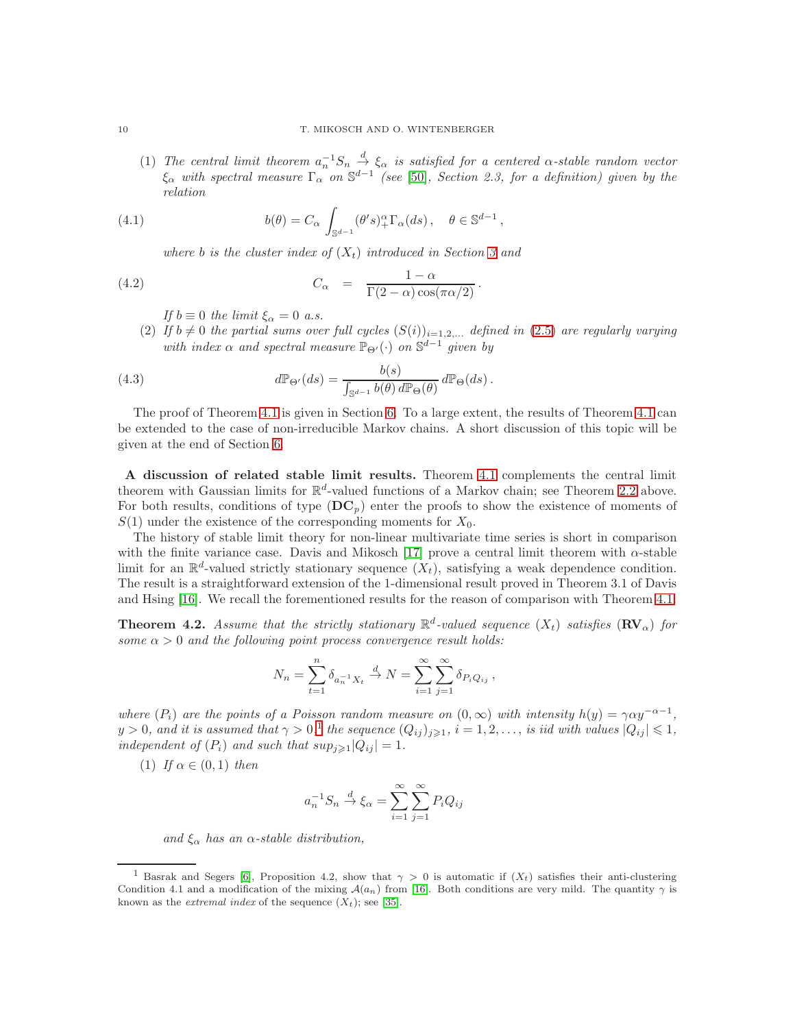(1) The central limit theorem  $a_n^{-1}S_n \stackrel{d}{\to} \xi_\alpha$  is satisfied for a centered  $\alpha$ -stable random vector  $\xi_{\alpha}$  with spectral measure  $\Gamma_{\alpha}$  on  $\mathbb{S}^{d-1}$  (see [\[50\]](#page-29-1), Section 2.3, for a definition) given by the *relation*

(4.1) 
$$
b(\theta) = C_{\alpha} \int_{\mathbb{S}^{d-1}} (\theta' s)_+^{\alpha} \Gamma_{\alpha}(ds), \quad \theta \in \mathbb{S}^{d-1},
$$

*where b is the cluster index of*  $(X_t)$  *introduced in Section* [3](#page-4-0) *and* 

(4.2) 
$$
C_{\alpha} = \frac{1-\alpha}{\Gamma(2-\alpha)\cos(\pi\alpha/2)}.
$$

*If*  $b \equiv 0$  *the limit*  $\xi_{\alpha} = 0$  *a.s.* 

(2) If  $b \neq 0$  the partial sums over full cycles  $(S(i))_{i=1,2,\dots}$  defined in [\(2.5\)](#page-3-0) are regularly varying *with index*  $\alpha$  *and spectral measure*  $\mathbb{P}_{\Theta}(\cdot)$  *on*  $\mathbb{S}^{d-1}$  *given by* 

(4.3) 
$$
d\mathbb{P}_{\Theta'}(ds) = \frac{b(s)}{\int_{\mathbb{S}^{d-1}} b(\theta) d\mathbb{P}_{\Theta}(\theta)} d\mathbb{P}_{\Theta}(ds).
$$

The proof of Theorem [4.1](#page-8-0) is given in Section [6.](#page-19-1) To a large extent, the results of Theorem [4.1](#page-8-0) can be extended to the case of non-irreducible Markov chains. A short discussion of this topic will be given at the end of Section [6.](#page-19-1)

A discussion of related stable limit results. Theorem [4.1](#page-8-0) complements the central limit theorem with Gaussian limits for  $\mathbb{R}^d$ -valued functions of a Markov chain; see Theorem [2.2](#page-4-1) above. For both results, conditions of type  $(DC_p)$  enter the proofs to show the existence of moments of  $S(1)$  under the existence of the corresponding moments for  $X_0$ .

The history of stable limit theory for non-linear multivariate time series is short in comparison with the finite variance case. Davis and Mikosch [\[17\]](#page-28-2) prove a central limit theorem with  $\alpha$ -stable limit for an  $\mathbb{R}^d$ -valued strictly stationary sequence  $(X_t)$ , satisfying a weak dependence condition. The result is a straightforward extension of the 1-dimensional result proved in Theorem 3.1 of Davis and Hsing [\[16\]](#page-28-0). We recall the forementioned results for the reason of comparison with Theorem [4.1.](#page-8-0)

<span id="page-9-1"></span>**Theorem 4.2.** Assume that the strictly stationary  $\mathbb{R}^d$ -valued sequence  $(X_t)$  satisfies  $(\mathbb{R}V_{\alpha})$  for *some*  $\alpha > 0$  *and the following point process convergence result holds:* 

$$
N_n = \sum_{t=1}^n \delta_{a_n^{-1}X_t} \xrightarrow{d} N = \sum_{i=1}^\infty \sum_{j=1}^\infty \delta_{P_iQ_{ij}},
$$

*where*  $(P_i)$  *are the points of a Poisson random measure on*  $(0, \infty)$  *with intensity*  $h(y) = \gamma \alpha y^{-\alpha-1}$ ,  $y > 0$ , and it is assumed that  $\gamma > 0$ ,<sup>[1](#page-9-0)</sup> the sequence  $(Q_{ij})_{j \geq 1}$ ,  $i = 1, 2, \ldots$ , is iid with values  $|Q_{ij}| \leq 1$ , *independent of*  $(P_i)$  *and such that*  $sup_{j\geq 1}|Q_{ij}| = 1$ *.* 

(1) *If*  $\alpha \in (0,1)$  *then* 

$$
a_n^{-1}S_n \xrightarrow{d} \xi_\alpha = \sum_{i=1}^{\infty} \sum_{j=1}^{\infty} P_i Q_{ij}
$$

*and* ξ<sup>α</sup> *has an* α*-stable distribution,*

<span id="page-9-0"></span><sup>&</sup>lt;sup>1</sup> Basrak and Segers [\[6\]](#page-28-6), Proposition 4.2, show that  $\gamma > 0$  is automatic if  $(X_t)$  satisfies their anti-clustering Condition 4.1 and a modification of the mixing  $\mathcal{A}(a_n)$  from [\[16\]](#page-28-0). Both conditions are very mild. The quantity  $\gamma$  is known as the *extremal index* of the sequence  $(X_t)$ ; see [\[35\]](#page-29-4).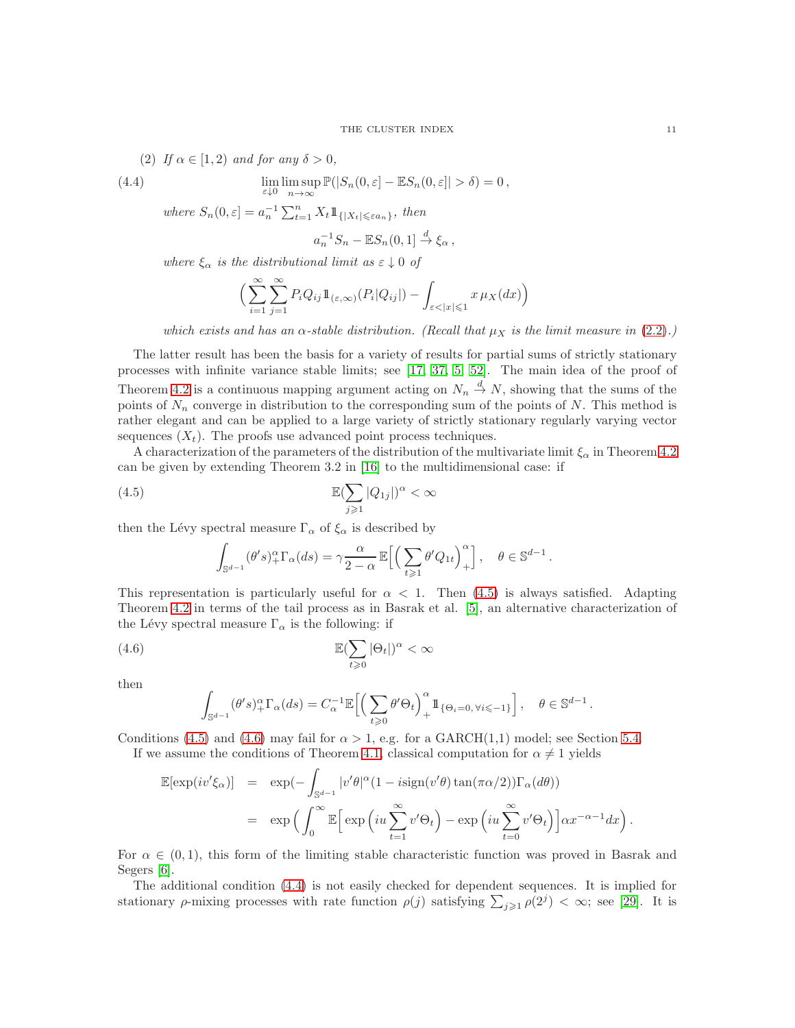(2) If 
$$
\alpha \in [1, 2)
$$
 and for any  $\delta > 0$ ,

(4.4) 
$$
\lim_{\varepsilon \downarrow 0} \limsup_{n \to \infty} \mathbb{P}(|S_n(0, \varepsilon] - \mathbb{E}S_n(0, \varepsilon]| > \delta) = 0,
$$

where  $S_n(0, \varepsilon] = a_n^{-1} \sum_{t=1}^n X_t 1\!\!1_{\{|X_t| \leq \varepsilon a_n\}},\$  then

<span id="page-10-2"></span>
$$
a_n^{-1}S_n - \mathbb{E}S_n(0,1] \stackrel{d}{\to} \xi_\alpha ,
$$

*where*  $\xi_{\alpha}$  *is the distributional limit as*  $\varepsilon \downarrow 0$  *of* 

$$
\Big(\sum_{i=1}^{\infty}\sum_{j=1}^{\infty}P_iQ_{ij}\mathbb{1}_{(\varepsilon,\infty)}(P_i|Q_{ij}|) - \int_{\varepsilon<|x|\leqslant 1}x\,\mu_X(dx)\Big)
$$

*which exists and has an*  $\alpha$ -stable distribution. (Recall that  $\mu_X$  is the limit measure in [\(2.2\)](#page-2-3).)

The latter result has been the basis for a variety of results for partial sums of strictly stationary processes with infinite variance stable limits; see [\[17,](#page-28-2) [37,](#page-29-18) [5,](#page-28-1) [52\]](#page-29-19). The main idea of the proof of Theorem [4.2](#page-9-1) is a continuous mapping argument acting on  $N_n \stackrel{d}{\to} N$ , showing that the sums of the points of  $N_n$  converge in distribution to the corresponding sum of the points of N. This method is rather elegant and can be applied to a large variety of strictly stationary regularly varying vector sequences  $(X_t)$ . The proofs use advanced point process techniques.

A characterization of the parameters of the distribution of the multivariate limit  $\xi_{\alpha}$  in Theorem [4.2](#page-9-1) can be given by extending Theorem 3.2 in [\[16\]](#page-28-0) to the multidimensional case: if

(4.5) 
$$
\mathbb{E}(\sum_{j\geqslant 1}|Q_{1j}|)^{\alpha} < \infty
$$

then the Lévy spectral measure  $\Gamma_{\alpha}$  of  $\xi_{\alpha}$  is described by

<span id="page-10-0"></span>
$$
\int_{\mathbb{S}^{d-1}} (\theta' s)_+^{\alpha} \Gamma_{\alpha}(ds) = \gamma \frac{\alpha}{2-\alpha} \mathbb{E}\Big[\Big(\sum_{t \geqslant 1} \theta' Q_{1t}\Big)_+^{\alpha}\Big], \quad \theta \in \mathbb{S}^{d-1}.
$$

This representation is particularly useful for  $\alpha < 1$ . Then [\(4.5\)](#page-10-0) is always satisfied. Adapting Theorem [4.2](#page-9-1) in terms of the tail process as in Basrak et al. [\[5\]](#page-28-1), an alternative characterization of the Lévy spectral measure  $\Gamma_{\alpha}$  is the following: if

(4.6) 
$$
\mathbb{E}(\sum_{t\geqslant 0}|\Theta_t|)^{\alpha} < \infty
$$

then

<span id="page-10-1"></span>
$$
\int_{\mathbb{S}^{d-1}} (\theta' s)_+^\alpha \Gamma_\alpha(ds) = C_\alpha^{-1} \mathbb{E}\Big[ \Big( \sum_{t\geqslant 0} \theta' \Theta_t \Big)_+^\alpha \mathbb{1}_{\{\Theta_i = 0, \, \forall i \leqslant -1\}} \Big]\,, \quad \theta \in \mathbb{S}^{d-1}
$$

Conditions [\(4.5\)](#page-10-0) and [\(4.6\)](#page-10-1) may fail for  $\alpha > 1$ , e.g. for a GARCH(1,1) model; see Section [5.4.](#page-16-0)

If we assume the conditions of Theorem [4.1,](#page-8-0) classical computation for  $\alpha \neq 1$  yields

$$
\mathbb{E}[\exp(iv'\xi_{\alpha})] = \exp(-\int_{\mathbb{S}^{d-1}} |v'\theta|^{\alpha} (1 - i\text{sign}(v'\theta) \tan(\pi \alpha/2)) \Gamma_{\alpha}(d\theta))
$$
  

$$
= \exp\left(\int_0^{\infty} \mathbb{E}\Big[\exp\Big(iu\sum_{t=1}^{\infty} v'\Theta_t\Big) - \exp\Big(iu\sum_{t=0}^{\infty} v'\Theta_t\Big)\Big] \alpha x^{-\alpha-1} dx\right).
$$

For  $\alpha \in (0,1)$ , this form of the limiting stable characteristic function was proved in Basrak and Segers [\[6\]](#page-28-6).

The additional condition [\(4.4\)](#page-10-2) is not easily checked for dependent sequences. It is implied for stationary  $\rho$ -mixing processes with rate function  $\rho(j)$  satisfying  $\sum_{j\geqslant 1} \rho(2^j) < \infty$ ; see [\[29\]](#page-29-3). It is

.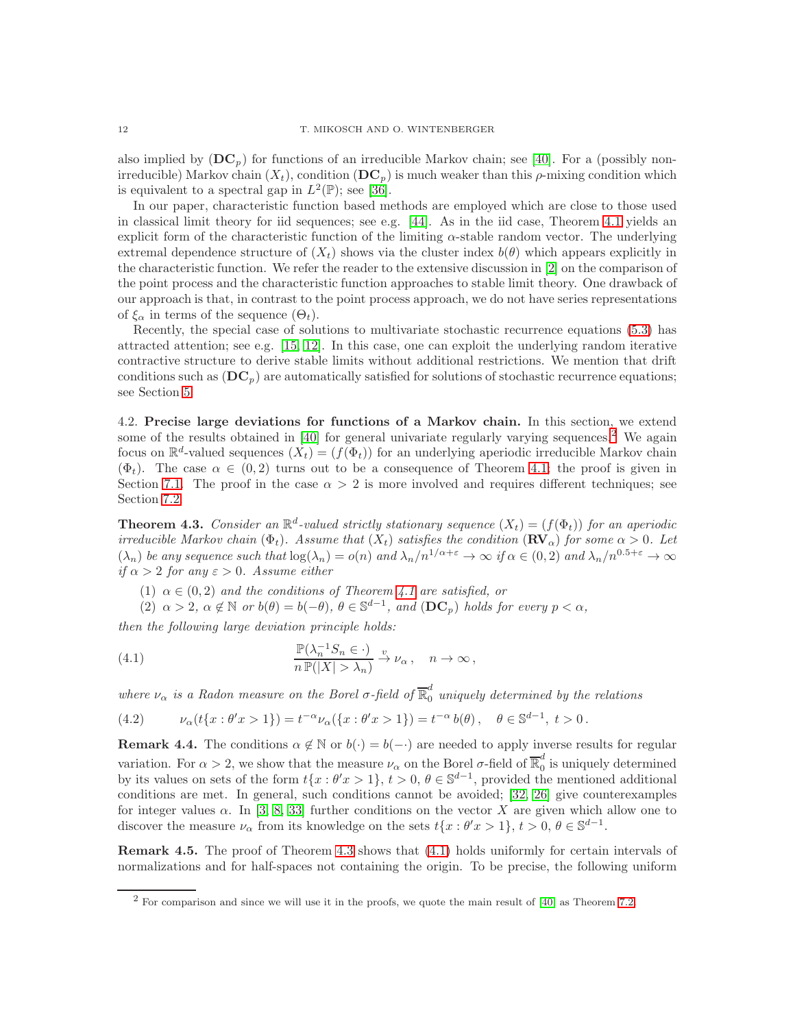also implied by  $(DC_p)$  for functions of an irreducible Markov chain; see [\[40\]](#page-29-9). For a (possibly nonirreducible) Markov chain  $(X_t)$ , condition  $(DC_p)$  is much weaker than this  $\rho$ -mixing condition which is equivalent to a spectral gap in  $L^2(\mathbb{P})$ ; see [\[36\]](#page-29-13).

In our paper, characteristic function based methods are employed which are close to those used in classical limit theory for iid sequences; see e.g. [\[44\]](#page-29-20). As in the iid case, Theorem [4.1](#page-8-0) yields an explicit form of the characteristic function of the limiting  $\alpha$ -stable random vector. The underlying extremal dependence structure of  $(X_t)$  shows via the cluster index  $b(\theta)$  which appears explicitly in the characteristic function. We refer the reader to the extensive discussion in [\[2\]](#page-28-3) on the comparison of the point process and the characteristic function approaches to stable limit theory. One drawback of our approach is that, in contrast to the point process approach, we do not have series representations of  $\xi_{\alpha}$  in terms of the sequence  $(\Theta_t)$ .

Recently, the special case of solutions to multivariate stochastic recurrence equations [\(5.3\)](#page-13-0) has attracted attention; see e.g. [\[15,](#page-28-7) [12\]](#page-28-8). In this case, one can exploit the underlying random iterative contractive structure to derive stable limits without additional restrictions. We mention that drift conditions such as  $(DC_p)$  are automatically satisfied for solutions of stochastic recurrence equations; see Section [5.](#page-12-0)

<span id="page-11-1"></span>4.2. Precise large deviations for functions of a Markov chain. In this section, we extend some of the results obtained in [\[40\]](#page-29-9) for general univariate regularly varying sequences.<sup>[2](#page-11-2)</sup> We again focus on  $\mathbb{R}^d$ -valued sequences  $(X_t) = (f(\Phi_t))$  for an underlying aperiodic irreducible Markov chain  $(\Phi_t)$ . The case  $\alpha \in (0, 2)$  turns out to be a consequence of Theorem [4.1;](#page-8-0) the proof is given in Section [7.1.](#page-24-1) The proof in the case  $\alpha > 2$  is more involved and requires different techniques; see Section [7.2.](#page-26-1)

<span id="page-11-0"></span>**Theorem 4.3.** *Consider an*  $\mathbb{R}^d$ -valued strictly stationary sequence  $(X_t) = (f(\Phi_t))$  *for an aperiodic irreducible Markov chain* ( $\Phi_t$ ). Assume that  $(X_t)$  satisfies the condition  $(\mathbf{RV}_\alpha)$  for some  $\alpha > 0$ . Let  $(\lambda_n)$  *be any sequence such that*  $\log(\lambda_n) = o(n)$  *and*  $\lambda_n/n^{1/\alpha+\varepsilon} \to \infty$  *if*  $\alpha \in (0, 2)$  *and*  $\lambda_n/n^{0.5+\varepsilon} \to \infty$ *if*  $\alpha > 2$  *for any*  $\varepsilon > 0$ *. Assume either* 

- (1)  $\alpha \in (0, 2)$  *and the conditions of Theorem [4.1](#page-8-0) are satisfied, or*
- <span id="page-11-3"></span>(2)  $\alpha > 2$ ,  $\alpha \notin \mathbb{N}$  *or*  $b(\theta) = b(-\theta)$ ,  $\theta \in \mathbb{S}^{d-1}$ , and  $(D\mathbf{C}_p)$  holds for every  $p < \alpha$ ,

*then the following large deviation principle holds:*

(4.1) 
$$
\frac{\mathbb{P}(\lambda_n^{-1}S_n \in \cdot)}{n \mathbb{P}(|X| > \lambda_n)} \xrightarrow{v} \nu_\alpha, \quad n \to \infty,
$$

where  $\nu_{\alpha}$  *is a Radon measure on the Borel*  $\sigma$ -field of  $\overline{\mathbb{R}}_0^d$  *uniquely determined by the relations* 

<span id="page-11-4"></span>(4.2) 
$$
\nu_{\alpha}(t\{x:\theta'x>1\})=t^{-\alpha}\nu_{\alpha}(\{x:\theta'x>1\})=t^{-\alpha}b(\theta), \quad \theta \in \mathbb{S}^{d-1}, t>0.
$$

**Remark 4.4.** The conditions  $\alpha \notin \mathbb{N}$  or  $b(\cdot) = b(-\cdot)$  are needed to apply inverse results for regular variation. For  $\alpha > 2$ , we show that the measure  $\nu_{\alpha}$  on the Borel  $\sigma$ -field of  $\overline{\mathbb{R}}_0^d$  $\int_{0}^{\infty}$  is uniquely determined by its values on sets of the form  $t\{x : \theta'x > 1\}, t > 0, \theta \in \mathbb{S}^{d-1}$ , provided the mentioned additional conditions are met. In general, such conditions cannot be avoided; [\[32,](#page-29-21) [26\]](#page-29-22) give counterexamples for integer values  $\alpha$ . In [\[3,](#page-28-9) [8,](#page-28-10) [33\]](#page-29-23) further conditions on the vector X are given which allow one to discover the measure  $\nu_{\alpha}$  from its knowledge on the sets  $t\{x : \theta'x > 1\}, t > 0, \theta \in \mathbb{S}^{d-1}$ .

Remark 4.5. The proof of Theorem [4.3](#page-11-0) shows that [\(4.1\)](#page-11-3) holds uniformly for certain intervals of normalizations and for half-spaces not containing the origin. To be precise, the following uniform

<span id="page-11-2"></span><sup>&</sup>lt;sup>2</sup> For comparison and since we will use it in the proofs, we quote the main result of  $[40]$  as Theorem [7.2.](#page-26-0)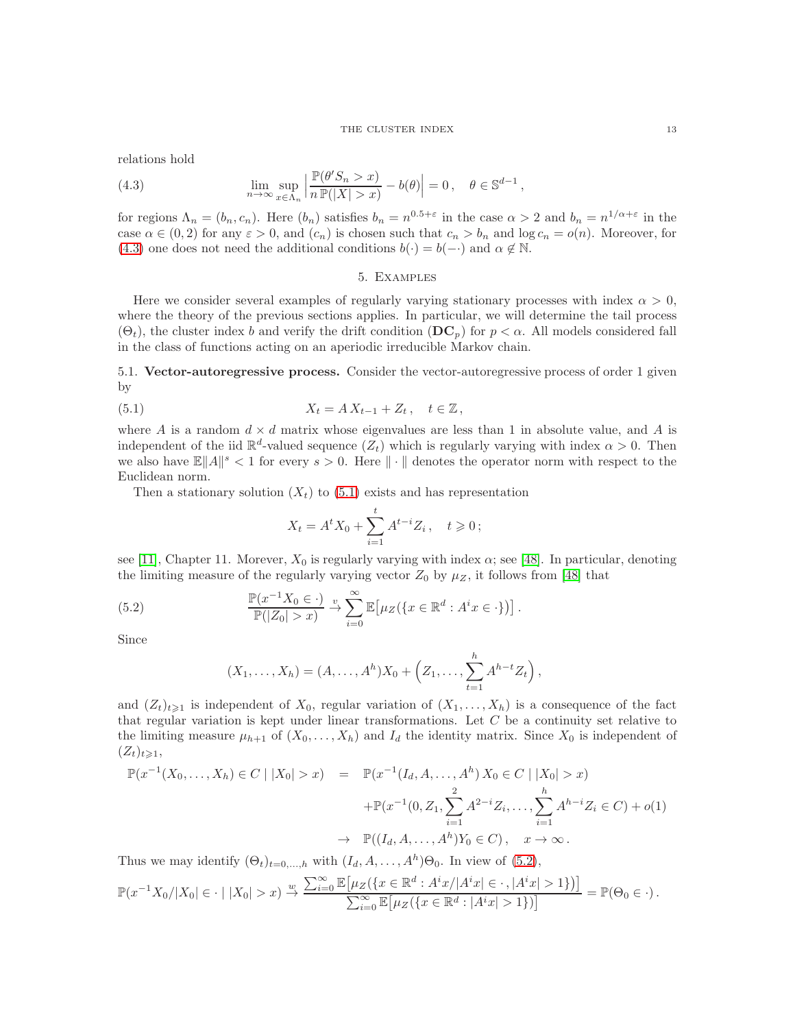relations hold

<span id="page-12-1"></span>(4.3) 
$$
\lim_{n \to \infty} \sup_{x \in \Lambda_n} \left| \frac{\mathbb{P}(\theta' S_n > x)}{n \mathbb{P}(|X| > x)} - b(\theta) \right| = 0, \quad \theta \in \mathbb{S}^{d-1},
$$

for regions  $\Lambda_n = (b_n, c_n)$ . Here  $(b_n)$  satisfies  $b_n = n^{0.5+\epsilon}$  in the case  $\alpha > 2$  and  $b_n = n^{1/\alpha + \epsilon}$  in the case  $\alpha \in (0, 2)$  for any  $\varepsilon > 0$ , and  $(c_n)$  is chosen such that  $c_n > b_n$  and  $\log c_n = o(n)$ . Moreover, for [\(4.3\)](#page-12-1) one does not need the additional conditions  $b(\cdot) = b(-\cdot)$  and  $\alpha \notin \mathbb{N}$ .

### 5. Examples

<span id="page-12-0"></span>Here we consider several examples of regularly varying stationary processes with index  $\alpha > 0$ , where the theory of the previous sections applies. In particular, we will determine the tail process  $(\Theta_t)$ , the cluster index b and verify the drift condition  $(D\mathbf{C}_p)$  for  $p < \alpha$ . All models considered fall in the class of functions acting on an aperiodic irreducible Markov chain.

5.1. Vector-autoregressive process. Consider the vector-autoregressive process of order 1 given by

(5.1) 
$$
X_t = A X_{t-1} + Z_t, \quad t \in \mathbb{Z},
$$

where A is a random  $d \times d$  matrix whose eigenvalues are less than 1 in absolute value, and A is independent of the iid  $\mathbb{R}^d$ -valued sequence  $(Z_t)$  which is regularly varying with index  $\alpha > 0$ . Then we also have  $\mathbb{E} \|A\|^s < 1$  for every  $s > 0$ . Here  $\|\cdot\|$  denotes the operator norm with respect to the Euclidean norm.

Then a stationary solution  $(X_t)$  to  $(5.1)$  exists and has representation

<span id="page-12-2"></span>
$$
X_t = A^t X_0 + \sum_{i=1}^t A^{t-i} Z_i \,, \quad t \geq 0 \,;
$$

see [\[11\]](#page-28-11), Chapter 11. Morever,  $X_0$  is regularly varying with index  $\alpha$ ; see [\[48\]](#page-29-24). In particular, denoting the limiting measure of the regularly varying vector  $Z_0$  by  $\mu_Z$ , it follows from [\[48\]](#page-29-24) that

(5.2) 
$$
\frac{\mathbb{P}(x^{-1}X_0 \in \cdot)}{\mathbb{P}(|Z_0| > x)} \stackrel{v}{\to} \sum_{i=0}^{\infty} \mathbb{E} \big[ \mu_Z(\{x \in \mathbb{R}^d : A^i x \in \cdot \}) \big].
$$

Since

<span id="page-12-3"></span>
$$
(X_1,...,X_h) = (A,...,A^h)X_0 + (Z_1,..., \sum_{t=1}^h A^{h-t}Z_t),
$$

and  $(Z_t)_{t\geq 1}$  is independent of  $X_0$ , regular variation of  $(X_1, \ldots, X_h)$  is a consequence of the fact that regular variation is kept under linear transformations. Let  $C$  be a continuity set relative to the limiting measure  $\mu_{h+1}$  of  $(X_0, \ldots, X_h)$  and  $I_d$  the identity matrix. Since  $X_0$  is independent of  $(Z_t)_{t\geqslant1},$ 

$$
\mathbb{P}(x^{-1}(X_0, ..., X_h) \in C \mid |X_0| > x) = \mathbb{P}(x^{-1}(I_d, A, ..., A^h) X_0 \in C \mid |X_0| > x)
$$
  
 
$$
+ \mathbb{P}(x^{-1}(0, Z_1, \sum_{i=1}^2 A^{2-i} Z_i, ..., \sum_{i=1}^h A^{h-i} Z_i \in C) + o(1)
$$
  
\n
$$
\rightarrow \mathbb{P}((I_d, A, ..., A^h) Y_0 \in C), \quad x \to \infty.
$$

Thus we may identify  $(\Theta_t)_{t=0,\dots,h}$  with  $(I_d, A, \dots, A^h) \Theta_0$ . In view of  $(5.2)$ ,

$$
\mathbb{P}(x^{-1}X_0/|X_0| \in \cdot |X_0| > x) \xrightarrow{w} \frac{\sum_{i=0}^{\infty} \mathbb{E}[\mu_Z(\{x \in \mathbb{R}^d : A^i x/|A^i x| \in \cdot, |A^i x| > 1\})]}{\sum_{i=0}^{\infty} \mathbb{E}[\mu_Z(\{x \in \mathbb{R}^d : |A^i x| > 1\})]} = \mathbb{P}(\Theta_0 \in \cdot).
$$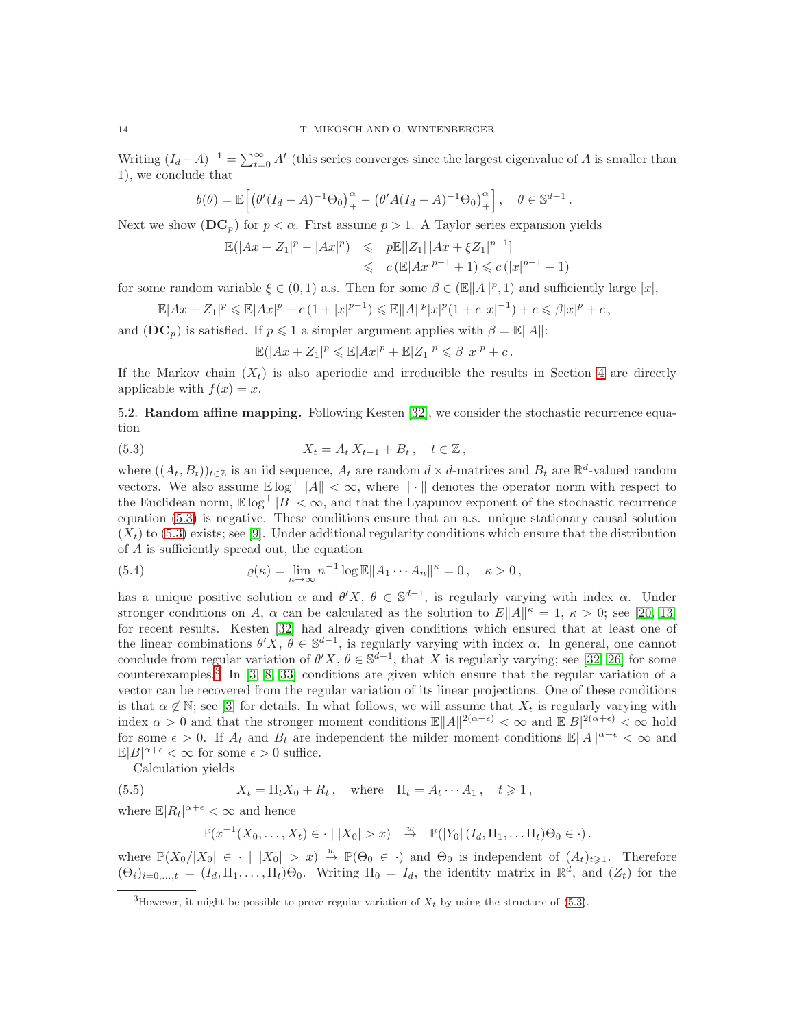Writing  $(I_d - A)^{-1} = \sum_{t=0}^{\infty} A^t$  (this series converges since the largest eigenvalue of A is smaller than 1), we conclude that

$$
b(\theta) = \mathbb{E}\Big[\big(\theta'(I_d - A)^{-1}\Theta_0\big)_{+}^{\alpha} - \big(\theta' A(I_d - A)^{-1}\Theta_0\big)_{+}^{\alpha}\Big], \quad \theta \in \mathbb{S}^{d-1}.
$$

Next we show  $(DC_p)$  for  $p < \alpha$ . First assume  $p > 1$ . A Taylor series expansion yields

$$
\mathbb{E}(|Ax + Z_1|^p - |Ax|^p) \leq p\mathbb{E}[|Z_1| |Ax + \xi Z_1|^{p-1}]
$$
  

$$
\leq c \left(\mathbb{E}|Ax|^{p-1} + 1\right) \leq c(|x|^{p-1} + 1)
$$

for some random variable  $\xi \in (0,1)$  a.s. Then for some  $\beta \in (\mathbb{E}||A||^p, 1)$  and sufficiently large  $|x|$ ,

$$
\mathbb{E}|Ax + Z_1|^p \leq \mathbb{E}|Ax|^p + c(1+|x|^{p-1}) \leq \mathbb{E}||A||^p|x|^p(1+c|x|^{-1}) + c \leq \beta|x|^p + c,
$$

and  $(DC_p)$  is satisfied. If  $p \leq 1$  a simpler argument applies with  $\beta = \mathbb{E}||A||$ :

<span id="page-13-0"></span>
$$
\mathbb{E}(|Ax + Z_1|^p \leq \mathbb{E}|Ax|^p + \mathbb{E}|Z_1|^p \leq \beta |x|^p + c.
$$

If the Markov chain  $(X_t)$  is also aperiodic and irreducible the results in Section [4](#page-8-1) are directly applicable with  $f(x) = x$ .

<span id="page-13-3"></span>5.2. Random affine mapping. Following Kesten [\[32\]](#page-29-21), we consider the stochastic recurrence equation

(5.3) 
$$
X_t = A_t X_{t-1} + B_t, \quad t \in \mathbb{Z},
$$

where  $((A_t, B_t))_{t \in \mathbb{Z}}$  is an iid sequence,  $A_t$  are random  $d \times d$ -matrices and  $B_t$  are  $\mathbb{R}^d$ -valued random vectors. We also assume  $\mathbb{E} \log^+ \|A\| < \infty$ , where  $\|\cdot\|$  denotes the operator norm with respect to the Euclidean norm,  $\mathbb{E} \log^+ |B| < \infty$ , and that the Lyapunov exponent of the stochastic recurrence equation [\(5.3\)](#page-13-0) is negative. These conditions ensure that an a.s. unique stationary causal solution  $(X_t)$  to [\(5.3\)](#page-13-0) exists; see [\[9\]](#page-28-12). Under additional regularity conditions which ensure that the distribution of A is sufficiently spread out, the equation

<span id="page-13-2"></span>(5.4) 
$$
\varrho(\kappa) = \lim_{n \to \infty} n^{-1} \log \mathbb{E} \|A_1 \cdots A_n\|^{\kappa} = 0, \quad \kappa > 0,
$$

has a unique positive solution  $\alpha$  and  $\theta' X$ ,  $\theta \in \mathbb{S}^{d-1}$ , is regularly varying with index  $\alpha$ . Under stronger conditions on A,  $\alpha$  can be calculated as the solution to  $E||A||^{\kappa} = 1$ ,  $\kappa > 0$ ; see [\[20,](#page-28-13) [13\]](#page-28-14) for recent results. Kesten [\[32\]](#page-29-21) had already given conditions which ensured that at least one of the linear combinations  $\theta' X, \theta \in \mathbb{S}^{d-1}$ , is regularly varying with index  $\alpha$ . In general, one cannot conclude from regular variation of  $\theta' X$ ,  $\theta \in \mathbb{S}^{d-1}$ , that X is regularly varying; see [\[32,](#page-29-21) [26\]](#page-29-22) for some counterexamples.[3](#page-13-1) In [\[3,](#page-28-9) [8,](#page-28-10) [33\]](#page-29-23) conditions are given which ensure that the regular variation of a vector can be recovered from the regular variation of its linear projections. One of these conditions is that  $\alpha \notin \mathbb{N}$ ; see [\[3\]](#page-28-9) for details. In what follows, we will assume that  $X_t$  is regularly varying with index  $\alpha > 0$  and that the stronger moment conditions  $\mathbb{E} ||A||^{2(\alpha+\epsilon)} < \infty$  and  $\mathbb{E} |B|^{2(\alpha+\epsilon)} < \infty$  hold for some  $\epsilon > 0$ . If  $A_t$  and  $B_t$  are independent the milder moment conditions  $\mathbb{E}||A||^{\alpha+\epsilon} < \infty$  and  $\mathbb{E}|B|^{\alpha+\epsilon} < \infty$  for some  $\epsilon > 0$  suffice.

Calculation yields

(5.5)  $X_t = \Pi_t X_0 + R_t$ , where  $\Pi_t = A_t \cdots A_1$ ,  $t \geq 1$ ,

where  $\mathbb{E}|R_t|^{\alpha+\epsilon} < \infty$  and hence

<span id="page-13-4"></span>
$$
\mathbb{P}(x^{-1}(X_0,\ldots,X_t)\in\cdot\mid |X_0|>x)\quad\stackrel{w}{\to}\quad\mathbb{P}(|Y_0|\,(I_d,\Pi_1,\ldots,\Pi_t)\Theta_0\in\cdot).
$$

where  $\mathbb{P}(X_0/|X_0| \in \cdot | |X_0| > x) \stackrel{w}{\to} \mathbb{P}(\Theta_0 \in \cdot)$  and  $\Theta_0$  is independent of  $(A_t)_{t \geq 1}$ . Therefore  $(\Theta_i)_{i=0,\dots,t} = (I_d, \Pi_1, \dots, \Pi_t) \Theta_0$ . Writing  $\Pi_0 = I_d$ , the identity matrix in  $\mathbb{R}^d$ , and  $(Z_t)$  for the

<span id="page-13-1"></span><sup>&</sup>lt;sup>3</sup>However, it might be possible to prove regular variation of  $X_t$  by using the structure of [\(5.3\)](#page-13-0).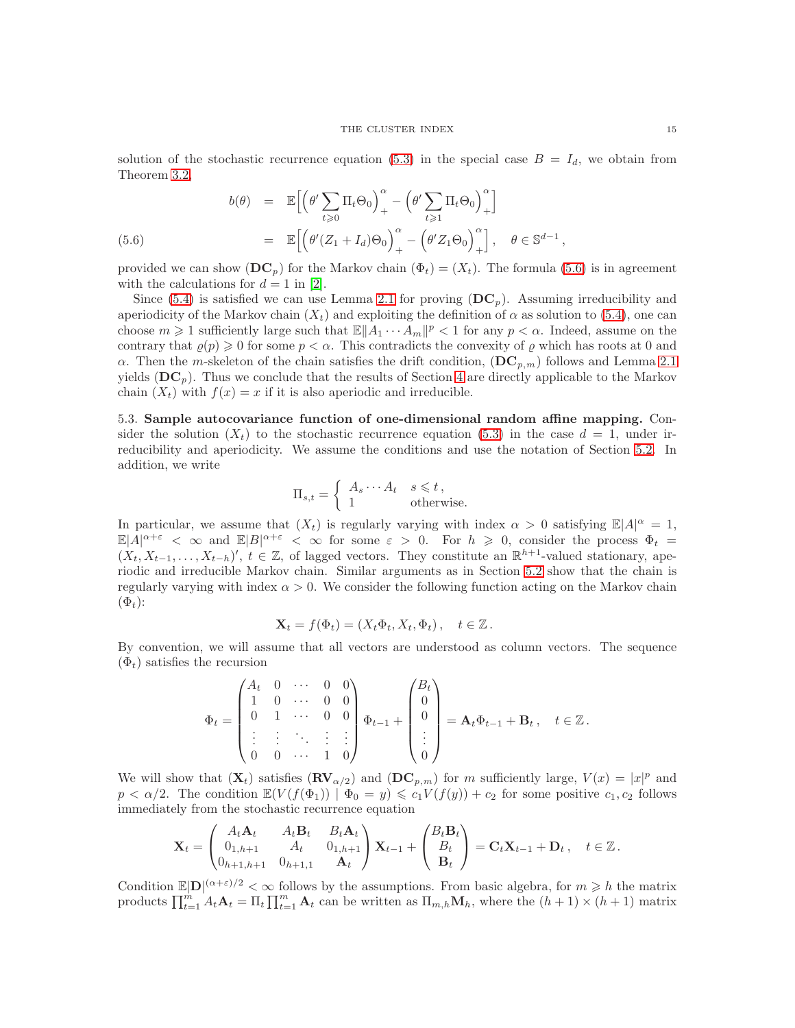solution of the stochastic recurrence equation [\(5.3\)](#page-13-0) in the special case  $B = I_d$ , we obtain from Theorem [3.2,](#page-6-0)

<span id="page-14-0"></span>(5.6)  

$$
b(\theta) = \mathbb{E}\Big[\Big(\theta' \sum_{t \geq 0} \Pi_t \Theta_0\Big)_{+}^{\alpha} - \Big(\theta' \sum_{t \geq 1} \Pi_t \Theta_0\Big)_{+}^{\alpha}\Big]
$$

$$
= \mathbb{E}\Big[\Big(\theta'(Z_1 + I_d)\Theta_0\Big)_{+}^{\alpha} - \Big(\theta'Z_1\Theta_0\Big)_{+}^{\alpha}\Big], \quad \theta \in \mathbb{S}^{d-1},
$$

provided we can show  $(D\mathbf{C}_p)$  for the Markov chain  $(\Phi_t) = (X_t)$ . The formula [\(5.6\)](#page-14-0) is in agreement with the calculations for  $d = 1$  in [\[2\]](#page-28-3).

Since [\(5.4\)](#page-13-2) is satisfied we can use Lemma [2.1](#page-3-1) for proving  $(D\mathbf{C}_p)$ . Assuming irreducibility and aperiodicity of the Markov chain  $(X_t)$  and exploiting the definition of  $\alpha$  as solution to [\(5.4\)](#page-13-2), one can choose  $m \geq 1$  sufficiently large such that  $\mathbb{E} \|A_1 \cdots A_m\|^p < 1$  for any  $p < \alpha$ . Indeed, assume on the contrary that  $\varrho(p) \geq 0$  for some  $p < \alpha$ . This contradicts the convexity of  $\varrho$  which has roots at 0 and α. Then the m-skeleton of the chain satisfies the drift condition,  $(DC_{p,m})$  follows and Lemma [2.1](#page-3-1) yields  $(DC_p)$ . Thus we conclude that the results of Section [4](#page-8-1) are directly applicable to the Markov chain  $(X_t)$  with  $f(x) = x$  if it is also aperiodic and irreducible.

5.3. Sample autocovariance function of one-dimensional random affine mapping. Consider the solution  $(X_t)$  to the stochastic recurrence equation [\(5.3\)](#page-13-0) in the case  $d = 1$ , under irreducibility and aperiodicity. We assume the conditions and use the notation of Section [5.2.](#page-13-3) In addition, we write

$$
\Pi_{s,t} = \begin{cases} A_s \cdots A_t & s \leq t, \\ 1 & \text{otherwise.} \end{cases}
$$

In particular, we assume that  $(X_t)$  is regularly varying with index  $\alpha > 0$  satisfying  $\mathbb{E}|A|^{\alpha} = 1$ ,  $\mathbb{E}|A|^{\alpha+\varepsilon} < \infty$  and  $\mathbb{E}|B|^{\alpha+\varepsilon} < \infty$  for some  $\varepsilon > 0$ . For  $h \geq 0$ , consider the process  $\Phi_t =$  $(X_t, X_{t-1}, \ldots, X_{t-h})'$ ,  $t \in \mathbb{Z}$ , of lagged vectors. They constitute an  $\mathbb{R}^{h+1}$ -valued stationary, aperiodic and irreducible Markov chain. Similar arguments as in Section [5.2](#page-13-3) show that the chain is regularly varying with index  $\alpha > 0$ . We consider the following function acting on the Markov chain  $(\Phi_t)$ :

$$
\mathbf{X}_t = f(\Phi_t) = (X_t \Phi_t, X_t, \Phi_t), \quad t \in \mathbb{Z}.
$$

By convention, we will assume that all vectors are understood as column vectors. The sequence  $(\Phi_t)$  satisfies the recursion

$$
\Phi_t = \begin{pmatrix} A_t & 0 & \cdots & 0 & 0 \\ 1 & 0 & \cdots & 0 & 0 \\ 0 & 1 & \cdots & 0 & 0 \\ \vdots & \vdots & \ddots & \vdots & \vdots \\ 0 & 0 & \cdots & 1 & 0 \end{pmatrix} \Phi_{t-1} + \begin{pmatrix} B_t \\ 0 \\ 0 \\ \vdots \\ 0 \end{pmatrix} = \mathbf{A}_t \Phi_{t-1} + \mathbf{B}_t, \quad t \in \mathbb{Z}.
$$

We will show that  $(\mathbf{X}_t)$  satisfies  $(\mathbf{RV}_{\alpha/2})$  and  $(\mathbf{DC}_{p,m})$  for m sufficiently large,  $V(x) = |x|^p$  and  $p < \alpha/2$ . The condition  $\mathbb{E}(V(f(\Phi_1)) | \Phi_0 = y) \leq c_1 V(f(y)) + c_2$  for some positive  $c_1, c_2$  follows immediately from the stochastic recurrence equation

$$
\mathbf{X}_t = \begin{pmatrix} A_t \mathbf{A}_t & A_t \mathbf{B}_t & B_t \mathbf{A}_t \\ 0_{1,h+1} & A_t & 0_{1,h+1} \\ 0_{h+1,h+1} & 0_{h+1,1} & \mathbf{A}_t \end{pmatrix} \mathbf{X}_{t-1} + \begin{pmatrix} B_t \mathbf{B}_t \\ B_t \\ \mathbf{B}_t \end{pmatrix} = \mathbf{C}_t \mathbf{X}_{t-1} + \mathbf{D}_t \,, \quad t \in \mathbb{Z} \,.
$$

Condition  $\mathbb{E}|\mathbf{D}|^{(\alpha+\varepsilon)/2} < \infty$  follows by the assumptions. From basic algebra, for  $m \geq h$  the matrix products  $\prod_{t=1}^m A_t \mathbf{A}_t = \prod_t \prod_{t=1}^m \mathbf{A}_t$  can be written as  $\prod_{m,h} \mathbf{M}_h$ , where the  $(h+1) \times (h+1)$  matrix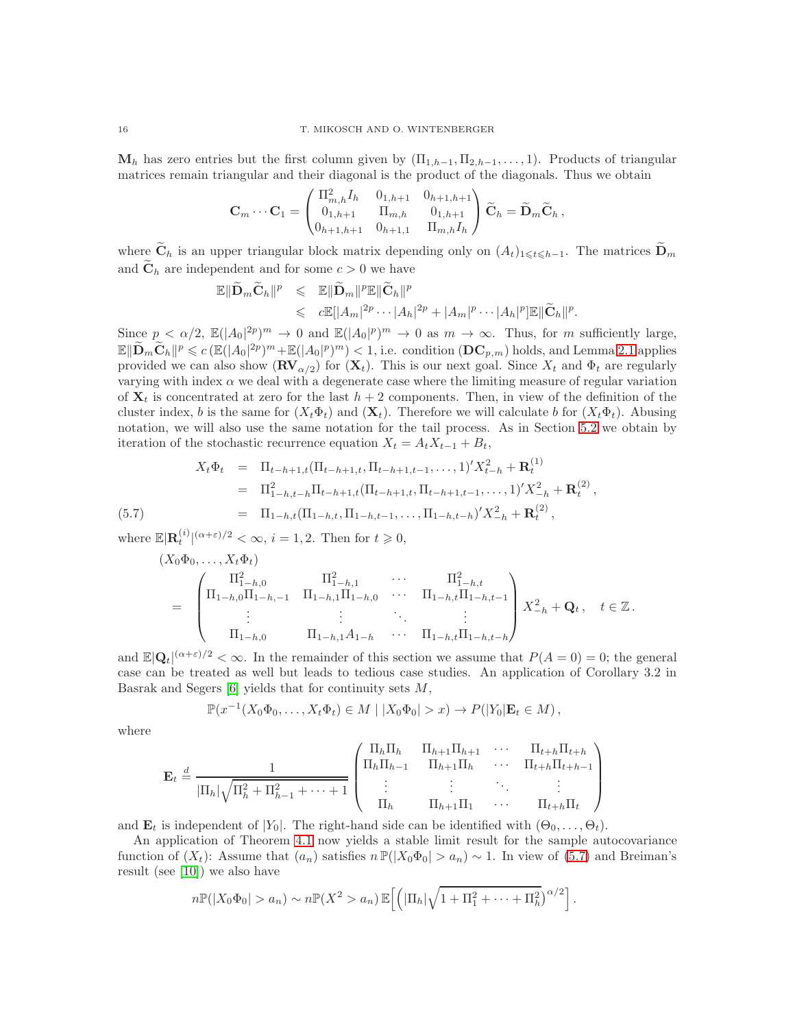$\mathbf{M}_h$  has zero entries but the first column given by  $(\Pi_{1,h-1}, \Pi_{2,h-1}, \ldots, 1)$ . Products of triangular matrices remain triangular and their diagonal is the product of the diagonals. Thus we obtain

$$
\mathbf{C}_m \cdots \mathbf{C}_1 = \begin{pmatrix} \Pi_{m,h}^2 I_h & 0_{1,h+1} & 0_{h+1,h+1} \\ 0_{1,h+1} & \Pi_{m,h} & 0_{1,h+1} \\ 0_{h+1,h+1} & 0_{h+1,1} & \Pi_{m,h} I_h \end{pmatrix} \widetilde{\mathbf{C}}_h = \widetilde{\mathbf{D}}_m \widetilde{\mathbf{C}}_h,
$$

where  $\widetilde{\mathbf{C}}_h$  is an upper triangular block matrix depending only on  $(A_t)_{1\leqslant t\leqslant h-1}$ . The matrices  $\widetilde{\mathbf{D}}_m$ and  $\tilde{\mathbf{C}}_h$  are independent and for some  $c > 0$  we have

$$
\mathbb{E} \|\widetilde{\mathbf{D}}_m \widetilde{\mathbf{C}}_h\|^p \leq \mathbb{E} \|\widetilde{\mathbf{D}}_m\|^p \mathbb{E} \|\widetilde{\mathbf{C}}_h\|^p
$$
  

$$
\leqslant c \mathbb{E} [|A_m|^{2p} \cdots |A_h|^{2p} + |A_m|^p \cdots |A_h|^p] \mathbb{E} \|\widetilde{\mathbf{C}}_h\|^p.
$$

Since  $p < \alpha/2$ ,  $\mathbb{E}(|A_0|^{2p})^m \to 0$  and  $\mathbb{E}(|A_0|^p)^m \to 0$  as  $m \to \infty$ . Thus, for m sufficiently large,  $\mathbb{E} \|\widetilde{\mathbf{D}}_m \widetilde{\mathbf{C}}_h\|^p \leqslant c \left( \mathbb{E}(|A_0|^2)^m + \mathbb{E}(|A_0|^p)^m \right) < 1$ , i.e. condition  $(\mathbf{DC}_{p,m})$  holds, and Lemma [2.1](#page-3-1) applies provided we can also show  $(\mathbf{RV}_{\alpha/2})$  for  $(\mathbf{X}_t)$ . This is our next goal. Since  $X_t$  and  $\Phi_t$  are regularly varying with index  $\alpha$  we deal with a degenerate case where the limiting measure of regular variation of  $X_t$  is concentrated at zero for the last  $h + 2$  components. Then, in view of the definition of the cluster index, b is the same for  $(X_t\Phi_t)$  and  $(X_t)$ . Therefore we will calculate b for  $(X_t\Phi_t)$ . Abusing notation, we will also use the same notation for the tail process. As in Section [5.2](#page-13-3) we obtain by iteration of the stochastic recurrence equation  $X_t = A_t X_{t-1} + B_t$ ,

<span id="page-15-0"></span>
$$
X_t \Phi_t = \Pi_{t-h+1,t} (\Pi_{t-h+1,t}, \Pi_{t-h+1,t-1}, \dots, 1)' X_{t-h}^2 + \mathbf{R}_t^{(1)}
$$
  
\n
$$
= \Pi_{1-h,t-h}^2 \Pi_{t-h+1,t} (\Pi_{t-h+1,t}, \Pi_{t-h+1,t-1}, \dots, 1)' X_{-h}^2 + \mathbf{R}_t^{(2)},
$$
  
\n(5.7) 
$$
= \Pi_{1-h,t} (\Pi_{1-h,t}, \Pi_{1-h,t-1}, \dots, \Pi_{1-h,t-h})' X_{-h}^2 + \mathbf{R}_t^{(2)},
$$

where  $\mathbb{E}|\mathbf{R}_t^{(i)}|^{(\alpha+\varepsilon)/2} < \infty$ ,  $i = 1, 2$ . Then for  $t \geq 0$ ,

$$
(X_0\Phi_0,\ldots,X_t\Phi_t)
$$
\n
$$
= \begin{pmatrix}\n\Pi_{1-h,0}^2 & \Pi_{1-h,1}^2 & \cdots & \Pi_{1-h,t}^2 \\
\Pi_{1-h,0}\Pi_{1-h,-1} & \Pi_{1-h,1}\Pi_{1-h,0} & \cdots & \Pi_{1-h,t}\Pi_{1-h,t-1} \\
\vdots & \vdots & \ddots & \vdots \\
\Pi_{1-h,0} & \Pi_{1-h,1}A_{1-h} & \cdots & \Pi_{1-h,t}\Pi_{1-h,t-h}\n\end{pmatrix} X_{-h}^2 + \mathbf{Q}_t, \quad t \in \mathbb{Z}.
$$

and  $\mathbb{E}|\mathbf{Q}_t|^{(\alpha+\varepsilon)/2} < \infty$ . In the remainder of this section we assume that  $P(A=0) = 0$ ; the general case can be treated as well but leads to tedious case studies. An application of Corollary 3.2 in Basrak and Segers  $[6]$  yields that for continuity sets  $M$ ,

$$
\mathbb{P}(x^{-1}(X_0\Phi_0,\ldots,X_t\Phi_t)\in M\mid |X_0\Phi_0|>x)\to P(|Y_0|\mathbf{E}_t\in M),
$$

where

$$
\mathbf{E}_{t} \stackrel{d}{=} \frac{1}{|\Pi_{h}|\sqrt{\Pi_{h}^{2} + \Pi_{h-1}^{2} + \dots + 1}} \begin{pmatrix} \Pi_{h}\Pi_{h} & \Pi_{h+1}\Pi_{h+1} & \cdots & \Pi_{t+h}\Pi_{t+h} \\ \Pi_{h}\Pi_{h-1} & \Pi_{h+1}\Pi_{h} & \cdots & \Pi_{t+h}\Pi_{t+h-1} \\ \vdots & \vdots & \ddots & \vdots \\ \Pi_{h} & \Pi_{h+1}\Pi_{1} & \cdots & \Pi_{t+h}\Pi_{t} \end{pmatrix}
$$

and  $\mathbf{E}_t$  is independent of  $|Y_0|$ . The right-hand side can be identified with  $(\Theta_0, \ldots, \Theta_t)$ .

An application of Theorem [4.1](#page-8-0) now yields a stable limit result for the sample autocovariance function of  $(X_t)$ : Assume that  $(a_n)$  satisfies  $n \mathbb{P}(|X_0\Phi_0| > a_n) \sim 1$ . In view of [\(5.7\)](#page-15-0) and Breiman's result (see [\[10\]](#page-28-15)) we also have

$$
n\mathbb{P}(|X_0\Phi_0|>a_n)\sim n\mathbb{P}(X^2>a_n)\mathbb{E}\left[\left(|\Pi_h|\sqrt{1+\Pi_1^2+\cdots+\Pi_h^2}\right)^{\alpha/2}\right].
$$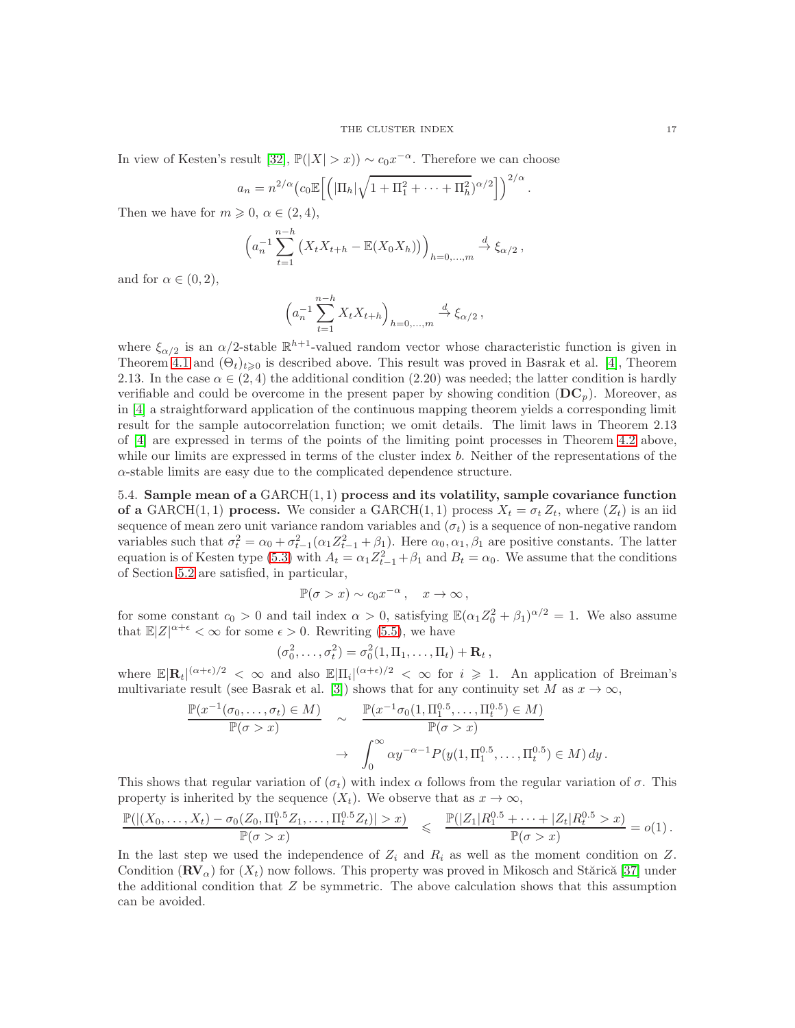In view of Kesten's result [\[32\]](#page-29-21),  $\mathbb{P}(|X| > x)$ ) ~  $c_0 x^{-\alpha}$ . Therefore we can choose

$$
a_n = n^{2/\alpha} \left( c_0 \mathbb{E} \left[ \left( |\Pi_h| \sqrt{1 + \Pi_1^2 + \dots + \Pi_h^2} \right)^{\alpha/2} \right] \right)^{2/\alpha}.
$$

Then we have for  $m \geqslant 0$ ,  $\alpha \in (2, 4)$ ,

$$
\left(a_n^{-1}\sum_{t=1}^{n-h}\left(X_tX_{t+h}-\mathbb{E}(X_0X_h)\right)\right)_{h=0,\ldots,m}\xrightarrow{d}\xi_{\alpha/2},
$$

and for  $\alpha \in (0, 2)$ ,

$$
\left(a_n^{-1} \sum_{t=1}^{n-h} X_t X_{t+h}\right)_{h=0,...,m} \xrightarrow{d} \xi_{\alpha/2},
$$

where  $\xi_{\alpha/2}$  is an  $\alpha/2$ -stable  $\mathbb{R}^{h+1}$ -valued random vector whose characteristic function is given in Theorem [4.1](#page-8-0) and  $(\Theta_t)_{t\geqslant0}$  is described above. This result was proved in Basrak et al. [\[4\]](#page-28-16), Theorem 2.13. In the case  $\alpha \in (2, 4)$  the additional condition (2.20) was needed; the latter condition is hardly verifiable and could be overcome in the present paper by showing condition  $(DC_p)$ . Moreover, as in [\[4\]](#page-28-16) a straightforward application of the continuous mapping theorem yields a corresponding limit result for the sample autocorrelation function; we omit details. The limit laws in Theorem 2.13 of [\[4\]](#page-28-16) are expressed in terms of the points of the limiting point processes in Theorem [4.2](#page-9-1) above, while our limits are expressed in terms of the cluster index b. Neither of the representations of the  $\alpha$ -stable limits are easy due to the complicated dependence structure.

<span id="page-16-0"></span>5.4. Sample mean of a GARCH(1, 1) process and its volatility, sample covariance function of a GARCH(1, 1) process. We consider a GARCH(1, 1) process  $X_t = \sigma_t Z_t$ , where  $(Z_t)$  is an iid sequence of mean zero unit variance random variables and  $(\sigma_t)$  is a sequence of non-negative random variables such that  $\sigma_t^2 = \alpha_0 + \sigma_{t-1}^2(\alpha_1 Z_{t-1}^2 + \beta_1)$ . Here  $\alpha_0, \alpha_1, \beta_1$  are positive constants. The latter equation is of Kesten type [\(5.3\)](#page-13-0) with  $A_t = \alpha_1 Z_{t-1}^2 + \beta_1$  and  $B_t = \alpha_0$ . We assume that the conditions of Section [5.2](#page-13-3) are satisfied, in particular,

$$
\mathbb{P}(\sigma > x) \sim c_0 x^{-\alpha} , \quad x \to \infty ,
$$

for some constant  $c_0 > 0$  and tail index  $\alpha > 0$ , satisfying  $\mathbb{E}(\alpha_1 Z_0^2 + \beta_1)^{\alpha/2} = 1$ . We also assume that  $\mathbb{E}|Z|^{\alpha+\epsilon} < \infty$  for some  $\epsilon > 0$ . Rewriting [\(5.5\)](#page-13-4), we have

$$
(\sigma_0^2,\ldots,\sigma_t^2)=\sigma_0^2(1,\Pi_1,\ldots,\Pi_t)+\mathbf{R}_t\,,
$$

where  $\mathbb{E}|\mathbf{R}_t|^{(\alpha+\epsilon)/2} < \infty$  and also  $\mathbb{E}|\Pi_i|^{(\alpha+\epsilon)/2} < \infty$  for  $i \geq 1$ . An application of Breiman's multivariate result (see Basrak et al. [\[3\]](#page-28-9)) shows that for any continuity set M as  $x \to \infty$ ,

$$
\frac{\mathbb{P}(x^{-1}(\sigma_0,\ldots,\sigma_t)\in M)}{\mathbb{P}(\sigma>x)} \sim \frac{\mathbb{P}(x^{-1}\sigma_0(1,\Pi_1^{0.5},\ldots,\Pi_t^{0.5})\in M)}{\mathbb{P}(\sigma>x)} \rightarrow \int_0^\infty \alpha y^{-\alpha-1} P(y(1,\Pi_1^{0.5},\ldots,\Pi_t^{0.5})\in M) dy.
$$

This shows that regular variation of  $(\sigma_t)$  with index  $\alpha$  follows from the regular variation of  $\sigma$ . This property is inherited by the sequence  $(X_t)$ . We observe that as  $x \to \infty$ ,

$$
\frac{\mathbb{P}(|(X_0,\ldots,X_t)-\sigma_0(Z_0,\Pi_1^{0.5}Z_1,\ldots,\Pi_t^{0.5}Z_t)|>x)}{\mathbb{P}(\sigma>x)} \leq \frac{\mathbb{P}(|Z_1|R_1^{0.5}+\cdots+|Z_t|R_t^{0.5}>x)}{\mathbb{P}(\sigma>x)}=o(1).
$$

In the last step we used the independence of  $Z_i$  and  $R_i$  as well as the moment condition on Z. Condition  $(\mathbf{R}\mathbf{V}_{\alpha})$  for  $(X_t)$  now follows. This property was proved in Mikosch and Stărică [\[37\]](#page-29-18) under the additional condition that Z be symmetric. The above calculation shows that this assumption can be avoided.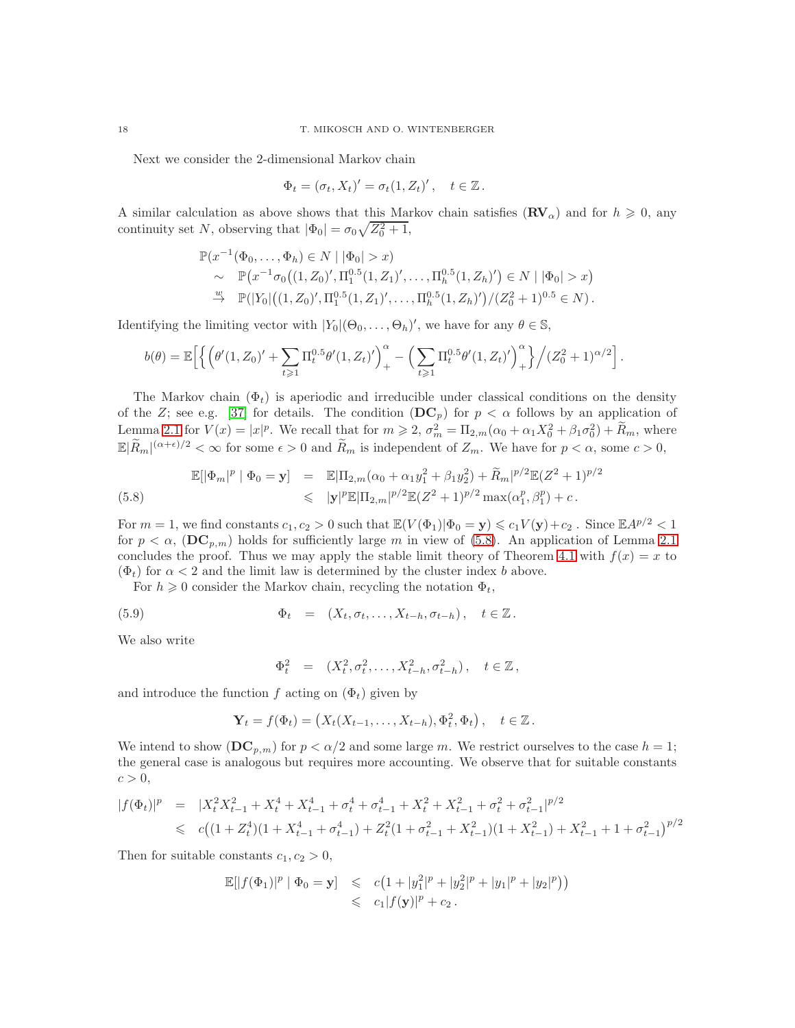Next we consider the 2-dimensional Markov chain

$$
\Phi_t = (\sigma_t, X_t)' = \sigma_t (1, Z_t)', \quad t \in \mathbb{Z}.
$$

A similar calculation as above shows that this Markov chain satisfies  $(\mathbf{RV}_{\alpha})$  and for  $h \geq 0$ , any continuity set N, observing that  $|\Phi_0| = \sigma_0 \sqrt{Z_0^2 + 1}$ ,

$$
\mathbb{P}(x^{-1}(\Phi_0, \dots, \Phi_h) \in N \mid |\Phi_0| > x)
$$
  
\$\sim \mathbb{P}(x^{-1}\sigma\_0((1, Z\_0)', \Pi\_1^{0.5}(1, Z\_1)', \dots, \Pi\_h^{0.5}(1, Z\_h)') \in N \mid |\Phi\_0| > x)\$  
\$\stackrel{w}{\to} \mathbb{P}(|Y\_0|((1, Z\_0)', \Pi\_1^{0.5}(1, Z\_1)', \dots, \Pi\_h^{0.5}(1, Z\_h)')/(Z\_0^2 + 1)^{0.5} \in N)\$.

Identifying the limiting vector with  $|Y_0|(\Theta_0, \ldots, \Theta_h)'$ , we have for any  $\theta \in \mathbb{S}$ ,

$$
b(\theta) = \mathbb{E}\Big[\Big\{\Big(\theta'(1,Z_0)' + \sum_{t\geq 1} \Pi_t^{0.5} \theta'(1,Z_t)'\Big)_+^\alpha - \Big(\sum_{t\geq 1} \Pi_t^{0.5} \theta'(1,Z_t)'\Big)_+^\alpha\Big\}\Big/(Z_0^2 + 1)^{\alpha/2}\Big].
$$

The Markov chain  $(\Phi_t)$  is aperiodic and irreducible under classical conditions on the density of the Z; see e.g. [\[37\]](#page-29-18) for details. The condition  $(DC_p)$  for  $p < \alpha$  follows by an application of Lemma [2.1](#page-3-1) for  $V(x) = |x|^p$ . We recall that for  $m \ge 2$ ,  $\sigma_m^2 = \Pi_{2,m}(\alpha_0 + \alpha_1 X_0^2 + \beta_1 \sigma_0^2) + \tilde{R}_m$ , where  $\mathbb{E}|\widetilde{R}_m|^{(\alpha+\epsilon)/2} < \infty$  for some  $\epsilon > 0$  and  $\widetilde{R}_m$  is independent of  $Z_m$ . We have for  $p < \alpha$ , some  $c > 0$ ,

<span id="page-17-0"></span>(5.8) 
$$
\mathbb{E}[\|\Phi_m|^p \mid \Phi_0 = \mathbf{y}] = \mathbb{E}[\Pi_{2,m}(\alpha_0 + \alpha_1 y_1^2 + \beta_1 y_2^2) + \widetilde{R}_m|^{p/2}\mathbb{E}(Z^2 + 1)^{p/2} \leq | \mathbf{y}|^p \mathbb{E}[\Pi_{2,m}|^{p/2}\mathbb{E}(Z^2 + 1)^{p/2} \max(\alpha_1^p, \beta_1^p) + c.
$$

For  $m = 1$ , we find constants  $c_1, c_2 > 0$  such that  $\mathbb{E}(V(\Phi_1)|\Phi_0 = \mathbf{y}) \leq c_1V(\mathbf{y})+c_2$ . Since  $\mathbb{E}A^{p/2} < 1$ for  $p < \alpha$ , (DC<sub>p,m</sub>) holds for sufficiently large m in view of [\(5.8\)](#page-17-0). An application of Lemma [2.1](#page-3-1) concludes the proof. Thus we may apply the stable limit theory of Theorem [4.1](#page-8-0) with  $f(x) = x$  to  $(\Phi_t)$  for  $\alpha < 2$  and the limit law is determined by the cluster index b above.

For  $h \geq 0$  consider the Markov chain, recycling the notation  $\Phi_t$ ,

(5.9) 
$$
\Phi_t = (X_t, \sigma_t, \dots, X_{t-h}, \sigma_{t-h}), \quad t \in \mathbb{Z}.
$$

We also write

<span id="page-17-1"></span>
$$
\Phi_t^2 = (X_t^2, \sigma_t^2, \dots, X_{t-h}^2, \sigma_{t-h}^2), \quad t \in \mathbb{Z},
$$

and introduce the function f acting on  $(\Phi_t)$  given by

$$
\mathbf{Y}_t = f(\Phi_t) = (X_t(X_{t-1},...,X_{t-h}), \Phi_t^2, \Phi_t), \quad t \in \mathbb{Z}.
$$

We intend to show  $(DC_{p,m})$  for  $p < \alpha/2$  and some large m. We restrict ourselves to the case  $h = 1$ ; the general case is analogous but requires more accounting. We observe that for suitable constants  $c > 0$ ,

$$
|f(\Phi_t)|^p = |X_t^2 X_{t-1}^2 + X_t^4 + X_{t-1}^4 + \sigma_t^4 + \sigma_{t-1}^4 + X_t^2 + X_{t-1}^2 + \sigma_t^2 + \sigma_{t-1}^2|^{p/2}
$$
  
\$\leqslant c((1+Z\_t^4)(1+X\_{t-1}^4 + \sigma\_{t-1}^4) + Z\_t^2(1+\sigma\_{t-1}^2 + X\_{t-1}^2)(1+X\_{t-1}^2) + X\_{t-1}^2 + 1 + \sigma\_{t-1}^2)^{p/2}\$

Then for suitable constants  $c_1, c_2 > 0$ ,

$$
\mathbb{E}[|f(\Phi_1)|^p | \Phi_0 = \mathbf{y}] \leq c(1+|y_1^2|^p + |y_2^2|^p + |y_1|^p + |y_2|^p))
$$
  

$$
\leq c_1|f(\mathbf{y})|^p + c_2.
$$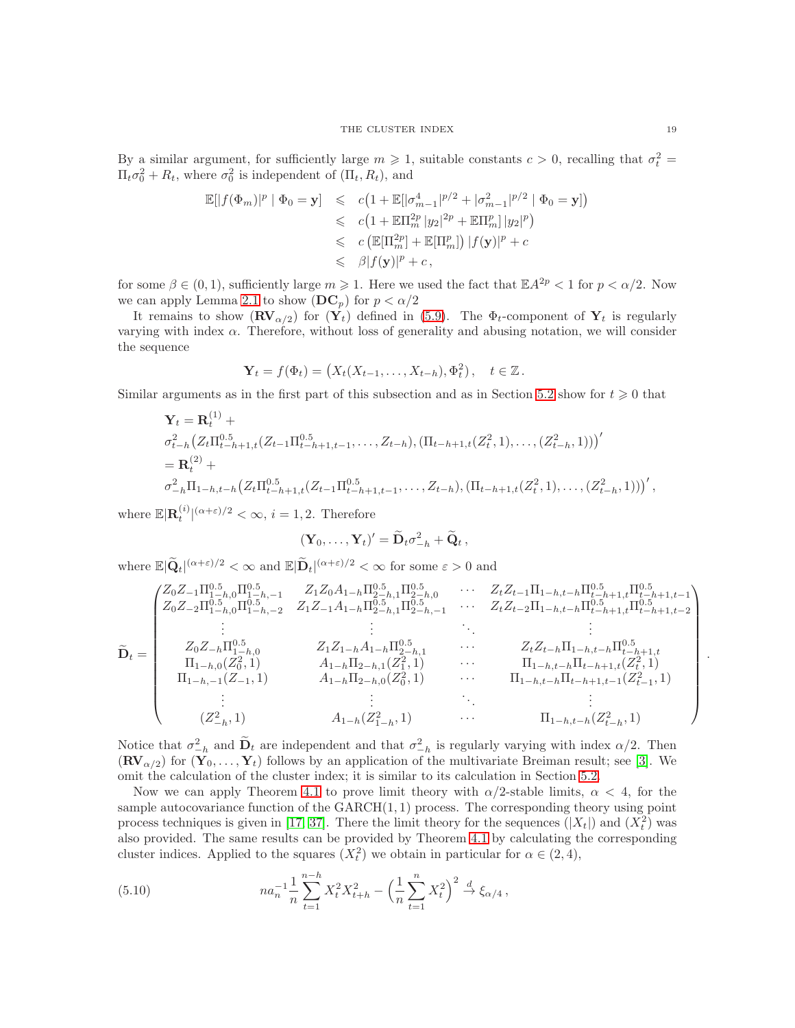By a similar argument, for sufficiently large  $m \geq 1$ , suitable constants  $c > 0$ , recalling that  $\sigma_t^2 =$  $\Pi_t \sigma_0^2 + R_t$ , where  $\sigma_0^2$  is independent of  $(\Pi_t, R_t)$ , and

$$
\mathbb{E}[|f(\Phi_m)|^p | \Phi_0 = \mathbf{y}] \leqslant c\left(1 + \mathbb{E}[\sigma_{m-1}^4]^{p/2} + |\sigma_{m-1}^2|^{p/2} | \Phi_0 = \mathbf{y}]\right)
$$
  
\n
$$
\leqslant c\left(1 + \mathbb{E}\Pi_m^{2p} |y_2|^{2p} + \mathbb{E}\Pi_m^{p} |y_2|^p\right)
$$
  
\n
$$
\leqslant c\left(\mathbb{E}[\Pi_m^{2p}] + \mathbb{E}[\Pi_m^{p}]\right)|f(\mathbf{y})|^p + c
$$
  
\n
$$
\leqslant \beta |f(\mathbf{y})|^p + c,
$$

for some  $\beta \in (0,1)$ , sufficiently large  $m \geq 1$ . Here we used the fact that  $\mathbb{E}A^{2p} < 1$  for  $p < \alpha/2$ . Now we can apply Lemma [2.1](#page-3-1) to show  $(DC_p)$  for  $p < \alpha/2$ 

It remains to show  $(\mathbf{RV}_{\alpha/2})$  for  $(\mathbf{Y}_t)$  defined in [\(5.9\)](#page-17-1). The  $\Phi_t$ -component of  $\mathbf{Y}_t$  is regularly varying with index  $\alpha$ . Therefore, without loss of generality and abusing notation, we will consider the sequence

$$
\mathbf{Y}_t = f(\Phi_t) = \left(X_t(X_{t-1},\ldots,X_{t-h}),\Phi_t^2\right), \quad t \in \mathbb{Z}.
$$

Similar arguments as in the first part of this subsection and as in Section [5.2](#page-13-3) show for  $t \geq 0$  that

$$
\mathbf{Y}_{t} = \mathbf{R}_{t}^{(1)} + \sigma_{t-h+1,t}^{2}(Z_{t-1}\Pi_{t-h+1,t-1}^{0.5}, \ldots, Z_{t-h}), (\Pi_{t-h+1,t}(Z_{t}^{2}, 1), \ldots, (Z_{t-h}^{2}, 1)))'
$$
  
=  $\mathbf{R}_{t}^{(2)} + \sigma_{-h}^{2}\Pi_{1-h,t-h}(Z_{t}\Pi_{t-h+1,t}^{0.5}(Z_{t-1}\Pi_{t-h+1,t-1}^{0.5}, \ldots, Z_{t-h}), (\Pi_{t-h+1,t}(Z_{t}^{2}, 1), \ldots, (Z_{t-h}^{2}, 1)))',$ 

where  $\mathbb{E}|\mathbf{R}_t^{(i)}|^{(\alpha+\varepsilon)/2} < \infty$ ,  $i = 1, 2$ . Therefore

$$
(\mathbf{Y}_0,\ldots,\mathbf{Y}_t)'=\widetilde{\mathbf{D}}_t\sigma_{-h}^2+\widetilde{\mathbf{Q}}_t,
$$

where  $\mathbb{E}|\widetilde{\mathbf{Q}}_t|^{(\alpha+\varepsilon)/2} < \infty$  and  $\mathbb{E}|\widetilde{\mathbf{D}}_t|^{(\alpha+\varepsilon)/2} < \infty$  for some  $\varepsilon > 0$  and

$$
\widetilde{\mathbf{D}}_{t} = \begin{pmatrix}\nZ_{0}Z_{-1}\Pi_{1-h,0}^{0.5}\Pi_{1-h,0}^{0.5} & Z_{1}Z_{0}A_{1-h}\Pi_{2-h,1}^{0.5}\Pi_{2-h,0}^{0.5} & \cdots & Z_{t}Z_{t-1}\Pi_{1-h,t-h}\Pi_{t-h+1,t}^{0.5}\Pi_{1-h,1}^{0.5} \\ Z_{0}Z_{-2}\Pi_{1-h,0}^{0.5}\Pi_{1-h,-2}^{0.5} & Z_{1}Z_{-1}A_{1-h}\Pi_{2-h,1}^{0.5}\Pi_{2-h,-1}^{0.5} & \cdots & Z_{t}Z_{t-2}\Pi_{1-h,t-h}\Pi_{t-h+1,t}^{0.5}\Pi_{1-h,t-h+1,t-2}^{0.5} \\ \vdots & \vdots & \ddots & \vdots \\ Z_{0}Z_{-h}\Pi_{1-h,0}^{0.5} & Z_{1}Z_{1-h}A_{1-h}\Pi_{2-h,1}^{0.5} & \cdots & Z_{t}Z_{t-h}\Pi_{1-h,t-h}\Pi_{t-h+1,t}^{0.5} \\ \Pi_{1-h,0}(Z_{0}^{2},1) & A_{1-h}\Pi_{2-h,1}(Z_{1}^{2},1) & \cdots & \Pi_{1-h,t-h}\Pi_{t-h+1,t}(Z_{t}^{2},1) \\ \vdots & \vdots & \ddots & \vdots \\ Z_{-h,1}^{2} & A_{1-h}\Pi_{2-h,0}(Z_{0}^{2},1) & \cdots & \Pi_{1-h,t-h}\Pi_{t-h+1,t-1}(Z_{t-1}^{2},1) \\ \vdots & \vdots & \ddots & \vdots \\ Z_{-h,1}^{2} & A_{1-h}(Z_{1-h}^{2},1) & \cdots & \Pi_{1-h,t-h}(Z_{t-h}^{2},1)\n\end{pmatrix}
$$

Notice that  $\sigma_{-h}^2$  and  $\mathbf{D}_t$  are independent and that  $\sigma_{-h}^2$  is regularly varying with index  $\alpha/2$ . Then  $(\mathbf{R} \mathbf{V}_{\alpha/2})$  for  $(\mathbf{Y}_0, \ldots, \mathbf{Y}_t)$  follows by an application of the multivariate Breiman result; see [\[3\]](#page-28-9). We omit the calculation of the cluster index; it is similar to its calculation in Section [5.2.](#page-13-3)

Now we can apply Theorem [4.1](#page-8-0) to prove limit theory with  $\alpha/2$ -stable limits,  $\alpha < 4$ , for the sample autocovariance function of the  $GARCH(1, 1)$  process. The corresponding theory using point process techniques is given in [\[17,](#page-28-2) [37\]](#page-29-18). There the limit theory for the sequences  $(|X_t|)$  and  $(X_t^2)$  was also provided. The same results can be provided by Theorem [4.1](#page-8-0) by calculating the corresponding cluster indices. Applied to the squares  $(X_t^2)$  we obtain in particular for  $\alpha \in (2, 4)$ ,

<span id="page-18-0"></span>(5.10) 
$$
na_n^{-1} \frac{1}{n} \sum_{t=1}^{n-h} X_t^2 X_{t+h}^2 - \left(\frac{1}{n} \sum_{t=1}^n X_t^2\right)^2 \stackrel{d}{\to} \xi_{\alpha/4},
$$

.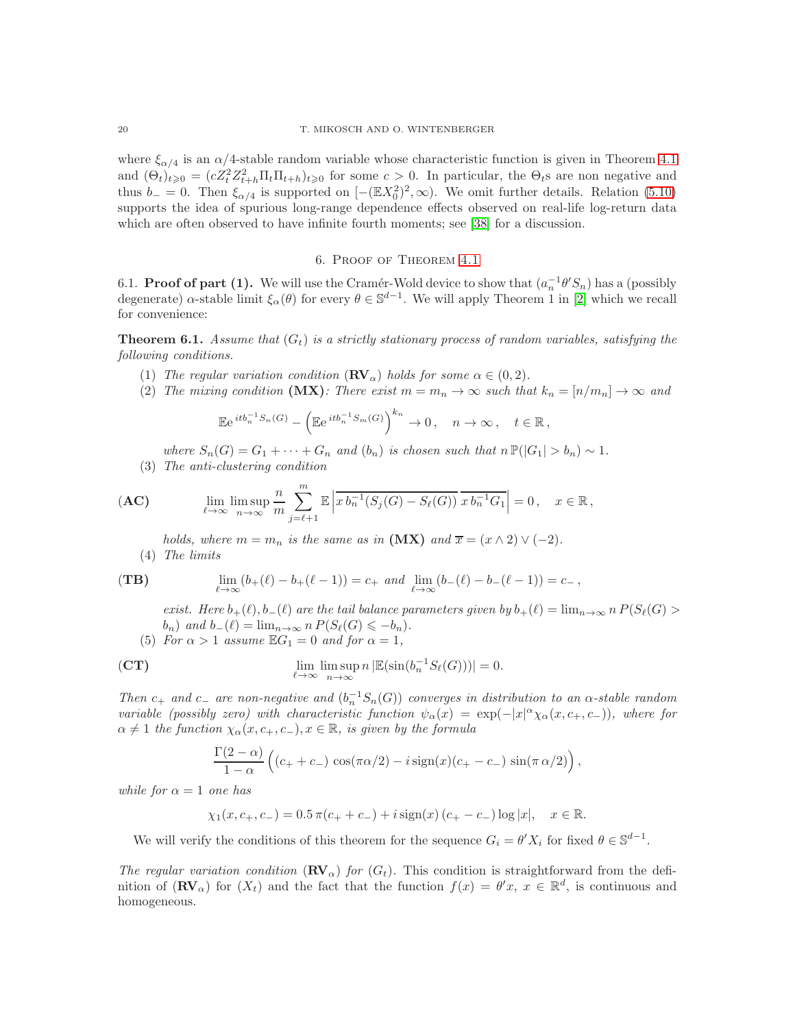where  $\xi_{\alpha/4}$  is an  $\alpha/4$ -stable random variable whose characteristic function is given in Theorem [4.1](#page-8-0) and  $(\Theta_t)_{t\geqslant0}=(cZ_t^2Z_{t+h}^2\Pi_t\Pi_{t+h})_{t\geqslant0}$  for some  $c>0$ . In particular, the  $\Theta_t$ s are non negative and thus  $b_-=0$ . Then  $\xi_{\alpha/4}$  is supported on  $[-(\mathbb{E}X_0^2)^2,\infty)$ . We omit further details. Relation [\(5.10\)](#page-18-0) supports the idea of spurious long-range dependence effects observed on real-life log-return data which are often observed to have infinite fourth moments; see [\[38\]](#page-29-25) for a discussion.

## 6. Proof of Theorem [4.1](#page-8-0)

<span id="page-19-1"></span>6.1. **Proof of part (1).** We will use the Cramér-Wold device to show that  $(a_n^{-1}\theta'S_n)$  has a (possibly degenerate)  $\alpha$ -stable limit  $\xi_{\alpha}(\theta)$  for every  $\theta \in \mathbb{S}^{d-1}$ . We will apply Theorem 1 in [\[2\]](#page-28-3) which we recall for convenience:

<span id="page-19-0"></span>**Theorem 6.1.** Assume that  $(G_t)$  is a strictly stationary process of random variables, satisfying the *following conditions.*

- (1) *The regular variation condition*  $(\mathbf{RV}_\alpha)$  *holds for some*  $\alpha \in (0, 2)$ *.*
- (2) The mixing condition  $(MX)$ : There exist  $m = m_n \to \infty$  such that  $k_n = [n/m_n] \to \infty$  and

$$
\mathbb{E}e^{itb_n^{-1}S_n(G)} - \left(\mathbb{E}e^{itb_n^{-1}S_m(G)}\right)^{k_n} \to 0, \quad n \to \infty, \quad t \in \mathbb{R},
$$

*where*  $S_n(G) = G_1 + \cdots + G_n$  *and*  $(b_n)$  *is chosen such that*  $n \mathbb{P}(|G_1| > b_n) \sim 1$ *.* 

(3) *The anti-clustering condition*

$$
\textbf{(AC)} \qquad \lim_{\ell \to \infty} \limsup_{n \to \infty} \frac{n}{m} \sum_{j=\ell+1}^{m} \mathbb{E} \left| \overline{x b_n^{-1}(S_j(G) - S_\ell(G))} \overline{x b_n^{-1} G_1} \right| = 0, \quad x \in \mathbb{R},
$$

*holds, where*  $m = m_n$  *is the same as in*  $(MX)$  *and*  $\overline{x} = (x \wedge 2) \vee (-2)$ *.* (4) *The limits*

(TB) 
$$
\lim_{\ell \to \infty} (b_{+}(\ell) - b_{+}(\ell - 1)) = c_{+} \text{ and } \lim_{\ell \to \infty} (b_{-}(\ell) - b_{-}(\ell - 1)) = c_{-},
$$

*exist. Here*  $b_+(\ell), b_-(\ell)$  *are the tail balance parameters given by*  $b_+(\ell) = \lim_{n \to \infty} n P(S_\ell(G))$  $b_n$ ) and  $b_-(\ell) = \lim_{n \to \infty} n P(S_{\ell}(G)) \leqslant -b_n)$ .

(5) *For*  $\alpha > 1$  *assume*  $\mathbb{E}G_1 = 0$  *and for*  $\alpha = 1$ *,* 

(CT) 
$$
\lim_{\ell \to \infty} \limsup_{n \to \infty} n |\mathbb{E}(\sin(b_n^{-1}S_{\ell}(G)))| = 0.
$$

*Then*  $c_+$  *and*  $c_-$  *are non-negative and*  $(b_n^{-1}S_n(G))$  *converges in distribution to an*  $\alpha$ -stable random *variable (possibly zero) with characteristic function*  $\psi_{\alpha}(x) = \exp(-|x|^{\alpha}\chi_{\alpha}(x, c_{+}, c_{-}))$ *, where for*  $\alpha \neq 1$  the function  $\chi_{\alpha}(x, c_{+}, c_{-}), x \in \mathbb{R}$ *, is given by the formula* 

$$
\frac{\Gamma(2-\alpha)}{1-\alpha}\left((c_+ + c_-)\cos(\pi\alpha/2) - i\operatorname{sign}(x)(c_+ - c_-)\sin(\pi\alpha/2)\right),\,
$$

*while for*  $\alpha = 1$  *one has* 

$$
\chi_1(x, c_+, c_-) = 0.5 \,\pi(c_+ + c_-) + i \operatorname{sign}(x) (c_+ - c_-) \log |x|, \quad x \in \mathbb{R}.
$$

We will verify the conditions of this theorem for the sequence  $G_i = \theta' X_i$  for fixed  $\theta \in \mathbb{S}^{d-1}$ .

*The regular variation condition*  $(\mathbf{RV}_\alpha)$  *for*  $(G_t)$ . This condition is straightforward from the definition of  $(\mathbf{RV}_\alpha)$  for  $(X_t)$  and the fact that the function  $f(x) = \theta'x, x \in \mathbb{R}^d$ , is continuous and homogeneous.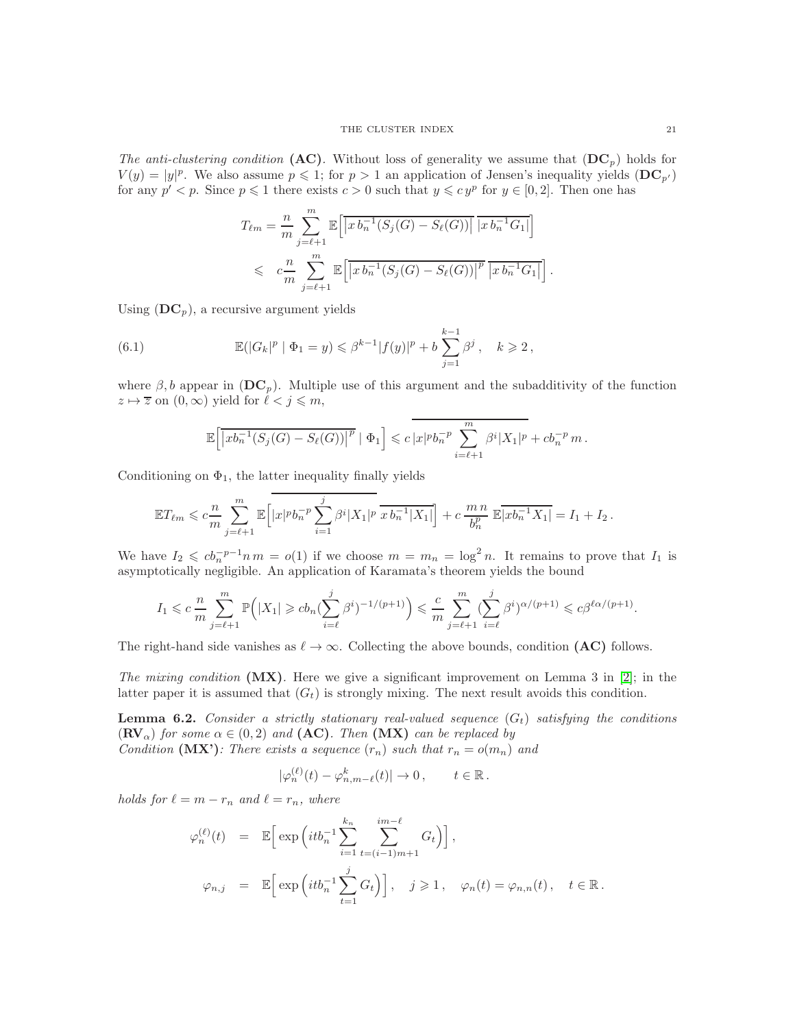*The anti-clustering condition* (AC). Without loss of generality we assume that  $(DC_p)$  holds for  $V(y) = |y|^p$ . We also assume  $p \leq 1$ ; for  $p > 1$  an application of Jensen's inequality yields  $(DC_{p'})$ for any  $p' < p$ . Since  $p \leq 1$  there exists  $c > 0$  such that  $y \leq c y^p$  for  $y \in [0, 2]$ . Then one has

$$
T_{\ell m} = \frac{n}{m} \sum_{j=\ell+1}^{m} \mathbb{E}\left[ \left| x b_n^{-1} (S_j(G) - S_\ell(G)) \right| \overline{|x b_n^{-1} G_1|} \right]
$$
  
\$\leqslant c \frac{n}{m} \sum\_{j=\ell+1}^{m} \mathbb{E}\left[ \left| x b\_n^{-1} (S\_j(G) - S\_\ell(G)) \right|^p \overline{|x b\_n^{-1} G\_1|} \right].

Using  $(DC_p)$ , a recursive argument yields

(6.1) 
$$
\mathbb{E}(|G_k|^p | \Phi_1 = y) \leq \beta^{k-1} |f(y)|^p + b \sum_{j=1}^{k-1} \beta^j, \quad k \geq 2,
$$

where  $\beta$ , b appear in  $(DC_p)$ . Multiple use of this argument and the subadditivity of the function  $z \mapsto \overline{z}$  on  $(0, \infty)$  yield for  $\ell < j \leq m$ ,

<span id="page-20-1"></span>
$$
\mathbb{E}\Big[\overline{|xb_n^{-1}(S_j(G)-S_{\ell}(G))|^p} \mid \Phi_1\Big] \leqslant c\,\big|x|^p b_n^{-p}\sum_{i=\ell+1}^m \beta^i |X_1|^p + c b_n^{-p} \,m\,.
$$

Conditioning on  $\Phi_1$ , the latter inequality finally yields

$$
\mathbb{E} T_{\ell m} \leqslant c \frac{n}{m} \sum_{j=\ell+1}^{m} \mathbb{E} \Big[ |x|^p b_n^{-p} \sum_{i=1}^{j} \beta^i |X_1|^p \overline{x b_n^{-1} |X_1|} \Big] + c \frac{m n}{b_n^p} \mathbb{E} \overline{|x b_n^{-1} X_1|} = I_1 + I_2.
$$

We have  $I_2 \leqslant cb_n^{-p-1}n m = o(1)$  if we choose  $m = m_n = \log^2 n$ . It remains to prove that  $I_1$  is asymptotically negligible. An application of Karamata's theorem yields the bound

$$
I_1\leqslant c\frac{n}{m}\sum\limits_{j=\ell+1}^m\mathbb{P}\Big(|X_1|\geqslant cb_n(\sum\limits_{i=\ell}^j\beta^i)^{-1/(p+1)}\Big)\leqslant \frac{c}{m}\sum\limits_{j=\ell+1}^m(\sum\limits_{i=\ell}^j\beta^i)^{\alpha/(p+1)}\leqslant c\beta^{\ell\alpha/(p+1)}.
$$

The right-hand side vanishes as  $\ell \to \infty$ . Collecting the above bounds, condition (AC) follows.

*The mixing condition* (MX)*.* Here we give a significant improvement on Lemma 3 in [\[2\]](#page-28-3); in the latter paper it is assumed that  $(G_t)$  is strongly mixing. The next result avoids this condition.

<span id="page-20-0"></span>**Lemma 6.2.** Consider a strictly stationary real-valued sequence  $(G_t)$  satisfying the conditions  $({\bf RV}_{\alpha})$  *for some*  $\alpha \in (0, 2)$  *and*  $({\bf AC})$ *. Then*  $({\bf MX})$  *can be replaced by Condition* (MX'): There exists a sequence  $(r_n)$  *such that*  $r_n = o(m_n)$  *and* 

$$
|\varphi_n^{(\ell)}(t) - \varphi_{n,m-\ell}^k(t)| \to 0, \qquad t \in \mathbb{R}.
$$

*holds for*  $\ell = m - r_n$  *and*  $\ell = r_n$ *, where* 

$$
\varphi_n^{(\ell)}(t) = \mathbb{E} \Big[ \exp \Big(itb_n^{-1} \sum_{i=1}^{k_n} \sum_{t=(i-1)m+1}^{im-\ell} G_t \Big) \Big],
$$
  

$$
\varphi_{n,j} = \mathbb{E} \Big[ \exp \Big(itb_n^{-1} \sum_{t=1}^j G_t \Big) \Big], \quad j \geq 1, \quad \varphi_n(t) = \varphi_{n,n}(t), \quad t \in \mathbb{R}.
$$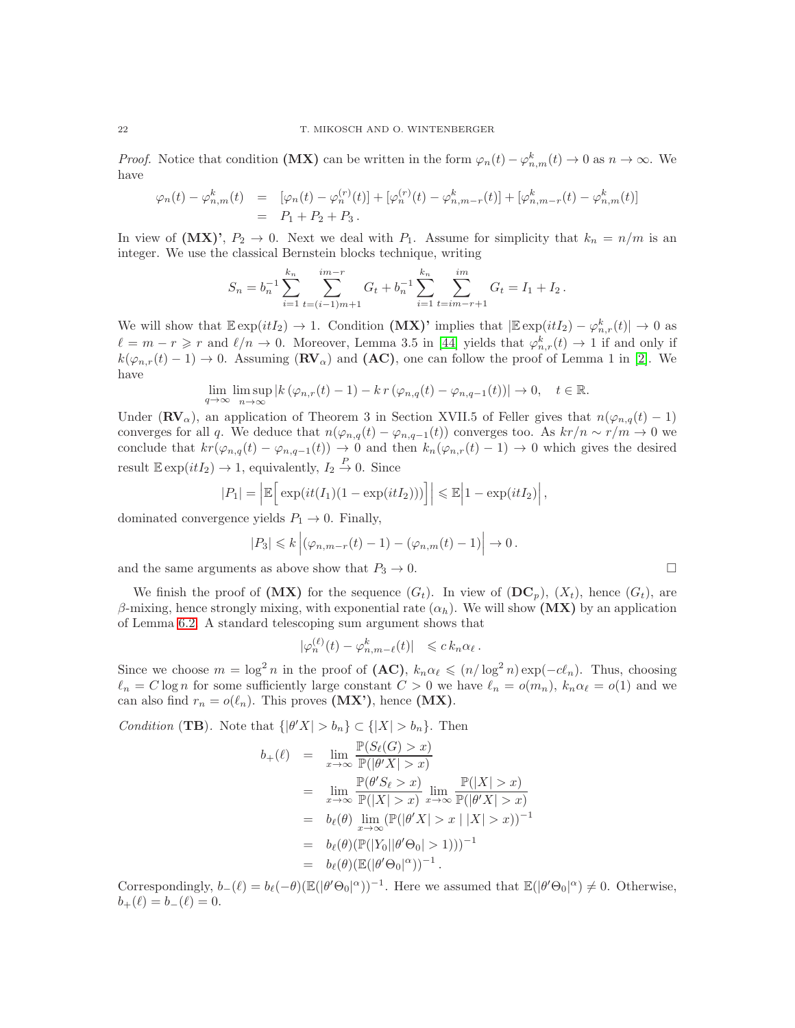*Proof.* Notice that condition (MX) can be written in the form  $\varphi_n(t) - \varphi_{n,m}^k(t) \to 0$  as  $n \to \infty$ . We have

$$
\varphi_n(t) - \varphi_{n,m}^k(t) = [\varphi_n(t) - \varphi_n^{(r)}(t)] + [\varphi_n^{(r)}(t) - \varphi_{n,m-r}^k(t)] + [\varphi_{n,m-r}^k(t) - \varphi_{n,m}^k(t)]
$$
  
=  $P_1 + P_2 + P_3$ .

In view of  $(MX)$ ,  $P_2 \rightarrow 0$ . Next we deal with  $P_1$ . Assume for simplicity that  $k_n = n/m$  is an integer. We use the classical Bernstein blocks technique, writing

$$
S_n = b_n^{-1} \sum_{i=1}^{k_n} \sum_{t=(i-1)m+1}^{im-r} G_t + b_n^{-1} \sum_{i=1}^{k_n} \sum_{t=im-r+1}^{im} G_t = I_1 + I_2.
$$

We will show that  $\mathbb{E} \exp(itI_2) \to 1$ . Condition (MX)' implies that  $|\mathbb{E} \exp(itI_2) - \varphi_{n,r}^k(t)| \to 0$  as  $\ell = m - r \geqslant r$  and  $\ell/n \to 0$ . Moreover, Lemma 3.5 in [\[44\]](#page-29-20) yields that  $\varphi_{n,r}^k(t) \to 1$  if and only if  $k(\varphi_{n,r}(t)-1) \to 0$ . Assuming  $(\mathbf{RV}_\alpha)$  and  $(\mathbf{AC})$ , one can follow the proof of Lemma 1 in [\[2\]](#page-28-3). We have

$$
\lim_{q \to \infty} \limsup_{n \to \infty} |k(\varphi_{n,r}(t) - 1) - kr(\varphi_{n,q}(t) - \varphi_{n,q-1}(t))| \to 0, \quad t \in \mathbb{R}.
$$

Under ( $\mathbf{RV}_{\alpha}$ ), an application of Theorem 3 in Section XVII.5 of Feller gives that  $n(\varphi_{n,q}(t)-1)$ converges for all q. We deduce that  $n(\varphi_{n,q}(t) - \varphi_{n,q-1}(t))$  converges too. As  $kr/n \sim r/m \to 0$  we conclude that  $kr(\varphi_{n,q}(t) - \varphi_{n,q-1}(t)) \to 0$  and then  $k_n(\varphi_{n,r}(t) - 1) \to 0$  which gives the desired result  $\mathbb{E} \exp(itI_2) \to 1$ , equivalently,  $I_2 \stackrel{P}{\to} 0$ . Since

$$
|P_1| = \left| \mathbb{E} \left[ \exp(it(I_1)(1 - \exp(itI_2))) \right] \right| \leq \mathbb{E} \left| 1 - \exp(itI_2) \right|,
$$

dominated convergence yields  $P_1 \rightarrow 0$ . Finally,

$$
|P_3| \leq k \left| (\varphi_{n,m-r}(t)-1) - (\varphi_{n,m}(t)-1) \right| \to 0.
$$

and the same arguments as above show that  $P_3 \to 0$ .

We finish the proof of (MX) for the sequence  $(G_t)$ . In view of  $(DC_p)$ ,  $(X_t)$ , hence  $(G_t)$ , are β-mixing, hence strongly mixing, with exponential rate  $(α<sub>h</sub>)$ . We will show (MX) by an application of Lemma [6.2.](#page-20-0) A standard telescoping sum argument shows that

$$
|\varphi_n^{(\ell)}(t) - \varphi_{n,m-\ell}^k(t)| \leq c k_n \alpha_\ell.
$$

Since we choose  $m = \log^2 n$  in the proof of  $(AC)$ ,  $k_n \alpha_\ell \leqslant (n/\log^2 n) \exp(-c\ell_n)$ . Thus, choosing  $\ell_n = C \log n$  for some sufficiently large constant  $C > 0$  we have  $\ell_n = o(m_n)$ ,  $k_n \alpha_\ell = o(1)$  and we can also find  $r_n = o(\ell_n)$ . This proves  $(MX')$ , hence  $(MX)$ .

*Condition* (TB). Note that  $\{|\theta'X| > b_n\} \subset \{ |X| > b_n\}.$  Then

$$
b_{+}(\ell) = \lim_{x \to \infty} \frac{\mathbb{P}(S_{\ell}(G) > x)}{\mathbb{P}(|\theta'X| > x)}
$$
  
\n
$$
= \lim_{x \to \infty} \frac{\mathbb{P}(\theta'S_{\ell} > x)}{\mathbb{P}(|X| > x)} \lim_{x \to \infty} \frac{\mathbb{P}(|X| > x)}{\mathbb{P}(|\theta'X| > x)}
$$
  
\n
$$
= b_{\ell}(\theta) \lim_{x \to \infty} (\mathbb{P}(|\theta'X| > x | |X| > x))^{-1}
$$
  
\n
$$
= b_{\ell}(\theta) (\mathbb{P}(|Y_0||\theta'\Theta_0| > 1)))^{-1}
$$
  
\n
$$
= b_{\ell}(\theta) (\mathbb{E}(|\theta'\Theta_0|^{\alpha}))^{-1}.
$$

Correspondingly,  $b_-(\ell) = b_\ell(-\theta) (\mathbb{E}(|\theta' \Theta_0|^{\alpha}))^{-1}$ . Here we assumed that  $\mathbb{E}(|\theta' \Theta_0|^{\alpha}) \neq 0$ . Otherwise,  $b_{+}(\ell) = b_{-}(\ell) = 0.$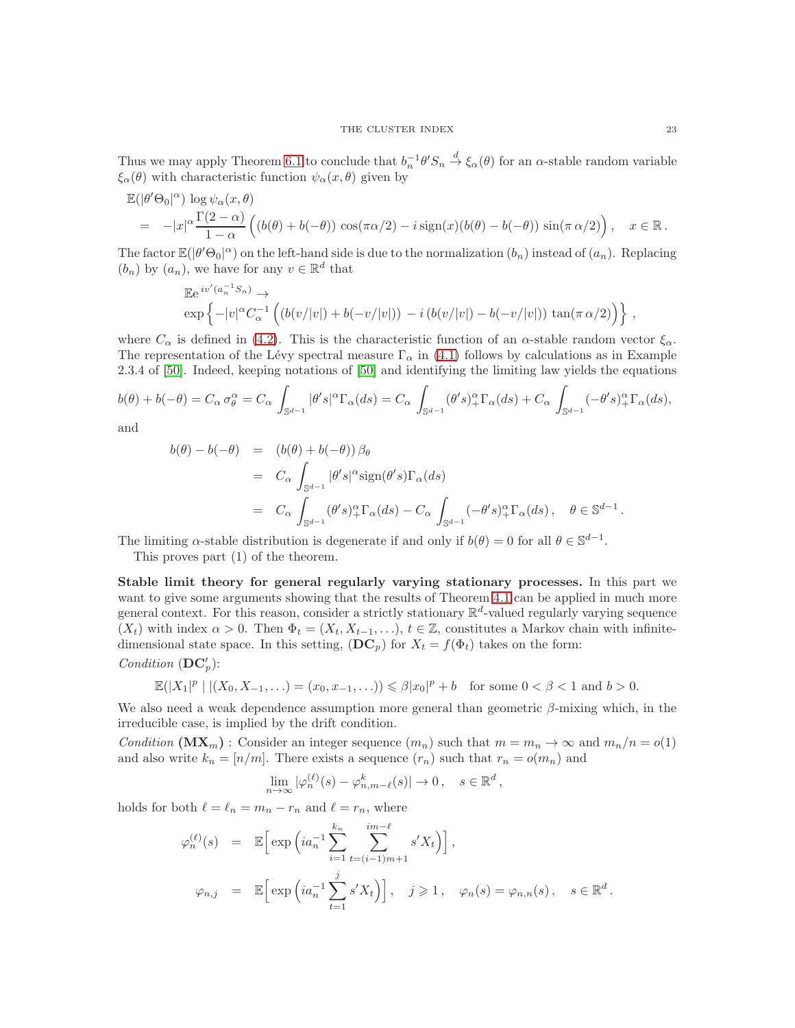Thus we may apply Theorem [6.1](#page-19-0) to conclude that  $b_n^{-1}\theta'S_n \stackrel{d}{\to} \xi_\alpha(\theta)$  for an  $\alpha$ -stable random variable  $\xi_{\alpha}(\theta)$  with characteristic function  $\psi_{\alpha}(x,\theta)$  given by

$$
\mathbb{E}(|\theta'\Theta_0|^\alpha) \log \psi_\alpha(x,\theta) \n= -|x|^\alpha \frac{\Gamma(2-\alpha)}{1-\alpha} \left( (b(\theta)+b(-\theta)) \cos(\pi \alpha/2) - i \operatorname{sign}(x)(b(\theta)-b(-\theta)) \sin(\pi \alpha/2) \right), \quad x \in \mathbb{R}.
$$

The factor  $\mathbb{E}(|\theta'\Theta_0|^{\alpha})$  on the left-hand side is due to the normalization  $(b_n)$  instead of  $(a_n)$ . Replacing  $(b_n)$  by  $(a_n)$ , we have for any  $v \in \mathbb{R}^d$  that

$$
\mathbb{E}e^{iv'(a_n^{-1}S_n)} \to \exp\left\{-|v|^{\alpha}C_{\alpha}^{-1}\left((b(v/|v|) + b(-v/|v|)) - i(b(v/|v|) - b(-v/|v|))\tan(\pi\alpha/2)\right)\right\},\,
$$

where  $C_{\alpha}$  is defined in [\(4.2\)](#page-11-4). This is the characteristic function of an  $\alpha$ -stable random vector  $\xi_{\alpha}$ . The representation of the Lévy spectral measure  $\Gamma_{\alpha}$  in [\(4.1\)](#page-11-3) follows by calculations as in Example 2.3.4 of [\[50\]](#page-29-1). Indeed, keeping notations of [\[50\]](#page-29-1) and identifying the limiting law yields the equations

$$
b(\theta) + b(-\theta) = C_{\alpha} \sigma_{\theta}^{\alpha} = C_{\alpha} \int_{\mathbb{S}^{d-1}} |\theta' s|^{\alpha} \Gamma_{\alpha}(ds) = C_{\alpha} \int_{\mathbb{S}^{d-1}} (\theta' s)^{\alpha}_{+} \Gamma_{\alpha}(ds) + C_{\alpha} \int_{\mathbb{S}^{d-1}} (-\theta' s)^{\alpha}_{+} \Gamma_{\alpha}(ds),
$$

and

$$
b(\theta) - b(-\theta) = (b(\theta) + b(-\theta)) \beta_{\theta}
$$
  
=  $C_{\alpha} \int_{\mathbb{S}^{d-1}} |\theta' s|^{\alpha} \operatorname{sign}(\theta' s) \Gamma_{\alpha}(ds)$   
=  $C_{\alpha} \int_{\mathbb{S}^{d-1}} (\theta' s)^{\alpha}_{+} \Gamma_{\alpha}(ds) - C_{\alpha} \int_{\mathbb{S}^{d-1}} (-\theta' s)^{\alpha}_{+} \Gamma_{\alpha}(ds), \quad \theta \in \mathbb{S}^{d-1}.$ 

The limiting  $\alpha$ -stable distribution is degenerate if and only if  $b(\theta) = 0$  for all  $\theta \in \mathbb{S}^{d-1}$ .

This proves part (1) of the theorem.

Stable limit theory for general regularly varying stationary processes. In this part we want to give some arguments showing that the results of Theorem [4.1](#page-8-0) can be applied in much more general context. For this reason, consider a strictly stationary  $\mathbb{R}^d$ -valued regularly varying sequence  $(X_t)$  with index  $\alpha > 0$ . Then  $\Phi_t = (X_t, X_{t-1}, \ldots), t \in \mathbb{Z}$ , constitutes a Markov chain with infinitedimensional state space. In this setting,  $(DC_p)$  for  $X_t = f(\Phi_t)$  takes on the form:

# *Condition*  $(DC'_p)$ :

$$
\mathbb{E}(|X_1|^p \mid |(X_0, X_{-1}, \ldots) = (x_0, x_{-1}, \ldots)) \leq \beta |x_0|^p + b \quad \text{for some } 0 < \beta < 1 \text{ and } b > 0.
$$

We also need a weak dependence assumption more general than geometric  $\beta$ -mixing which, in the irreducible case, is implied by the drift condition.

*Condition* ( $\mathbf{MX}_m$ ) : Consider an integer sequence  $(m_n)$  such that  $m = m_n \to \infty$  and  $m_n/n = o(1)$ and also write  $k_n = [n/m]$ . There exists a sequence  $(r_n)$  such that  $r_n = o(m_n)$  and

$$
\lim_{n \to \infty} |\varphi_n^{(\ell)}(s) - \varphi_{n,m-\ell}^k(s)| \to 0, \quad s \in \mathbb{R}^d,
$$

holds for both  $\ell = \ell_n = m_n - r_n$  and  $\ell = r_n$ , where

$$
\varphi_n^{(\ell)}(s) = \mathbb{E}\Big[\exp\Big(ia_n^{-1}\sum_{i=1}^{k_n}\sum_{t=(i-1)m+1}^{im-\ell} s'X_t\Big)\Big],
$$
  

$$
\varphi_{n,j} = \mathbb{E}\Big[\exp\Big(ia_n^{-1}\sum_{t=1}^j s'X_t\Big)\Big], \quad j \geq 1, \quad \varphi_n(s) = \varphi_{n,n}(s), \quad s \in \mathbb{R}^d.
$$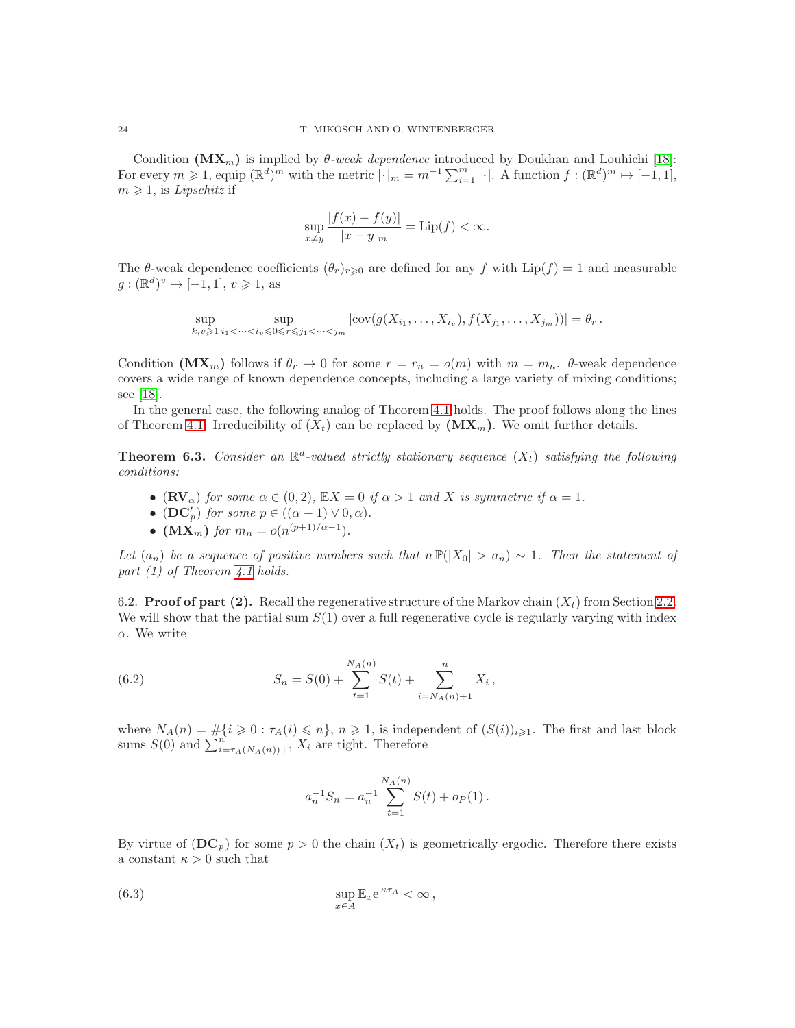Condition  $(\mathbf{MX}_m)$  is implied by  $\theta$ -weak dependence introduced by Doukhan and Louhichi [\[18\]](#page-28-17): For every  $m \geq 1$ , equip  $(\mathbb{R}^d)^m$  with the metric  $|\cdot|_m = m^{-1} \sum_{i=1}^m |\cdot|$ . A function  $f : (\mathbb{R}^d)^m \mapsto [-1,1]$ ,  $m \geq 1$ , is *Lipschitz* if

$$
\sup_{x \neq y} \frac{|f(x) - f(y)|}{|x - y|_{m}} = \text{Lip}(f) < \infty.
$$

The  $\theta$ -weak dependence coefficients  $(\theta_r)_{r\geqslant 0}$  are defined for any f with  $\text{Lip}(f) = 1$  and measurable  $g: (\mathbb{R}^d)^v \mapsto [-1, 1], v \geq 1$ , as

$$
\sup_{k,v\geq 1} \sup_{i_1<\cdots
$$

Condition  $(MX_m)$  follows if  $\theta_r \to 0$  for some  $r = r_n = o(m)$  with  $m = m_n$ .  $\theta$ -weak dependence covers a wide range of known dependence concepts, including a large variety of mixing conditions; see [\[18\]](#page-28-17).

In the general case, the following analog of Theorem [4.1](#page-8-0) holds. The proof follows along the lines of Theorem [4.1.](#page-8-0) Irreducibility of  $(X_t)$  can be replaced by  $(MX_m)$ . We omit further details.

**Theorem 6.3.** *Consider an*  $\mathbb{R}^d$ -valued strictly stationary sequence  $(X_t)$  satisfying the following *conditions:*

- $(\mathbf{RV}_\alpha)$  *for some*  $\alpha \in (0, 2)$ *,*  $\mathbb{E}X = 0$  *if*  $\alpha > 1$  *and* X *is symmetric if*  $\alpha = 1$ *.*
- (DC'<sub>p</sub>) for some  $p \in ((\alpha 1) \vee 0, \alpha)$ .
- $(MX_m)$  *for*  $m_n = o(n^{(p+1)/\alpha-1})$ *.*

*Let*  $(a_n)$  *be a sequence of positive numbers such that*  $n P(|X_0| > a_n) \sim 1$ *. Then the statement of part (1) of Theorem [4.1](#page-8-0) holds.*

6.2. **Proof of part (2).** Recall the regenerative structure of the Markov chain  $(X_t)$  from Section [2.2.](#page-3-2) We will show that the partial sum  $S(1)$  over a full regenerative cycle is regularly varying with index  $\alpha$ . We write

(6.2) 
$$
S_n = S(0) + \sum_{t=1}^{N_A(n)} S(t) + \sum_{i=N_A(n)+1}^{n} X_i,
$$

where  $N_A(n) = \#\{i \geq 0 : \tau_A(i) \leq n\}, n \geq 1$ , is independent of  $(S(i))_{i \geq 1}$ . The first and last block sums  $S(0)$  and  $\sum_{i=\tau_A(N_A(n))+1}^n X_i$  are tight. Therefore

<span id="page-23-0"></span>
$$
a_n^{-1} S_n = a_n^{-1} \sum_{t=1}^{N_A(n)} S(t) + o_P(1).
$$

By virtue of  $(DC_p)$  for some  $p > 0$  the chain  $(X_t)$  is geometrically ergodic. Therefore there exists a constant  $\kappa > 0$  such that

(6.3) 
$$
\sup_{x \in A} \mathbb{E}_x e^{\kappa \tau_A} < \infty \,,
$$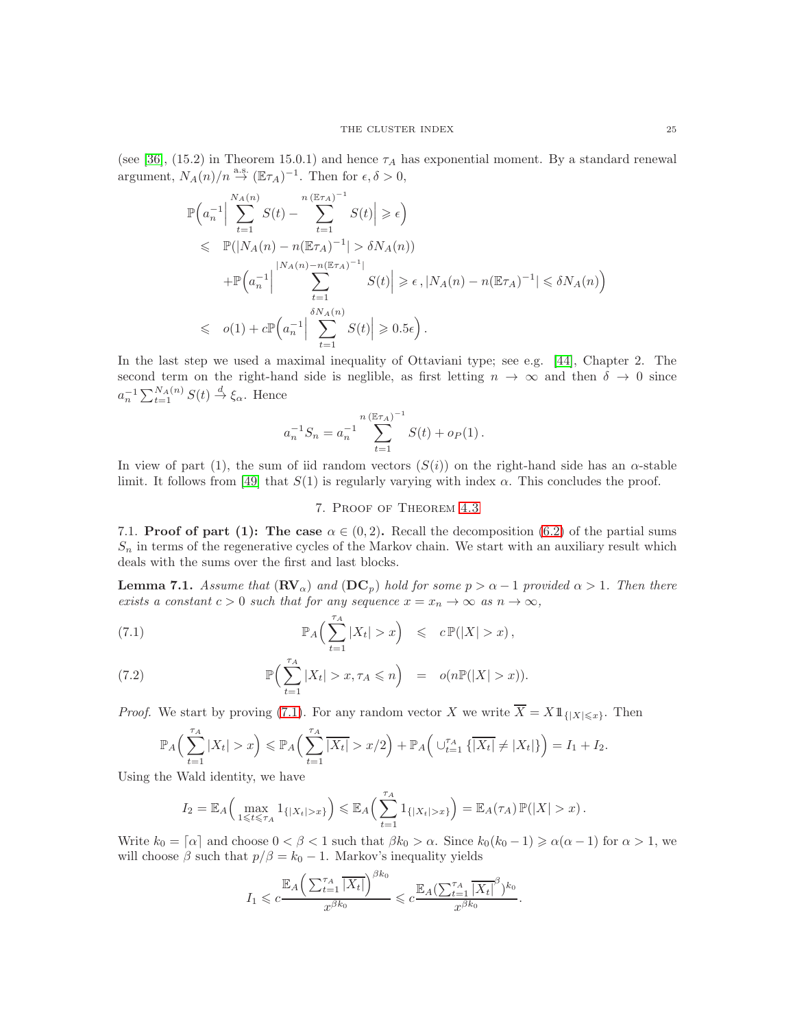(see [\[36\]](#page-29-13), (15.2) in Theorem 15.0.1) and hence  $\tau_A$  has exponential moment. By a standard renewal argument,  $N_A(n)/n \stackrel{\text{a.s.}}{\rightarrow} (\mathbb{E} \tau_A)^{-1}$ . Then for  $\epsilon, \delta > 0$ ,

$$
\mathbb{P}\left(a_n^{-1}\Big|\sum_{t=1}^{N_A(n)} S(t) - \sum_{t=1}^{n(\mathbb{E}\tau_A)^{-1}} S(t)\Big| \geqslant \epsilon\right)
$$
\n
$$
\leqslant \mathbb{P}(|N_A(n) - n(\mathbb{E}\tau_A)^{-1}| > \delta N_A(n))
$$
\n
$$
+ \mathbb{P}\left(a_n^{-1}\Big|\sum_{t=1}^{|N_A(n) - n(\mathbb{E}\tau_A)^{-1}|} S(t)\Big| \geqslant \epsilon, |N_A(n) - n(\mathbb{E}\tau_A)^{-1}| \leqslant \delta N_A(n)\right)
$$
\n
$$
\leqslant o(1) + c \mathbb{P}\left(a_n^{-1}\Big|\sum_{t=1}^{\delta N_A(n)} S(t)\Big| \geqslant 0.5\epsilon\right).
$$

In the last step we used a maximal inequality of Ottaviani type; see e.g. [\[44\]](#page-29-20), Chapter 2. The second term on the right-hand side is neglible, as first letting  $n \to \infty$  and then  $\delta \to 0$  since  $a_n^{-1} \sum_{t=1}^{N_A(n)} S(t) \stackrel{d}{\rightarrow} \xi_\alpha$ . Hence

$$
a_n^{-1} S_n = a_n^{-1} \sum_{t=1}^{n (\mathbb{E} \tau_A)^{-1}} S(t) + o_P(1).
$$

<span id="page-24-0"></span>In view of part (1), the sum of iid random vectors  $(S(i))$  on the right-hand side has an  $\alpha$ -stable limit. It follows from [\[49\]](#page-29-0) that  $S(1)$  is regularly varying with index  $\alpha$ . This concludes the proof.

## <span id="page-24-2"></span>7. Proof of Theorem [4.3](#page-11-0)

<span id="page-24-1"></span>7.1. **Proof of part (1):** The case  $\alpha \in (0, 2)$ . Recall the decomposition [\(6.2\)](#page-23-0) of the partial sums  $S_n$  in terms of the regenerative cycles of the Markov chain. We start with an auxiliary result which deals with the sums over the first and last blocks.

<span id="page-24-3"></span>**Lemma 7.1.** Assume that  $(\mathbf{RV}_\alpha)$  and  $(\mathbf{DC}_p)$  hold for some  $p > \alpha - 1$  provided  $\alpha > 1$ . Then there *exists a constant*  $c > 0$  *such that for any sequence*  $x = x_n \to \infty$  *as*  $n \to \infty$ *,* 

(7.1) 
$$
\mathbb{P}_A\Big(\sum_{t=1}^{\tau_A}|X_t| > x\Big) \leqslant c \mathbb{P}(|X| > x),
$$

(7.2) 
$$
\mathbb{P}\Big(\sum_{t=1}^{\tau_A}|X_t| > x, \tau_A \leqslant n\Big) = o(n\mathbb{P}(|X| > x)).
$$

*Proof.* We start by proving [\(7.1\)](#page-24-2). For any random vector X we write  $\overline{X} = X1_{\{|X| \leq x\}}$ . Then

$$
\mathbb{P}_A\Big(\sum_{t=1}^{\tau_A}|X_t|>x\Big) \leq \mathbb{P}_A\Big(\sum_{t=1}^{\tau_A}\overline{|X_t|}>x/2\Big) + \mathbb{P}_A\Big(\cup_{t=1}^{\tau_A}\{\overline{|X_t|}\neq |X_t|\}\Big) = I_1 + I_2.
$$

Using the Wald identity, we have

$$
I_2 = \mathbb{E}_A\Big(\max_{1\leqslant t\leqslant\tau_A}1_{\{|X_t|>x\}}\Big)\leqslant\mathbb{E}_A\Big(\sum_{t=1}^{\tau_A}1_{\{|X_t|>x\}}\Big)=\mathbb{E}_A(\tau_A)\,\mathbb{P}(|X|>x)\,.
$$

Write  $k_0 = \lceil \alpha \rceil$  and choose  $0 < \beta < 1$  such that  $\beta k_0 > \alpha$ . Since  $k_0(k_0 - 1) \ge \alpha(\alpha - 1)$  for  $\alpha > 1$ , we will choose  $\beta$  such that  $p/\beta = k_0 - 1$ . Markov's inequality yields

$$
I_1 \leqslant c \frac{\mathbb{E}_A \left( \sum_{t=1}^{\tau_A} \overline{|X_t|} \right)^{\beta k_0}}{x^{\beta k_0}} \leqslant c \frac{\mathbb{E}_A \left( \sum_{t=1}^{\tau_A} \overline{|X_t|}^{\beta} \right) k_0}{x^{\beta k_0}}.
$$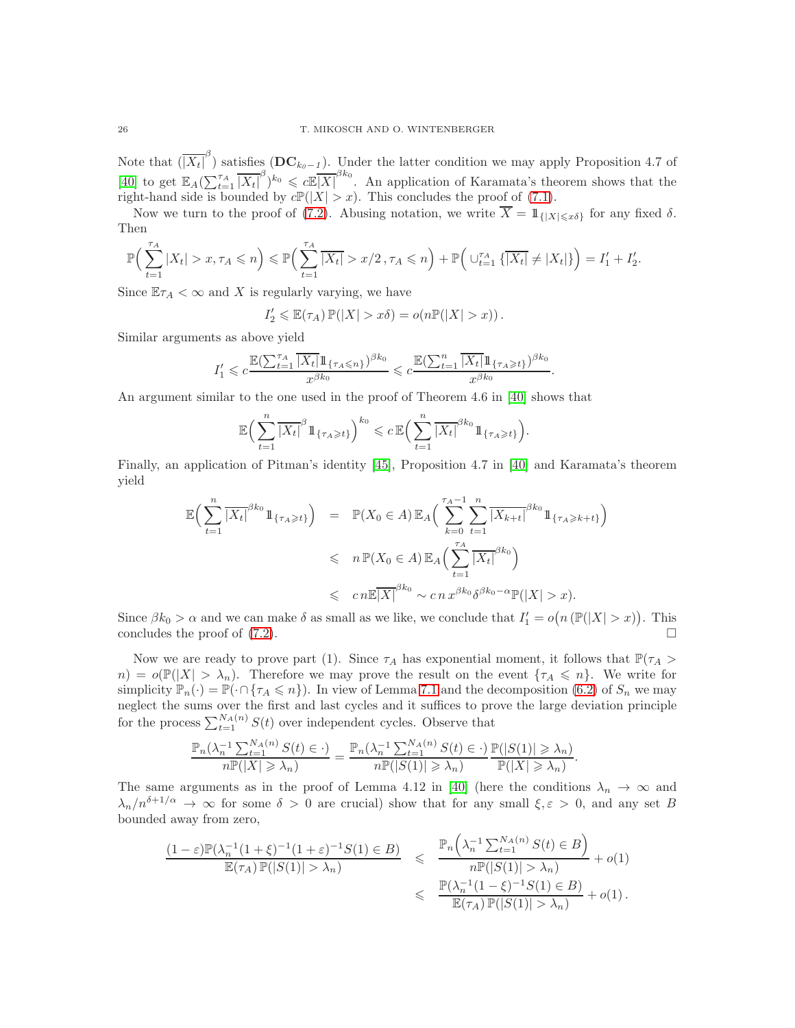Note that  $(\overline{|X_t|}^{\beta})$  satisfies  $(DC_{k_0-1})$ . Under the latter condition we may apply Proposition 4.7 of [\[40\]](#page-29-9) to get  $\mathbb{E}_A(\sum_{t=1}^{\tau_A} |\overline{X_t}|^{\beta})^{k_0} \leq c \mathbb{E}|\overline{X}|^{\beta k_0}$ . An application of Karamata's theorem shows that the right-hand side is bounded by  $c\mathbb{P}(|X| > x)$ . This concludes the proof of [\(7.1\)](#page-24-2).

Now we turn to the proof of [\(7.2\)](#page-24-2). Abusing notation, we write  $\overline{X} = 1\!\!1_{\{|X| \leq x\delta\}}$  for any fixed  $\delta$ . Then

$$
\mathbb{P}\Big(\sum_{t=1}^{\tau_A} |X_t| > x, \tau_A \leqslant n\Big) \leqslant \mathbb{P}\Big(\sum_{t=1}^{\tau_A} |\overline{X_t}| > x/2, \tau_A \leqslant n\Big) + \mathbb{P}\Big(\cup_{t=1}^{\tau_A} \{\overline{|X_t|} \neq |X_t|\}\Big) = I'_1 + I'_2.
$$

Since  $\mathbb{E}\tau_A < \infty$  and X is regularly varying, we have

$$
I_2' \leq \mathbb{E}(\tau_A) \mathbb{P}(|X| > x\delta) = o(n\mathbb{P}(|X| > x)).
$$

Similar arguments as above yield

$$
I_1' \leqslant c\frac{\mathbb{E}(\sum_{t=1}^{\tau_A}\overline{|X_t|}1\!\!1_{\{\tau_A\leqslant n\}})^{\beta k_0}}{x^{\beta k_0}}\leqslant c\frac{\mathbb{E}(\sum_{t=1}^n\overline{|X_t|}1\!\!1_{\{\tau_A\geqslant t\}})^{\beta k_0}}{x^{\beta k_0}}.
$$

An argument similar to the one used in the proof of Theorem 4.6 in [\[40\]](#page-29-9) shows that

$$
\mathbb{E}\Big(\sum_{t=1}^n \overline{\left|X_t\right|}^{\beta} 1\!\!1_{\{\tau_A \geq t\}}\Big)^{k_0} \leqslant c \,\mathbb{E}\Big(\sum_{t=1}^n \overline{\left|X_t\right|}^{\beta k_0} 1\!\!1_{\{\tau_A \geqslant t\}}\Big).
$$

Finally, an application of Pitman's identity [\[45\]](#page-29-26), Proposition 4.7 in [\[40\]](#page-29-9) and Karamata's theorem yield

$$
\mathbb{E}\Big(\sum_{t=1}^{n} \overline{|X_t|}^{\beta k_0} 1\!\!1_{\{\tau_A \geqslant t\}}\Big) = \mathbb{P}(X_0 \in A) \mathbb{E}_A\Big(\sum_{k=0}^{\tau_A-1} \sum_{t=1}^{n} \overline{|X_{k+t}|}^{\beta k_0} 1\!\!1_{\{\tau_A \geqslant k+t\}}\Big) \leqslant n \mathbb{P}(X_0 \in A) \mathbb{E}_A\Big(\sum_{t=1}^{\tau_A-1} \overline{|X_t|}^{\beta k_0}\Big) \leqslant cn \mathbb{E}\overline{|X|}^{\beta k_0} \sim cn \, x^{\beta k_0} \delta^{\beta k_0-\alpha} \mathbb{P}(|X|>x).
$$

Since  $\beta k_0 > \alpha$  and we can make  $\delta$  as small as we like, we conclude that  $I'_1 = o(n(\mathbb{P}(|X| > x))$ . This concludes the proof of  $(7.2)$ .

Now we are ready to prove part (1). Since  $\tau_A$  has exponential moment, it follows that  $\mathbb{P}(\tau_A >$  $n) = o(\mathbb{P}(|X| > \lambda_n)$ . Therefore we may prove the result on the event  $\{\tau_A \leqslant n\}$ . We write for simplicity  $\mathbb{P}_n(\cdot) = \mathbb{P}(\cdot \cap {\tau_A \leq n})$ . In view of Lemma [7.1](#page-24-3) and the decomposition [\(6.2\)](#page-23-0) of  $S_n$  we may neglect the sums over the first and last cycles and it suffices to prove the large deviation principle for the process  $\sum_{t=1}^{N_A(n)} S(t)$  over independent cycles. Observe that

$$
\frac{\mathbb{P}_n(\lambda_n^{-1}\sum_{t=1}^{N_A(n)}S(t)\in \cdot)}{n\mathbb{P}(|X|\geqslant \lambda_n)}=\frac{\mathbb{P}_n(\lambda_n^{-1}\sum_{t=1}^{N_A(n)}S(t)\in \cdot)}{n\mathbb{P}(|S(1)|\geqslant \lambda_n)}\frac{\mathbb{P}(|S(1)|\geqslant \lambda_n)}{\mathbb{P}(|X|\geqslant \lambda_n)}.
$$

The same arguments as in the proof of Lemma 4.12 in [\[40\]](#page-29-9) (here the conditions  $\lambda_n \to \infty$  and  $\lambda_n/n^{\delta+1/\alpha} \to \infty$  for some  $\delta > 0$  are crucial) show that for any small  $\xi, \varepsilon > 0$ , and any set B bounded away from zero,

$$
\frac{(1-\varepsilon)\mathbb{P}(\lambda_n^{-1}(1+\xi)^{-1}(1+\varepsilon)^{-1}S(1)\in B)}{\mathbb{E}(\tau_A)\,\mathbb{P}(|S(1)|>\lambda_n)}\leqslant \frac{\mathbb{P}_n\left(\lambda_n^{-1}\sum_{t=1}^{N_A(n)}S(t)\in B\right)}{n\mathbb{P}(|S(1)|>\lambda_n)}+o(1)\\\leqslant \frac{\mathbb{P}(\lambda_n^{-1}(1-\xi)^{-1}S(1)\in B)}{\mathbb{E}(\tau_A)\,\mathbb{P}(|S(1)|>\lambda_n)}+o(1)\,.
$$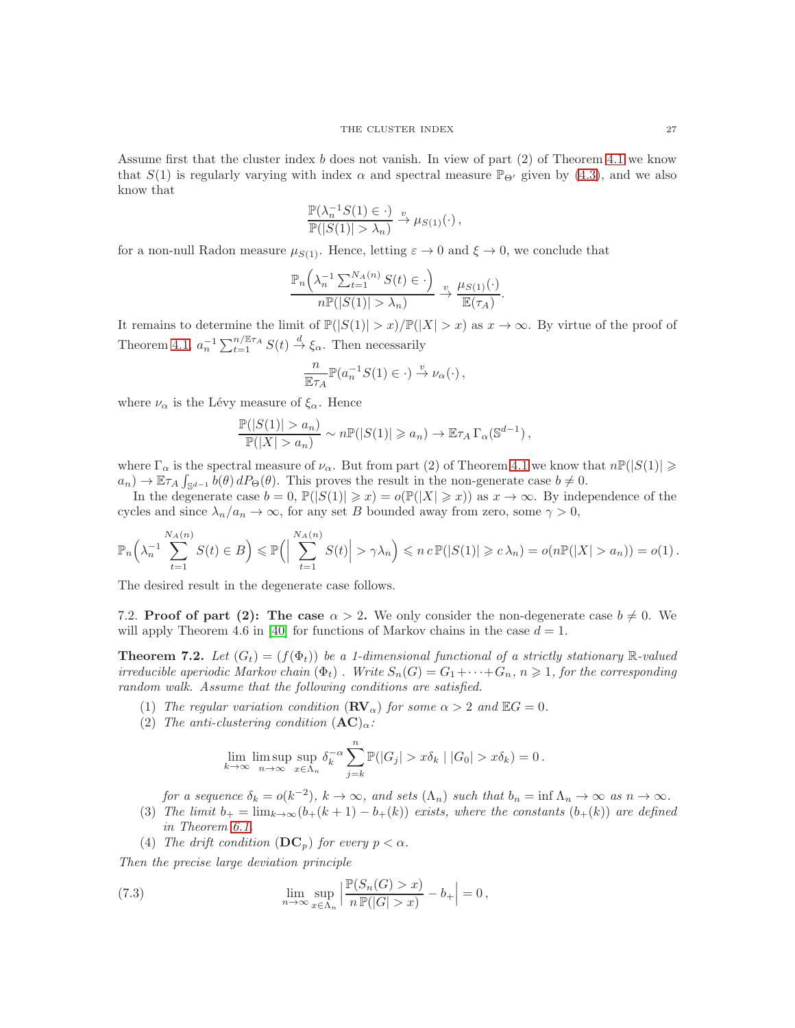Assume first that the cluster index b does not vanish. In view of part (2) of Theorem [4.1](#page-8-0) we know that  $S(1)$  is regularly varying with index  $\alpha$  and spectral measure  $\mathbb{P}_{\Theta'}$  given by [\(4.3\)](#page-12-1), and we also know that

$$
\frac{\mathbb{P}(\lambda_n^{-1}S(1) \in \cdot)}{\mathbb{P}(|S(1)| > \lambda_n)} \xrightarrow{v} \mu_{S(1)}(\cdot),
$$

for a non-null Radon measure  $\mu_{S(1)}$ . Hence, letting  $\varepsilon \to 0$  and  $\xi \to 0$ , we conclude that

$$
\frac{\mathbb{P}_n\left(\lambda_n^{-1}\sum_{t=1}^{N_A(n)}S(t)\in\cdot\right)}{n\mathbb{P}(|S(1)|>\lambda_n)}\xrightarrow{v}\frac{\mu_{S(1)}(\cdot)}{\mathbb{E}(\tau_A)}.
$$

It remains to determine the limit of  $\mathbb{P}(|S(1)| > x)/\mathbb{P}(|X| > x)$  as  $x \to \infty$ . By virtue of the proof of Theorem [4.1,](#page-8-0)  $a_n^{-1} \sum_{t=1}^{n/\mathbb{E} \tau_A} S(t) \stackrel{d}{\to} \xi_\alpha$ . Then necessarily

$$
\frac{n}{\mathbb{E}\tau_A}\mathbb{P}(a_n^{-1}S(1)\in\cdot)\stackrel{v}{\to}\nu_\alpha(\cdot)\,,
$$

where  $\nu_{\alpha}$  is the Lévy measure of  $\xi_{\alpha}$ . Hence

$$
\frac{\mathbb{P}(|S(1)| > a_n)}{\mathbb{P}(|X| > a_n)} \sim n \mathbb{P}(|S(1)| \geq a_n) \to \mathbb{E} \tau_A \Gamma_\alpha(\mathbb{S}^{d-1}),
$$

where  $\Gamma_{\alpha}$  is the spectral measure of  $\nu_{\alpha}$ . But from part (2) of Theorem [4.1](#page-8-0) we know that  $n\mathbb{P}(|S(1)| \geq$  $a_n$ )  $\to \mathbb{E} \tau_A \int_{\mathbb{S}^{d-1}} b(\theta) dP_{\Theta}(\theta)$ . This proves the result in the non-generate case  $b \neq 0$ .

In the degenerate case  $b = 0$ ,  $\mathbb{P}(|S(1)| \geq x) = o(\mathbb{P}(|X| \geq x))$  as  $x \to \infty$ . By independence of the cycles and since  $\lambda_n/a_n \to \infty$ , for any set B bounded away from zero, some  $\gamma > 0$ ,

$$
\mathbb{P}_n\left(\lambda_n^{-1}\sum_{t=1}^{N_A(n)}S(t)\in B\right)\leqslant\mathbb{P}\left(\left|\sum_{t=1}^{N_A(n)}S(t)\right|>\gamma\lambda_n\right)\leqslant n\,c\,\mathbb{P}(|S(1)|\geqslant c\,\lambda_n)=o(n\mathbb{P}(|X|>a_n))=o(1)\,.
$$

The desired result in the degenerate case follows.

<span id="page-26-1"></span>7.2. **Proof of part (2):** The case  $\alpha > 2$ . We only consider the non-degenerate case  $b \neq 0$ . We will apply Theorem 4.6 in [\[40\]](#page-29-9) for functions of Markov chains in the case  $d = 1$ .

<span id="page-26-0"></span>**Theorem 7.2.** Let  $(G_t) = (f(\Phi_t))$  be a 1-dimensional functional of a strictly stationary R-valued *irreducible aperiodic Markov chain*  $(\Phi_t)$ . *Write*  $S_n(G) = G_1 + \cdots + G_n$ ,  $n \geq 1$ , for the corresponding *random walk. Assume that the following conditions are satisfied.*

- (1) *The regular variation condition*  $(\mathbf{RV}_\alpha)$  *for some*  $\alpha > 2$  *and*  $\mathbb{E}G = 0$ *.*
- (2) *The anti-clustering condition*  $(AC)_{\alpha}$ :

$$
\lim_{k \to \infty} \limsup_{n \to \infty} \sup_{x \in \Lambda_n} \delta_k^{-\alpha} \sum_{j=k}^n \mathbb{P}(|G_j| > x \delta_k | |G_0| > x \delta_k) = 0.
$$

*for a sequence*  $\delta_k = o(k^{-2})$ ,  $k \to \infty$ , and sets  $(\Lambda_n)$  such that  $b_n = \inf \Lambda_n \to \infty$  as  $n \to \infty$ .

- (3) *The limit*  $b_+ = \lim_{k \to \infty} (b_+(k+1) b_+(k))$  *exists, where the constants*  $(b_+(k))$  *are defined in Theorem [6.1.](#page-19-0)*
- <span id="page-26-2"></span>(4) *The drift condition*  $(DC_p)$  *for every*  $p < \alpha$ *.*

*Then the precise large deviation principle*

(7.3) 
$$
\lim_{n \to \infty} \sup_{x \in \Lambda_n} \left| \frac{\mathbb{P}(S_n(G) > x)}{n \mathbb{P}(|G| > x)} - b_+ \right| = 0,
$$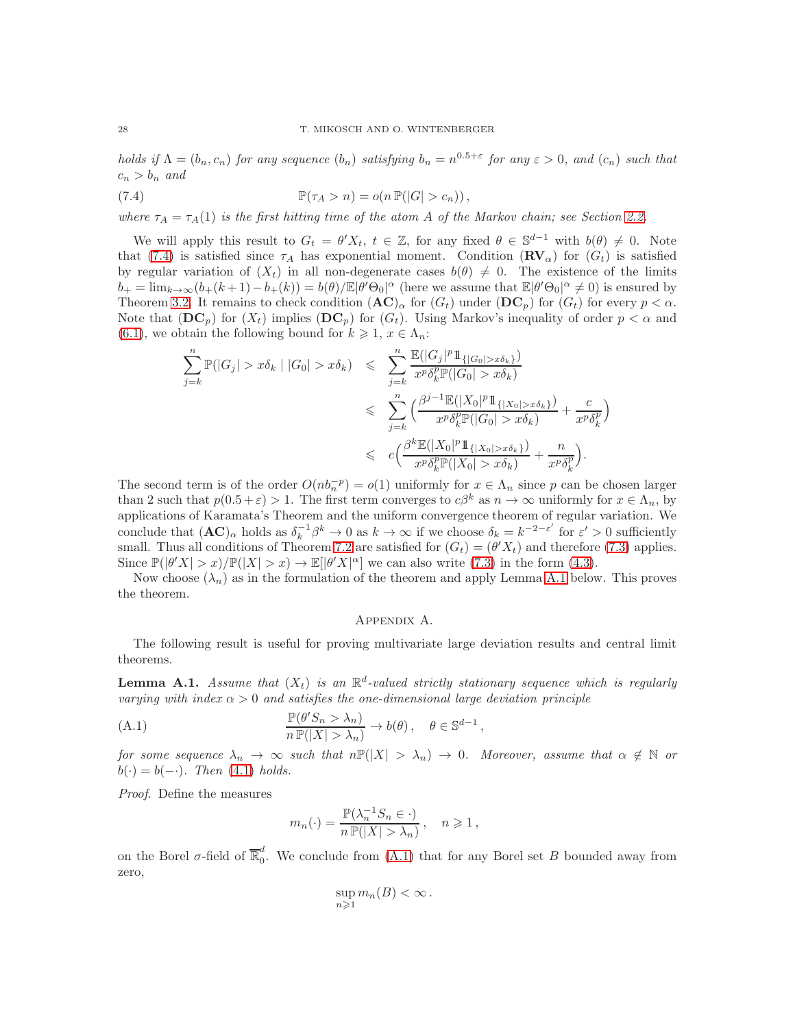*holds if*  $\Lambda = (b_n, c_n)$  *for any sequence*  $(b_n)$  *satisfying*  $b_n = n^{0.5+\epsilon}$  *for any*  $\epsilon > 0$ *, and*  $(c_n)$  *such that*  $c_n > b_n$  and

<span id="page-27-0"></span>(7.4) 
$$
\mathbb{P}(\tau_A > n) = o(n \mathbb{P}(|G| > c_n)),
$$

*where*  $\tau_A = \tau_A(1)$  *is the first hitting time of the atom A of the Markov chain; see Section [2.2.](#page-3-2)* 

We will apply this result to  $G_t = \theta' X_t$ ,  $t \in \mathbb{Z}$ , for any fixed  $\theta \in \mathbb{S}^{d-1}$  with  $b(\theta) \neq 0$ . Note that [\(7.4\)](#page-27-0) is satisfied since  $\tau_A$  has exponential moment. Condition  $(\mathbf{RV}_\alpha)$  for  $(G_t)$  is satisfied by regular variation of  $(X_t)$  in all non-degenerate cases  $b(\theta) \neq 0$ . The existence of the limits  $b_+ = \lim_{k \to \infty} (b_+(k+1) - b_+(k)) = b(\theta)/\mathbb{E}|\theta' \Theta_0|^{\alpha}$  (here we assume that  $\mathbb{E}|\theta' \Theta_0|^{\alpha} \neq 0$ ) is ensured by Theorem [3.2.](#page-6-0) It remains to check condition  $(AC)_{\alpha}$  for  $(G_t)$  under  $(DC_p)$  for  $(G_t)$  for every  $p < \alpha$ . Note that  $(DC_p)$  for  $(X_t)$  implies  $(DC_p)$  for  $(G_t)$ . Using Markov's inequality of order  $p < \alpha$  and [\(6.1\)](#page-20-1), we obtain the following bound for  $k \geq 1, x \in \Lambda_n$ :

$$
\sum_{j=k}^{n} \mathbb{P}(|G_j| > x\delta_k | |G_0| > x\delta_k) \leq \sum_{j=k}^{n} \frac{\mathbb{E}(|G_j|^p 1\!\!1_{\{|G_0| > x\delta_k\}})}{x^p \delta_k^p \mathbb{P}(|G_0| > x\delta_k)} \\
\leq \sum_{j=k}^{n} \left(\frac{\beta^{j-1} \mathbb{E}(|X_0|^p 1\!\!1_{\{|X_0| > x\delta_k\}})}{x^p \delta_k^p \mathbb{P}(|G_0| > x\delta_k)} + \frac{c}{x^p \delta_k^p}\right) \\
\leq c \left(\frac{\beta^k \mathbb{E}(|X_0|^p 1\!\!1_{\{|X_0| > x\delta_k\}})}{x^p \delta_k^p \mathbb{P}(|X_0| > x\delta_k)} + \frac{n}{x^p \delta_k^p}\right).
$$

The second term is of the order  $O(nb<sub>n</sub><sup>-p</sup>) = o(1)$  uniformly for  $x \in \Lambda_n$  since p can be chosen larger than 2 such that  $p(0.5 + \varepsilon) > 1$ . The first term converges to  $c\beta^k$  as  $n \to \infty$  uniformly for  $x \in \Lambda_n$ , by applications of Karamata's Theorem and the uniform convergence theorem of regular variation. We conclude that  $(AC)_{\alpha}$  holds as  $\delta_k^{-1}\beta^k \to 0$  as  $k \to \infty$  if we choose  $\delta_k = k^{-2-\epsilon'}$  for  $\epsilon' > 0$  sufficiently small. Thus all conditions of Theorem [7.2](#page-26-0) are satisfied for  $(G_t) = (\theta' X_t)$  and therefore [\(7.3\)](#page-26-2) applies. Since  $\mathbb{P}(|\theta'X| > x)/\mathbb{P}(|X| > x) \to \mathbb{E}[\theta'X|^{\alpha}]$  we can also write [\(7.3\)](#page-26-2) in the form [\(4.3\)](#page-12-1).

Now choose  $(\lambda_n)$  as in the formulation of the theorem and apply Lemma [A.1](#page-27-1) below. This proves the theorem.

#### Appendix A.

The following result is useful for proving multivariate large deviation results and central limit theorems.

<span id="page-27-1"></span>**Lemma A.1.** Assume that  $(X_t)$  is an  $\mathbb{R}^d$ -valued strictly stationary sequence which is regularly *varying with index*  $\alpha > 0$  *and satisfies the one-dimensional large deviation principle* 

(A.1) 
$$
\frac{\mathbb{P}(\theta'S_n > \lambda_n)}{n \mathbb{P}(|X| > \lambda_n)} \to b(\theta), \quad \theta \in \mathbb{S}^{d-1},
$$

*for some sequence*  $\lambda_n \to \infty$  *such that*  $n\mathbb{P}(|X| > \lambda_n) \to 0$ *. Moreover, assume that*  $\alpha \notin \mathbb{N}$  *or*  $b(\cdot) = b(-\cdot)$ *. Then* [\(4.1\)](#page-11-3) *holds.* 

*Proof.* Define the measures

<span id="page-27-2"></span>
$$
m_n(\cdot) = \frac{\mathbb{P}(\lambda_n^{-1} S_n \in \cdot)}{n \mathbb{P}(|X| > \lambda_n)}, \quad n \geqslant 1,
$$

on the Borel  $\sigma$ -field of  $\overline{\mathbb{R}}_0^d$  $\int_{0}^{a}$ . We conclude from [\(A.1\)](#page-27-2) that for any Borel set B bounded away from zero,

$$
\sup_{n\geqslant 1} m_n(B) < \infty \, .
$$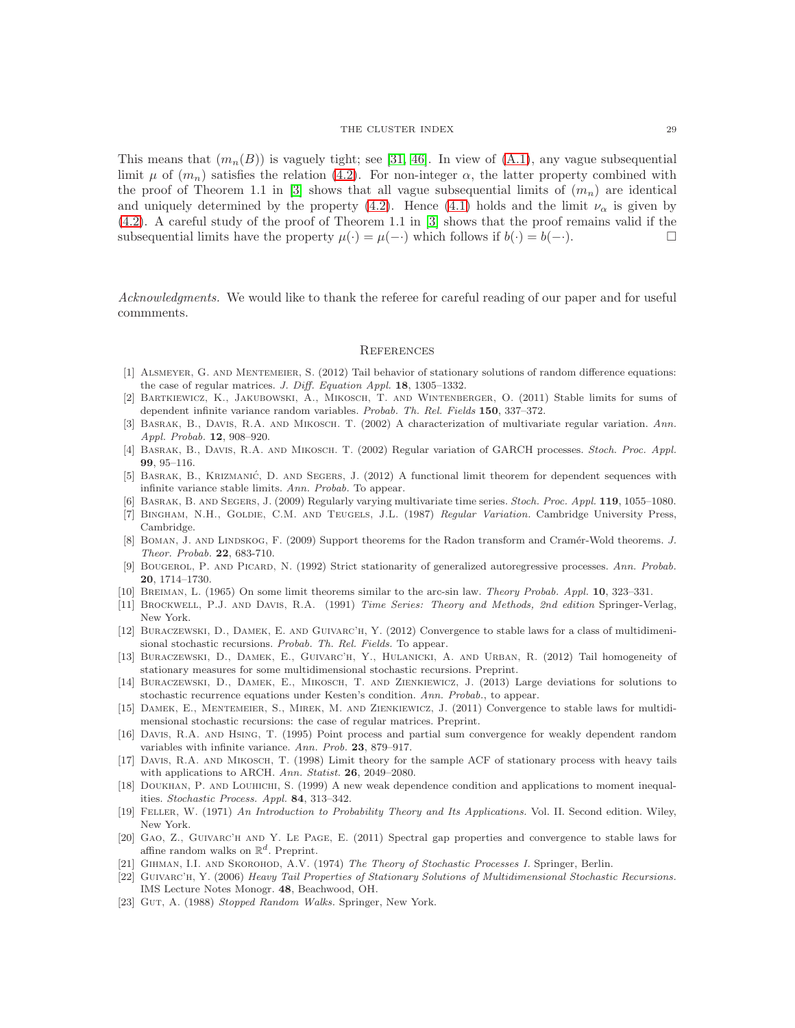This means that  $(m_n(B))$  is vaguely tight; see [\[31,](#page-29-27) [46\]](#page-29-11). In view of  $(A.1)$ , any vague subsequential limit  $\mu$  of  $(m_n)$  satisfies the relation [\(4.2\)](#page-11-4). For non-integer  $\alpha$ , the latter property combined with the proof of Theorem 1.1 in [\[3\]](#page-28-9) shows that all vague subsequential limits of  $(m_n)$  are identical and uniquely determined by the property [\(4.2\)](#page-11-4). Hence [\(4.1\)](#page-11-3) holds and the limit  $\nu_{\alpha}$  is given by [\(4.2\)](#page-11-4). A careful study of the proof of Theorem 1.1 in [\[3\]](#page-28-9) shows that the proof remains valid if the subsequential limits have the property  $\mu(\cdot) = \mu(-\cdot)$  which follows if  $b(\cdot) = b(-\cdot)$ .

*Acknowledgments.* We would like to thank the referee for careful reading of our paper and for useful commments.

#### **REFERENCES**

- [1] Alsmeyer, G. and Mentemeier, S. (2012) Tail behavior of stationary solutions of random difference equations: the case of regular matrices. J. Diff. Equation Appl. 18, 1305-1332.
- <span id="page-28-3"></span>[2] Bartkiewicz, K., Jakubowski, A., Mikosch, T. and Wintenberger, O. (2011) Stable limits for sums of dependent infinite variance random variables. Probab. Th. Rel. Fields 150, 337–372.
- <span id="page-28-9"></span>[3] Basrak, B., Davis, R.A. and Mikosch. T. (2002) A characterization of multivariate regular variation. Ann. Appl. Probab. 12, 908–920.
- <span id="page-28-16"></span>[4] Basrak, B., Davis, R.A. and Mikosch. T. (2002) Regular variation of GARCH processes. Stoch. Proc. Appl. 99, 95–116.
- <span id="page-28-1"></span>[5] BASRAK, B., KRIZMANIĆ, D. AND SEGERS, J. (2012) A functional limit theorem for dependent sequences with infinite variance stable limits. Ann. Probab. To appear.
- <span id="page-28-6"></span><span id="page-28-5"></span>[6] Basrak, B. and Segers, J. (2009) Regularly varying multivariate time series. Stoch. Proc. Appl. 119, 1055–1080.
- [7] BINGHAM, N.H., GOLDIE, C.M. AND TEUGELS, J.L. (1987) Regular Variation. Cambridge University Press, Cambridge.
- <span id="page-28-10"></span>[8] BOMAN, J. AND LINDSKOG, F. (2009) Support theorems for the Radon transform and Cramér-Wold theorems. J. Theor. Probab. 22, 683-710.
- <span id="page-28-12"></span>[9] BOUGEROL, P. AND PICARD, N. (1992) Strict stationarity of generalized autoregressive processes. Ann. Probab. 20, 1714–1730.
- <span id="page-28-15"></span><span id="page-28-11"></span>[10] Breiman, L. (1965) On some limit theorems similar to the arc-sin law. Theory Probab. Appl. 10, 323–331.
- <span id="page-28-8"></span>[11] Brockwell, P.J. and Davis, R.A. (1991) Time Series: Theory and Methods, 2nd edition Springer-Verlag, New York.
- [12] Buraczewski, D., Damek, E. and Guivarc'h, Y. (2012) Convergence to stable laws for a class of multidimenisional stochastic recursions. Probab. Th. Rel. Fields. To appear.
- <span id="page-28-14"></span>[13] Buraczewski, D., Damek, E., Guivarc'h, Y., Hulanicki, A. and Urban, R. (2012) Tail homogeneity of stationary measures for some multidimensional stochastic recursions. Preprint.
- <span id="page-28-4"></span>[14] Buraczewski, D., Damek, E., Mikosch, T. and Zienkiewicz, J. (2013) Large deviations for solutions to stochastic recurrence equations under Kesten's condition. Ann. Probab., to appear.
- <span id="page-28-7"></span>[15] DAMEK, E., MENTEMEIER, S., MIREK, M. AND ZIENKIEWICZ, J. (2011) Convergence to stable laws for multidimensional stochastic recursions: the case of regular matrices. Preprint.
- <span id="page-28-0"></span>[16] Davis, R.A. and Hsing, T. (1995) Point process and partial sum convergence for weakly dependent random variables with infinite variance. Ann. Prob. 23, 879–917.
- <span id="page-28-2"></span>[17] Davis, R.A. and Mikosch, T. (1998) Limit theory for the sample ACF of stationary process with heavy tails with applications to ARCH. Ann. Statist. 26, 2049–2080.
- <span id="page-28-17"></span>[18] Doukhan, P. and Louhichi, S. (1999) A new weak dependence condition and applications to moment inequalities. Stochastic Process. Appl. 84, 313–342.
- [19] Feller, W. (1971) An Introduction to Probability Theory and Its Applications. Vol. II. Second edition. Wiley, New York.
- <span id="page-28-13"></span>[20] Gao, Z., Guivarc'h and Y. Le Page, E. (2011) Spectral gap properties and convergence to stable laws for affine random walks on  $\mathbb{R}^d$ . Preprint.
- [21] GIHMAN, I.I. AND SKOROHOD, A.V. (1974) The Theory of Stochastic Processes I. Springer, Berlin.
- [22] Guivarc'h, Y. (2006) Heavy Tail Properties of Stationary Solutions of Multidimensional Stochastic Recursions. IMS Lecture Notes Monogr. 48, Beachwood, OH.
- [23] GUT, A. (1988) Stopped Random Walks. Springer, New York.